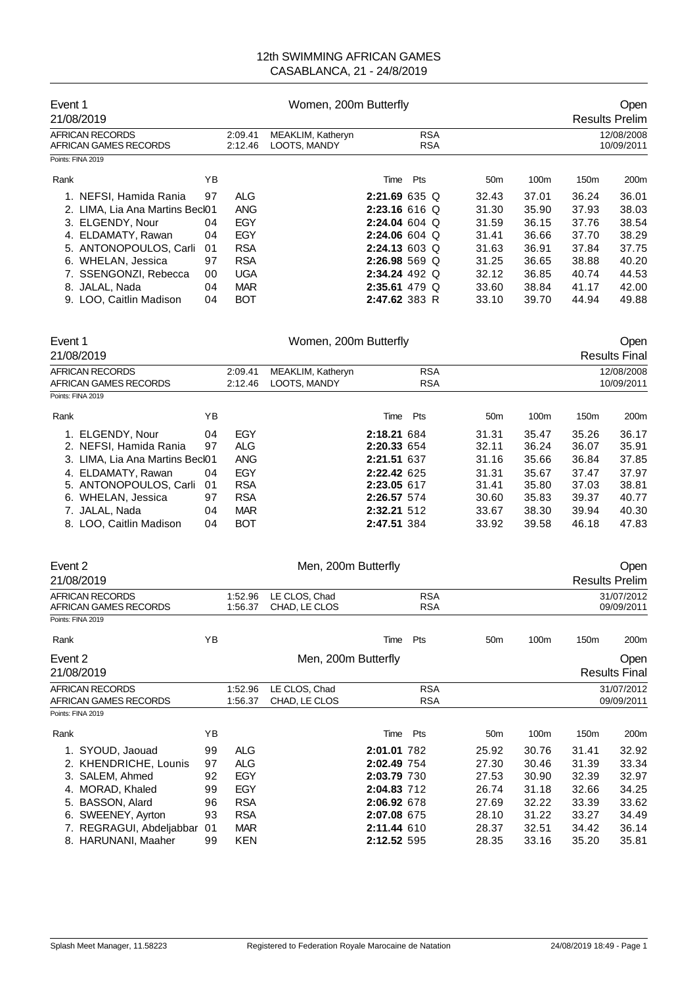| Event 1                                  | 21/08/2019                      |    |                    |                                   | Women, 200m Butterfly    |     |  |                 |                          | Open<br><b>Results Prelim</b> |       |  |  |
|------------------------------------------|---------------------------------|----|--------------------|-----------------------------------|--------------------------|-----|--|-----------------|--------------------------|-------------------------------|-------|--|--|
| AFRICAN RECORDS<br>AFRICAN GAMES RECORDS |                                 |    | 2:09.41<br>2:12.46 | MEAKLIM, Katheryn<br>LOOTS, MANDY | <b>RSA</b><br><b>RSA</b> |     |  |                 | 12/08/2008<br>10/09/2011 |                               |       |  |  |
|                                          | Points: FINA 2019               |    |                    |                                   |                          |     |  |                 |                          |                               |       |  |  |
| Rank                                     |                                 | ΥB |                    |                                   | Time                     | Pts |  | 50 <sub>m</sub> | 100 <sub>m</sub>         | 150 <sub>m</sub>              | 200m  |  |  |
|                                          | 1. NEFSI, Hamida Rania          | 97 | <b>ALG</b>         |                                   | 2:21.69635Q              |     |  | 32.43           | 37.01                    | 36.24                         | 36.01 |  |  |
|                                          | 2. LIMA. Lia Ana Martins Becl01 |    | <b>ANG</b>         |                                   | $2:23.16616$ Q           |     |  | 31.30           | 35.90                    | 37.93                         | 38.03 |  |  |
|                                          | 3. ELGENDY, Nour                | 04 | EGY                |                                   | 2:24.04604               |     |  | 31.59           | 36.15                    | 37.76                         | 38.54 |  |  |
|                                          | 4. ELDAMATY, Rawan              | 04 | EGY                |                                   | $2:24.06604$ Q           |     |  | 31.41           | 36.66                    | 37.70                         | 38.29 |  |  |
|                                          | 5. ANTONOPOULOS, Carli          | 01 | <b>RSA</b>         |                                   | $2:24.13603$ Q           |     |  | 31.63           | 36.91                    | 37.84                         | 37.75 |  |  |
|                                          | 6. WHELAN, Jessica              | 97 | <b>RSA</b>         |                                   | $2:26.98569$ Q           |     |  | 31.25           | 36.65                    | 38.88                         | 40.20 |  |  |
|                                          | 7. SSENGONZI, Rebecca           | 00 | <b>UGA</b>         |                                   | $2:34.24$ 492 Q          |     |  | 32.12           | 36.85                    | 40.74                         | 44.53 |  |  |
|                                          | 8. JALAL, Nada                  | 04 | <b>MAR</b>         |                                   | $2:35.61$ 479 Q          |     |  | 33.60           | 38.84                    | 41.17                         | 42.00 |  |  |
|                                          | 9. LOO, Caitlin Madison         | 04 | <b>BOT</b>         |                                   | 2:47.62 383 R            |     |  | 33.10           | 39.70                    | 44.94                         | 49.88 |  |  |

|                                                                                                                                                                                                                                                                 | Women, 200m Butterfly<br>Open<br><b>Results Final</b> |  |              |     |                                                                                                                                            |                  |                          |                  |  |  |
|-----------------------------------------------------------------------------------------------------------------------------------------------------------------------------------------------------------------------------------------------------------------|-------------------------------------------------------|--|--------------|-----|--------------------------------------------------------------------------------------------------------------------------------------------|------------------|--------------------------|------------------|--|--|
|                                                                                                                                                                                                                                                                 | <b>RSA</b><br>MEAKLIM, Katheryn<br>2:09.41<br>2:12.46 |  |              |     |                                                                                                                                            |                  | 12/08/2008<br>10/09/2011 |                  |  |  |
|                                                                                                                                                                                                                                                                 |                                                       |  |              |     |                                                                                                                                            |                  |                          |                  |  |  |
| YΒ                                                                                                                                                                                                                                                              |                                                       |  |              | Pts | 50 <sub>m</sub>                                                                                                                            | 100 <sub>m</sub> | 150 <sub>m</sub>         | 200 <sub>m</sub> |  |  |
| 04                                                                                                                                                                                                                                                              | EGY                                                   |  |              |     | 31.31                                                                                                                                      | 35.47            | 35.26                    | 36.17            |  |  |
| 97                                                                                                                                                                                                                                                              | ALG                                                   |  |              |     | 32.11                                                                                                                                      | 36.24            | 36.07                    | 35.91            |  |  |
|                                                                                                                                                                                                                                                                 | <b>ANG</b>                                            |  |              |     | 31.16                                                                                                                                      | 35.66            | 36.84                    | 37.85            |  |  |
| 04                                                                                                                                                                                                                                                              | EGY                                                   |  |              |     | 31.31                                                                                                                                      | 35.67            | 37.47                    | 37.97            |  |  |
| -01                                                                                                                                                                                                                                                             | <b>RSA</b>                                            |  |              |     | 31.41                                                                                                                                      | 35.80            | 37.03                    | 38.81            |  |  |
| 97                                                                                                                                                                                                                                                              | <b>RSA</b>                                            |  |              |     | 30.60                                                                                                                                      | 35.83            | 39.37                    | 40.77            |  |  |
| 04                                                                                                                                                                                                                                                              | <b>MAR</b>                                            |  |              |     | 33.67                                                                                                                                      | 38.30            | 39.94                    | 40.30            |  |  |
| 04                                                                                                                                                                                                                                                              | <b>BOT</b>                                            |  |              |     | 33.92                                                                                                                                      | 39.58            | 46.18                    | 47.83            |  |  |
| Event 1<br>21/08/2019<br>AFRICAN RECORDS<br>AFRICAN GAMES RECORDS<br>Points: FINA 2019<br>Rank<br>1. ELGENDY, Nour<br>2. NEFSI, Hamida Rania<br>4. ELDAMATY, Rawan<br>5. ANTONOPOULOS, Carli<br>6. WHELAN, Jessica<br>7. JALAL, Nada<br>8. LOO. Caitlin Madison | 3. LIMA, Lia Ana Martins Becl01                       |  | LOOTS, MANDY |     | <b>RSA</b><br>Time<br>2:18.21 684<br>2:20.33 654<br>2:21.51 637<br>2:22.42 625<br>2:23.05 617<br>2:26.57 574<br>2:32.21 512<br>2:47.51 384 |                  |                          |                  |  |  |

| Event 2                                         |                                                 |          |                          | Men, 200m Butterfly            |                            |                          |                 |                |                          | Open                         |  |
|-------------------------------------------------|-------------------------------------------------|----------|--------------------------|--------------------------------|----------------------------|--------------------------|-----------------|----------------|--------------------------|------------------------------|--|
|                                                 | 21/08/2019                                      |          |                          |                                |                            |                          |                 |                |                          | <b>Results Prelim</b>        |  |
|                                                 | <b>AFRICAN RECORDS</b><br>AFRICAN GAMES RECORDS |          | 1:52.96<br>1:56.37       | LE CLOS, Chad<br>CHAD, LE CLOS |                            | <b>RSA</b><br><b>RSA</b> |                 |                | 31/07/2012<br>09/09/2011 |                              |  |
|                                                 | Points: FINA 2019                               |          |                          |                                |                            |                          |                 |                |                          |                              |  |
| Rank                                            |                                                 | ΥB       |                          |                                | Time                       | Pts                      | 50 <sub>m</sub> | 100m           | 150 <sub>m</sub>         | 200m                         |  |
| Event 2<br>21/08/2019                           |                                                 |          |                          | Men, 200m Butterfly            |                            |                          |                 |                |                          | Open<br><b>Results Final</b> |  |
| <b>AFRICAN RECORDS</b><br>AFRICAN GAMES RECORDS |                                                 |          | 1:52.96<br>1:56.37       | LE CLOS, Chad<br>CHAD, LE CLOS |                            | <b>RSA</b><br><b>RSA</b> |                 |                | 31/07/2012<br>09/09/2011 |                              |  |
|                                                 | Points: FINA 2019                               |          |                          |                                |                            |                          |                 |                |                          |                              |  |
| Rank                                            |                                                 | ΥB       |                          |                                | Time                       | Pts                      | 50 <sub>m</sub> | 100m           | 150m                     | 200m                         |  |
|                                                 | 1. SYOUD, Jaouad                                | 99       | <b>ALG</b>               |                                | 2:01.01 782                |                          | 25.92           | 30.76          | 31.41                    | 32.92                        |  |
|                                                 | 2. KHENDRICHE, Lounis<br>3. SALEM, Ahmed        | 97<br>92 | <b>ALG</b><br>EGY        |                                | 2:02.49 754<br>2:03.79 730 |                          | 27.30<br>27.53  | 30.46<br>30.90 | 31.39<br>32.39           | 33.34<br>32.97               |  |
| 4.<br>5.                                        | MORAD, Khaled<br>BASSON, Alard                  | 99<br>96 | EGY<br><b>RSA</b>        |                                | 2:04.83 712<br>2:06.92 678 |                          | 26.74<br>27.69  | 31.18<br>32.22 | 32.66<br>33.39           | 34.25<br>33.62               |  |
| 6.                                              | SWEENEY, Ayrton                                 | 93       | <b>RSA</b>               |                                | 2:07.08 675                |                          | 28.10           | 31.22          | 33.27                    | 34.49                        |  |
|                                                 | 7. REGRAGUI, Abdeljabbar<br>8. HARUNANI, Maaher | 01<br>99 | <b>MAR</b><br><b>KEN</b> |                                | 2:11.44 610<br>2:12.52 595 |                          | 28.37<br>28.35  | 32.51<br>33.16 | 34.42<br>35.20           | 36.14<br>35.81               |  |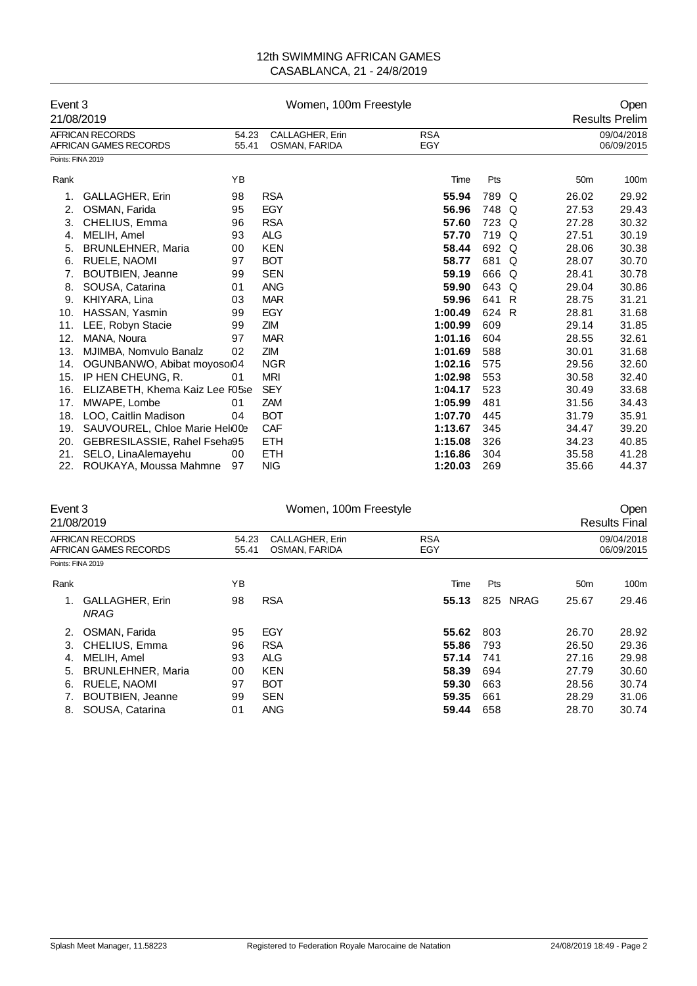| Event 3<br>21/08/2019 |                                                        |                                                    | Women, 100m Freestyle |                   | Open<br><b>Results Prelim</b> |    |                 |                          |
|-----------------------|--------------------------------------------------------|----------------------------------------------------|-----------------------|-------------------|-------------------------------|----|-----------------|--------------------------|
|                       | <b>AFRICAN RECORDS</b><br><b>AFRICAN GAMES RECORDS</b> | CALLAGHER, Erin<br>54.23<br>55.41<br>OSMAN, FARIDA |                       | <b>RSA</b><br>EGY |                               |    |                 | 09/04/2018<br>06/09/2015 |
| Points: FINA 2019     |                                                        |                                                    |                       |                   |                               |    |                 |                          |
| Rank                  |                                                        | YB                                                 |                       | Time              | Pts                           |    | 50 <sub>m</sub> | 100m                     |
| 1.                    | <b>GALLAGHER, Erin</b>                                 | 98                                                 | <b>RSA</b>            | 55.94             | 789 Q                         |    | 26.02           | 29.92                    |
| 2.                    | OSMAN, Farida                                          | 95                                                 | <b>EGY</b>            | 56.96             | 748                           | Q  | 27.53           | 29.43                    |
| 3.                    | CHELIUS, Emma                                          | 96                                                 | <b>RSA</b>            | 57.60             | 723 Q                         |    | 27.28           | 30.32                    |
| 4.                    | MELIH, Amel                                            | 93                                                 | <b>ALG</b>            | 57.70             | 719                           | Q  | 27.51           | 30.19                    |
| 5.                    | <b>BRUNLEHNER, Maria</b>                               | 00                                                 | <b>KEN</b>            | 58.44             | 692 Q                         |    | 28.06           | 30.38                    |
| 6.                    | RUELE, NAOMI                                           | 97                                                 | <b>BOT</b>            | 58.77             | 681                           | Q  | 28.07           | 30.70                    |
| 7.                    | <b>BOUTBIEN, Jeanne</b>                                | 99                                                 | <b>SEN</b>            | 59.19             | 666                           | Q  | 28.41           | 30.78                    |
| 8.                    | SOUSA, Catarina                                        | 01                                                 | <b>ANG</b>            | 59.90             | 643                           | Q  | 29.04           | 30.86                    |
| 9.                    | KHIYARA, Lina                                          | 03                                                 | <b>MAR</b>            | 59.96             | 641                           | -R | 28.75           | 31.21                    |
| 10.                   | HASSAN, Yasmin                                         | 99                                                 | <b>EGY</b>            | 1:00.49           | 624 R                         |    | 28.81           | 31.68                    |
| 11.                   | LEE, Robyn Stacie                                      | 99                                                 | <b>ZIM</b>            | 1:00.99           | 609                           |    | 29.14           | 31.85                    |
| 12.                   | MANA, Noura                                            | 97                                                 | <b>MAR</b>            | 1:01.16           | 604                           |    | 28.55           | 32.61                    |
| 13.                   | MJIMBA, Nomvulo Banalz                                 | 02                                                 | ZIM                   | 1:01.69           | 588                           |    | 30.01           | 31.68                    |
| 14.                   | OGUNBANWO, Abibat moyosoi04                            |                                                    | <b>NGR</b>            | 1:02.16           | 575                           |    | 29.56           | 32.60                    |
| 15.                   | IP HEN CHEUNG, R.                                      | 01                                                 | <b>MRI</b>            | 1:02.98           | 553                           |    | 30.58           | 32.40                    |
| 16.                   | ELIZABETH, Khema Kaiz Lee F05se                        |                                                    | <b>SEY</b>            | 1:04.17           | 523                           |    | 30.49           | 33.68                    |
| 17.                   | MWAPE, Lombe                                           | 01                                                 | ZAM                   | 1:05.99           | 481                           |    | 31.56           | 34.43                    |
| 18.                   | LOO, Caitlin Madison                                   | 04                                                 | <b>BOT</b>            | 1:07.70           | 445                           |    | 31.79           | 35.91                    |
| 19.                   | SAUVOUREL, Chloe Marie Helo03                          |                                                    | <b>CAF</b>            | 1:13.67           | 345                           |    | 34.47           | 39.20                    |
| 20.                   | GEBRESILASSIE, Rahel Fseha95                           |                                                    | <b>ETH</b>            | 1:15.08           | 326                           |    | 34.23           | 40.85                    |
| 21.                   | SELO, LinaAlemayehu                                    | 00                                                 | <b>ETH</b>            | 1:16.86           | 304                           |    | 35.58           | 41.28                    |
| 22.                   | ROUKAYA, Moussa Mahmne                                 | 97                                                 | <b>NIG</b>            | 1:20.03           | 269                           |    | 35.66           | 44.37                    |

| Event 3           | 21/08/2019                               |                | Open<br><b>Results Final</b>     |                   |                    |                 |                          |
|-------------------|------------------------------------------|----------------|----------------------------------|-------------------|--------------------|-----------------|--------------------------|
|                   | AFRICAN RECORDS<br>AFRICAN GAMES RECORDS | 54.23<br>55.41 | CALLAGHER, Erin<br>OSMAN, FARIDA | <b>RSA</b><br>EGY |                    |                 | 09/04/2018<br>06/09/2015 |
| Points: FINA 2019 |                                          |                |                                  |                   |                    |                 |                          |
| Rank              |                                          | YB             |                                  | Time              | Pts                | 50 <sub>m</sub> | 100m                     |
| 1.                | <b>GALLAGHER, Erin</b><br><b>NRAG</b>    | 98             | <b>RSA</b>                       | 55.13             | <b>NRAG</b><br>825 | 25.67           | 29.46                    |
| 2.                | OSMAN, Farida                            | 95             | EGY                              | 55.62             | 803                | 26.70           | 28.92                    |
| 3.                | CHELIUS, Emma                            | 96             | <b>RSA</b>                       | 55.86             | 793                | 26.50           | 29.36                    |
| 4.                | MELIH, Amel                              | 93             | <b>ALG</b>                       | 57.14             | 741                | 27.16           | 29.98                    |
| 5.                | <b>BRUNLEHNER, Maria</b>                 | 00             | <b>KEN</b>                       | 58.39             | 694                | 27.79           | 30.60                    |
| 6.                | RUELE, NAOMI                             | 97             | <b>BOT</b>                       | 59.30             | 663                | 28.56           | 30.74                    |
|                   | <b>BOUTBIEN, Jeanne</b>                  | 99             | <b>SEN</b>                       | 59.35             | 661                | 28.29           | 31.06                    |
| 8.                | SOUSA, Catarina                          | 01             | <b>ANG</b>                       | 59.44             | 658                | 28.70           | 30.74                    |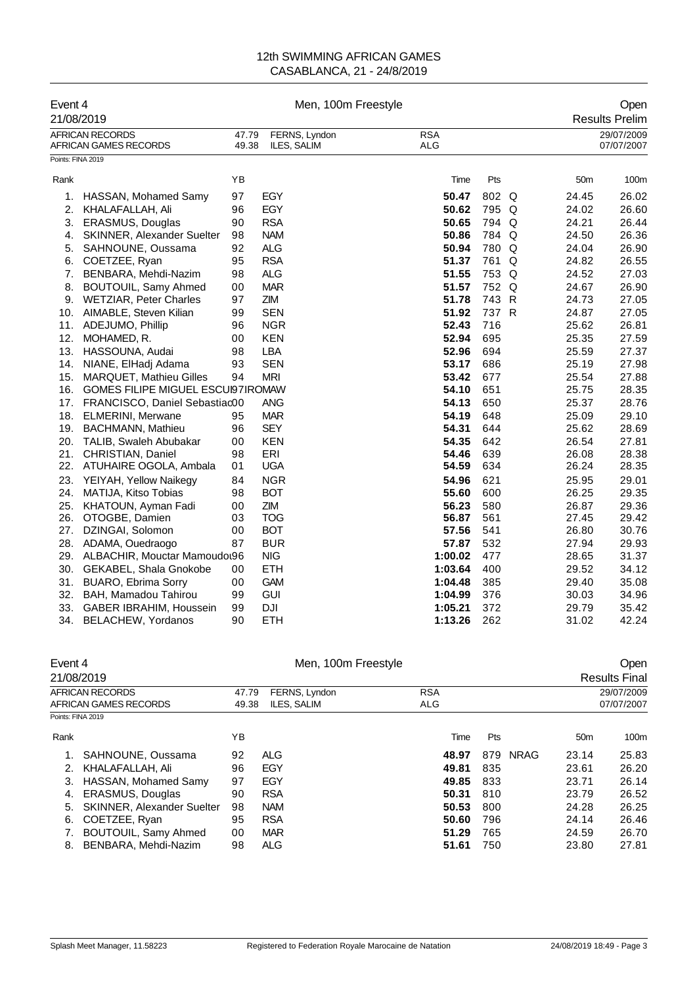| Event 4<br>21/08/2019 |                                                 |                | Men, 100m Freestyle          |                          |       |   |                 | Open<br><b>Results Prelim</b> |
|-----------------------|-------------------------------------------------|----------------|------------------------------|--------------------------|-------|---|-----------------|-------------------------------|
|                       | <b>AFRICAN RECORDS</b><br>AFRICAN GAMES RECORDS | 47.79<br>49.38 | FERNS, Lyndon<br>ILES, SALIM | <b>RSA</b><br><b>ALG</b> |       |   |                 | 29/07/2009<br>07/07/2007      |
| Points: FINA 2019     |                                                 |                |                              |                          |       |   |                 |                               |
| Rank                  |                                                 | YB             |                              | Time                     | Pts   |   | 50 <sub>m</sub> | 100m                          |
| 1.                    | HASSAN, Mohamed Samy                            | 97             | EGY                          | 50.47                    | 802 Q |   | 24.45           | 26.02                         |
| 2.                    | KHALAFALLAH, Ali                                | 96             | EGY                          | 50.62                    | 795 Q |   | 24.02           | 26.60                         |
| 3.                    | ERASMUS, Douglas                                | 90             | <b>RSA</b>                   | 50.65                    | 794 Q |   | 24.21           | 26.44                         |
| 4.                    | <b>SKINNER, Alexander Suelter</b>               | 98             | <b>NAM</b>                   | 50.86                    | 784 Q |   | 24.50           | 26.36                         |
| 5.                    | SAHNOUNE, Oussama                               | 92             | <b>ALG</b>                   | 50.94                    | 780 Q |   | 24.04           | 26.90                         |
| 6.                    | COETZEE, Ryan                                   | 95             | <b>RSA</b>                   | 51.37                    | 761   | Q | 24.82           | 26.55                         |
| 7.                    | BENBARA, Mehdi-Nazim                            | 98             | <b>ALG</b>                   | 51.55                    | 753 Q |   | 24.52           | 27.03                         |
| 8.                    | BOUTOUIL, Samy Ahmed                            | 00             | <b>MAR</b>                   | 51.57                    | 752 Q |   | 24.67           | 26.90                         |
| 9.                    | <b>WETZIAR, Peter Charles</b>                   | 97             | ZIM                          | 51.78                    | 743 R |   | 24.73           | 27.05                         |
| 10.                   | AIMABLE, Steven Kilian                          | 99             | <b>SEN</b>                   | 51.92                    | 737 R |   | 24.87           | 27.05                         |
| 11.                   | ADEJUMO, Phillip                                | 96             | <b>NGR</b>                   | 52.43                    | 716   |   | 25.62           | 26.81                         |
| 12.                   | MOHAMED, R.                                     | 00             | <b>KEN</b>                   | 52.94                    | 695   |   | 25.35           | 27.59                         |
| 13.                   | HASSOUNA, Audai                                 | 98             | <b>LBA</b>                   | 52.96                    | 694   |   | 25.59           | 27.37                         |
| 14.                   | NIANE, ElHadj Adama                             | 93             | <b>SEN</b>                   | 53.17                    | 686   |   | 25.19           | 27.98                         |
| 15.                   | <b>MARQUET, Mathieu Gilles</b>                  | 94             | <b>MRI</b>                   | 53.42                    | 677   |   | 25.54           | 27.88                         |
| 16.                   | GOMES FILIPE MIGUEL ESCUI97IROMAW               |                |                              | 54.10                    | 651   |   | 25.75           | 28.35                         |
| 17.                   | FRANCISCO, Daniel Sebastiac00                   |                | <b>ANG</b>                   | 54.13                    | 650   |   | 25.37           | 28.76                         |
| 18.                   | <b>ELMERINI, Merwane</b>                        | 95             | <b>MAR</b>                   | 54.19                    | 648   |   | 25.09           | 29.10                         |
| 19.                   | <b>BACHMANN, Mathieu</b>                        | 96             | <b>SEY</b>                   | 54.31                    | 644   |   | 25.62           | 28.69                         |
| 20.                   | TALIB, Swaleh Abubakar                          | 00             | <b>KEN</b>                   | 54.35                    | 642   |   | 26.54           | 27.81                         |
| 21.                   | CHRISTIAN, Daniel                               | 98             | ERI                          | 54.46                    | 639   |   | 26.08           | 28.38                         |
| 22.                   | ATUHAIRE OGOLA, Ambala                          | 01             | <b>UGA</b>                   | 54.59                    | 634   |   | 26.24           | 28.35                         |
| 23.                   | YEIYAH, Yellow Naikegy                          | 84             | <b>NGR</b>                   | 54.96                    | 621   |   | 25.95           | 29.01                         |
| 24.                   | MATIJA, Kitso Tobias                            | 98             | <b>BOT</b>                   | 55.60                    | 600   |   | 26.25           | 29.35                         |
| 25.                   | KHATOUN, Ayman Fadi                             | 00             | <b>ZIM</b>                   | 56.23                    | 580   |   | 26.87           | 29.36                         |
| 26.                   | OTOGBE, Damien                                  | 03             | <b>TOG</b>                   | 56.87                    | 561   |   | 27.45           | 29.42                         |
| 27.                   | DZINGAI, Solomon                                | 00             | <b>BOT</b>                   | 57.56                    | 541   |   | 26.80           | 30.76                         |
| 28.                   | ADAMA, Ouedraogo                                | 87             | <b>BUR</b>                   | 57.87                    | 532   |   | 27.94           | 29.93                         |
| 29.                   | ALBACHIR, Mouctar Mamoudou96                    |                | <b>NIG</b>                   | 1:00.02                  | 477   |   | 28.65           | 31.37                         |
|                       | 30. GEKABEL, Shala Gnokobe                      | 00             | <b>ETH</b>                   | 1:03.64                  | 400   |   | 29.52           | 34.12                         |
| 31.                   | <b>BUARO, Ebrima Sorry</b>                      | 00             | <b>GAM</b>                   | 1:04.48                  | 385   |   | 29.40           | 35.08                         |
| 32.                   | BAH, Mamadou Tahirou                            | 99             | <b>GUI</b>                   | 1:04.99                  | 376   |   | 30.03           | 34.96                         |
| 33.                   | <b>GABER IBRAHIM, Houssein</b>                  | 99             | <b>DJI</b>                   | 1:05.21                  | 372   |   | 29.79           | 35.42                         |
| 34.                   | <b>BELACHEW, Yordanos</b>                       | 90             | <b>ETH</b>                   | 1:13.26                  | 262   |   | 31.02           | 42.24                         |

| Event 4               | 21/08/2019                        |                                      | Men, 100m Freestyle |            | Open<br><b>Results Final</b> |             |                 |            |
|-----------------------|-----------------------------------|--------------------------------------|---------------------|------------|------------------------------|-------------|-----------------|------------|
|                       | AFRICAN RECORDS                   | <b>RSA</b><br>47.79<br>FERNS, Lyndon |                     |            | 29/07/2009                   |             |                 |            |
| AFRICAN GAMES RECORDS |                                   | 49.38                                | ILES, SALIM         | <b>ALG</b> |                              |             |                 | 07/07/2007 |
| Points: FINA 2019     |                                   |                                      |                     |            |                              |             |                 |            |
| Rank                  |                                   | ΥB                                   |                     | Time       | Pts                          |             | 50 <sub>m</sub> | 100m       |
|                       | SAHNOUNE, Oussama                 | 92                                   | ALG                 | 48.97      | 879                          | <b>NRAG</b> | 23.14           | 25.83      |
| 2.                    | KHALAFALLAH, Ali                  | 96                                   | EGY                 | 49.81      | 835                          |             | 23.61           | 26.20      |
| 3.                    | HASSAN, Mohamed Samy              | 97                                   | EGY                 | 49.85      | 833                          |             | 23.71           | 26.14      |
| 4.                    | <b>ERASMUS, Douglas</b>           | 90                                   | <b>RSA</b>          | 50.31      | 810                          |             | 23.79           | 26.52      |
| 5.                    | <b>SKINNER, Alexander Suelter</b> | 98                                   | <b>NAM</b>          | 50.53      | 800                          |             | 24.28           | 26.25      |
| 6.                    | COETZEE, Ryan                     | 95                                   | <b>RSA</b>          | 50.60      | 796                          |             | 24.14           | 26.46      |
|                       | BOUTOUIL, Samy Ahmed              | 00                                   | <b>MAR</b>          | 51.29      | 765                          |             | 24.59           | 26.70      |
| 8.                    | BENBARA, Mehdi-Nazim              | 98                                   | ALG                 | 51.61      | 750                          |             | 23.80           | 27.81      |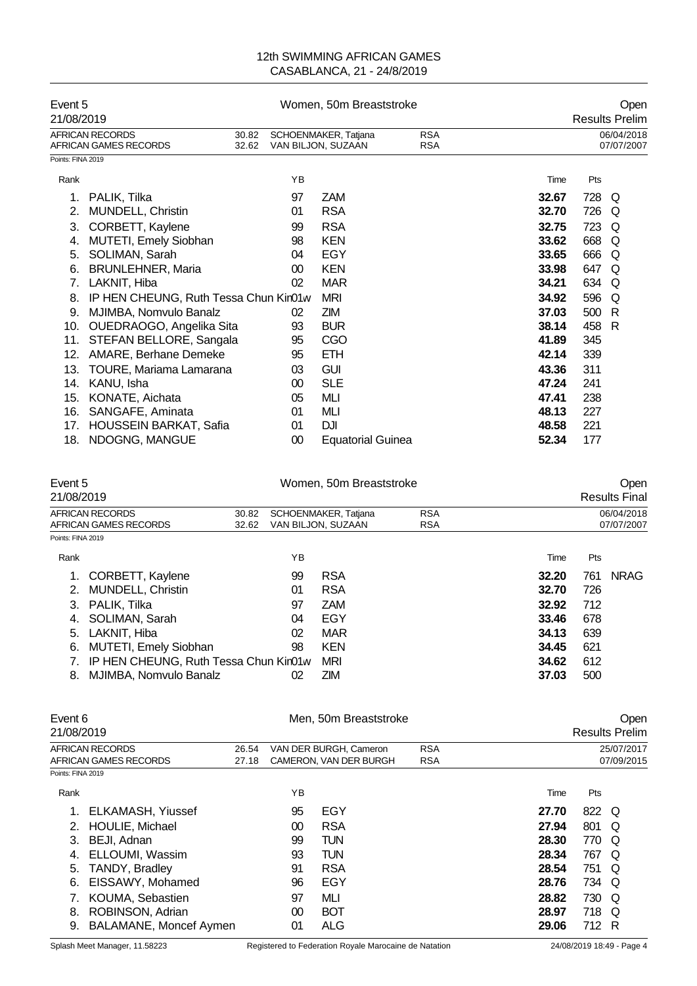| Event 5<br>21/08/2019 |                                                 | Women, 50m Breaststroke |                                                                        |                          | Open<br><b>Results Prelim</b> |                          |     |   |
|-----------------------|-------------------------------------------------|-------------------------|------------------------------------------------------------------------|--------------------------|-------------------------------|--------------------------|-----|---|
|                       | <b>AFRICAN RECORDS</b><br>AFRICAN GAMES RECORDS | 30.82<br>32.62          | <b>RSA</b><br>SCHOENMAKER, Tatjana<br>VAN BILJON, SUZAAN<br><b>RSA</b> |                          |                               | 06/04/2018<br>07/07/2007 |     |   |
| Points: FINA 2019     |                                                 |                         |                                                                        |                          |                               |                          |     |   |
| Rank                  |                                                 |                         | YB                                                                     |                          |                               | Time                     | Pts |   |
|                       | PALIK, Tilka                                    |                         | 97                                                                     | ZAM                      |                               | 32.67                    | 728 | Q |
| 2.                    | MUNDELL, Christin                               |                         | 01                                                                     | <b>RSA</b>               |                               | 32.70                    | 726 | Q |
| 3.                    | CORBETT, Kaylene                                |                         | 99                                                                     | <b>RSA</b>               |                               | 32.75                    | 723 | Q |
| 4.                    | MUTETI, Emely Siobhan                           |                         | 98                                                                     | <b>KEN</b>               |                               | 33.62                    | 668 | Q |
| 5.                    | SOLIMAN, Sarah                                  |                         | 04                                                                     | EGY                      |                               | 33.65                    | 666 | Q |
| 6.                    | <b>BRUNLEHNER, Maria</b>                        |                         | 00                                                                     | <b>KEN</b>               |                               | 33.98                    | 647 | Q |
| 7.                    | LAKNIT, Hiba                                    |                         | 02                                                                     | <b>MAR</b>               |                               | 34.21                    | 634 | Q |
| 8.                    | IP HEN CHEUNG, Ruth Tessa Chun Kin01w           |                         |                                                                        | <b>MRI</b>               |                               | 34.92                    | 596 | Q |
| 9.                    | MJIMBA, Nomvulo Banalz                          |                         | 02                                                                     | ZIM.                     |                               | 37.03                    | 500 | R |
| 10.                   | OUEDRAOGO, Angelika Sita                        |                         | 93                                                                     | <b>BUR</b>               |                               | 38.14                    | 458 | R |
| 11.                   | STEFAN BELLORE, Sangala                         |                         | 95                                                                     | CGO                      |                               | 41.89                    | 345 |   |
| 12.                   | AMARE, Berhane Demeke                           |                         | 95                                                                     | <b>ETH</b>               |                               | 42.14                    | 339 |   |
| 13.                   | TOURE, Mariama Lamarana                         |                         | 03                                                                     | <b>GUI</b>               |                               | 43.36                    | 311 |   |
| 14.                   | KANU, Isha                                      |                         | 00                                                                     | <b>SLE</b>               |                               | 47.24                    | 241 |   |
| 15.                   | KONATE, Aichata                                 |                         | 05                                                                     | MLI                      |                               | 47.41                    | 238 |   |
| 16.                   | SANGAFE, Aminata                                |                         | 01                                                                     | MЦ                       |                               | 48.13                    | 227 |   |
| 17.                   | <b>HOUSSEIN BARKAT, Safia</b>                   |                         | 01                                                                     | DJI                      |                               | 48.58                    | 221 |   |
| 18.                   | NDOGNG, MANGUE                                  |                         | 00                                                                     | <b>Equatorial Guinea</b> |                               | 52.34                    | 177 |   |

| Event 5<br>21/08/2019                               |       |                                                          | Women, 50m Breaststroke |            | Open<br><b>Results Final</b> |     |             |  |
|-----------------------------------------------------|-------|----------------------------------------------------------|-------------------------|------------|------------------------------|-----|-------------|--|
| AFRICAN RECORDS                                     | 30.82 | <b>RSA</b><br>SCHOENMAKER, Tatjana<br>VAN BILJON, SUZAAN |                         |            | 06/04/2018                   |     |             |  |
| AFRICAN GAMES RECORDS<br>32.62<br>Points: FINA 2019 |       |                                                          |                         | <b>RSA</b> |                              |     | 07/07/2007  |  |
| Rank                                                |       | ΥB                                                       |                         |            | Time                         | Pts |             |  |
| CORBETT, Kaylene                                    |       | 99                                                       | <b>RSA</b>              |            | 32.20                        | 761 | <b>NRAG</b> |  |
| <b>MUNDELL, Christin</b><br>2.                      |       | 01                                                       | <b>RSA</b>              |            | 32.70                        | 726 |             |  |
| PALIK, Tilka<br>3.                                  |       | 97                                                       | <b>ZAM</b>              |            | 32.92                        | 712 |             |  |
| SOLIMAN, Sarah<br>4.                                |       | 04                                                       | EGY                     |            | 33.46                        | 678 |             |  |
| 5. LAKNIT, Hiba                                     |       | 02                                                       | MAR                     |            | 34.13                        | 639 |             |  |
| <b>MUTETI, Emely Siobhan</b><br>6.                  |       | 98                                                       | <b>KEN</b>              |            | 34.45                        | 621 |             |  |
| IP HEN CHEUNG, Ruth Tessa Chun Kin01w               |       |                                                          | MRI                     |            | 34.62                        | 612 |             |  |
| MJIMBA, Nomvulo Banalz<br>8.                        |       | 02                                                       | <b>ZIM</b>              |            | 37.03                        | 500 |             |  |

| Event 6<br>21/08/2019 |                               |                                               |    | Men, 50m Breaststroke  | Open<br><b>Results Prelim</b> |       |            |            |  |
|-----------------------|-------------------------------|-----------------------------------------------|----|------------------------|-------------------------------|-------|------------|------------|--|
|                       | <b>AFRICAN RECORDS</b>        | <b>RSA</b><br>VAN DER BURGH, Cameron<br>26.54 |    | 25/07/2017             |                               |       |            |            |  |
|                       | AFRICAN GAMES RECORDS         | 27.18                                         |    | CAMERON, VAN DER BURGH | <b>RSA</b>                    |       |            | 07/09/2015 |  |
| Points: FINA 2019     |                               |                                               |    |                        |                               |       |            |            |  |
| Rank                  |                               |                                               | ΥB |                        |                               | Time  | <b>Pts</b> |            |  |
| 1.                    | ELKAMASH, Yiussef             |                                               | 95 | EGY                    |                               | 27.70 | 822 Q      |            |  |
| 2.                    | HOULIE, Michael               |                                               | 00 | <b>RSA</b>             |                               | 27.94 | 801 Q      |            |  |
| 3.                    | BEJI, Adnan                   |                                               | 99 | <b>TUN</b>             |                               | 28.30 | 770 Q      |            |  |
| 4.                    | ELLOUMI, Wassim               |                                               | 93 | <b>TUN</b>             |                               | 28.34 | 767 Q      |            |  |
| 5.                    | <b>TANDY, Bradley</b>         |                                               | 91 | <b>RSA</b>             |                               | 28.54 | 751 Q      |            |  |
| 6.                    | EISSAWY, Mohamed              |                                               | 96 | EGY                    |                               | 28.76 | 734 Q      |            |  |
|                       | KOUMA, Sebastien              |                                               | 97 | MLI                    |                               | 28.82 | 730 Q      |            |  |
| 8.                    | ROBINSON, Adrian              |                                               | 00 | <b>BOT</b>             |                               | 28.97 | 718 Q      |            |  |
| 9.                    | <b>BALAMANE, Moncef Aymen</b> |                                               | 01 | <b>ALG</b>             |                               | 29.06 | 712 R      |            |  |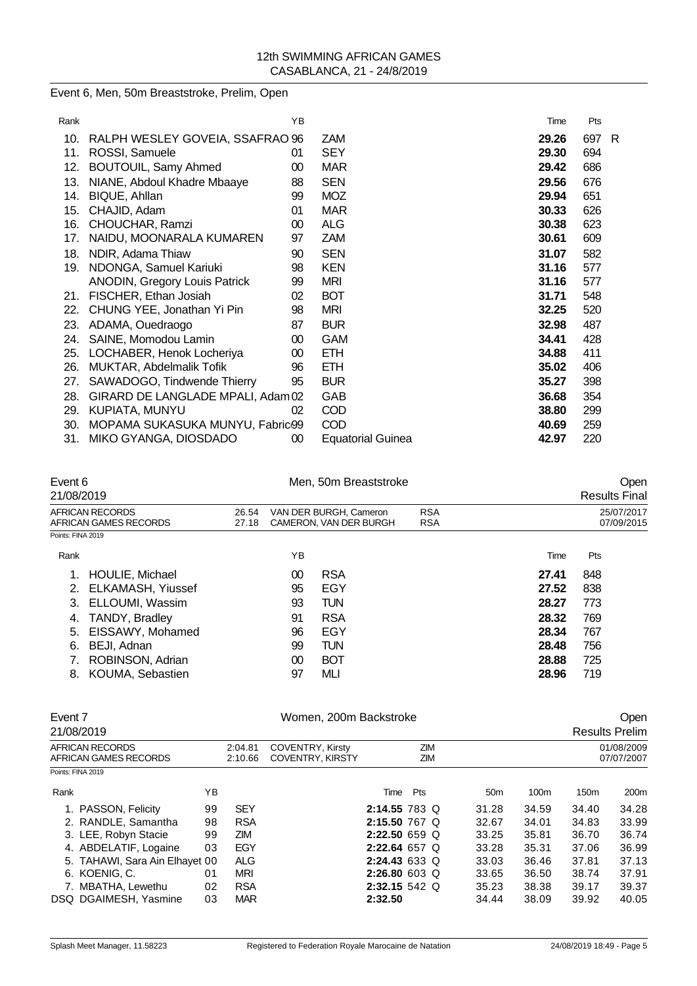Event 6, Men, 50m Breaststroke, Prelim, Open

| Rank |                                      | ΥB |                          | Time  | Pts |    |
|------|--------------------------------------|----|--------------------------|-------|-----|----|
| 10.  | RALPH WESLEY GOVEIA, SSAFRAO 96      |    | ZAM                      | 29.26 | 697 | -R |
| 11.  | ROSSI, Samuele                       | 01 | <b>SEY</b>               | 29.30 | 694 |    |
| 12.  | <b>BOUTOUIL, Samy Ahmed</b>          | 00 | <b>MAR</b>               | 29.42 | 686 |    |
| 13.  | NIANE, Abdoul Khadre Mbaaye          | 88 | <b>SEN</b>               | 29.56 | 676 |    |
| 14.  | BIQUE, Ahllan                        | 99 | <b>MOZ</b>               | 29.94 | 651 |    |
| 15.  | CHAJID, Adam                         | 01 | <b>MAR</b>               | 30.33 | 626 |    |
| 16.  | CHOUCHAR, Ramzi                      | 00 | <b>ALG</b>               | 30.38 | 623 |    |
| 17.  | NAIDU, MOONARALA KUMAREN             | 97 | <b>ZAM</b>               | 30.61 | 609 |    |
| 18.  | NDIR, Adama Thiaw                    | 90 | <b>SEN</b>               | 31.07 | 582 |    |
| 19.  | NDONGA, Samuel Kariuki               | 98 | <b>KEN</b>               | 31.16 | 577 |    |
|      | <b>ANODIN, Gregory Louis Patrick</b> | 99 | <b>MRI</b>               | 31.16 | 577 |    |
| 21.  | FISCHER, Ethan Josiah                | 02 | <b>BOT</b>               | 31.71 | 548 |    |
| 22.  | CHUNG YEE, Jonathan Yi Pin           | 98 | mri                      | 32.25 | 520 |    |
| 23.  | ADAMA, Ouedraogo                     | 87 | <b>BUR</b>               | 32.98 | 487 |    |
| 24.  | SAINE, Momodou Lamin                 | 00 | <b>GAM</b>               | 34.41 | 428 |    |
| 25.  | LOCHABER, Henok Locheriya            | 00 | <b>ETH</b>               | 34.88 | 411 |    |
| 26.  | MUKTAR, Abdelmalik Tofik             | 96 | <b>ETH</b>               | 35.02 | 406 |    |
| 27.  | SAWADOGO, Tindwende Thierry          | 95 | <b>BUR</b>               | 35.27 | 398 |    |
| 28.  | GIRARD DE LANGLADE MPALI, Adam 02    |    | GAB                      | 36.68 | 354 |    |
| 29.  | KUPIATA, MUNYU                       | 02 | COD                      | 38.80 | 299 |    |
| 30.  | MOPAMA SUKASUKA MUNYU, Fabric99      |    | <b>COD</b>               | 40.69 | 259 |    |
| 31.  | MIKO GYANGA, DIOSDADO                | 00 | <b>Equatorial Guinea</b> | 42.97 | 220 |    |

| Event 6<br>21/08/2019                    |                |    | Men, 50m Breaststroke                            | Open<br><b>Results Final</b> |       |                          |
|------------------------------------------|----------------|----|--------------------------------------------------|------------------------------|-------|--------------------------|
| AFRICAN RECORDS<br>AFRICAN GAMES RECORDS | 26.54<br>27.18 |    | VAN DER BURGH, Cameron<br>CAMERON, VAN DER BURGH | <b>RSA</b><br><b>RSA</b>     |       | 25/07/2017<br>07/09/2015 |
| Points: FINA 2019                        |                |    |                                                  |                              |       |                          |
| Rank                                     |                | ΥB |                                                  |                              | Time  | Pts                      |
| <b>HOULIE, Michael</b>                   |                | 00 | <b>RSA</b>                                       |                              | 27.41 | 848                      |
| <b>ELKAMASH, Yiussef</b><br>2.           |                | 95 | EGY                                              |                              | 27.52 | 838                      |
| ELLOUMI, Wassim<br>3.                    |                | 93 | <b>TUN</b>                                       |                              | 28.27 | 773                      |
| TANDY, Bradley<br>4.                     |                | 91 | <b>RSA</b>                                       |                              | 28.32 | 769                      |
| EISSAWY, Mohamed<br>5.                   |                | 96 | EGY                                              |                              | 28.34 | 767                      |
| BEJI, Adnan<br>6.                        |                | 99 | <b>TUN</b>                                       |                              | 28.48 | 756                      |
| ROBINSON, Adrian                         |                | 00 | <b>BOT</b>                                       |                              | 28.88 | 725                      |
| KOUMA, Sebastien<br>8.                   |                | 97 | MLI                                              |                              | 28.96 | 719                      |
|                                          |                |    |                                                  |                              |       |                          |

| Event 7 |                                          |    |                    | Women, 200m Backstroke                             |                 |     |            |                 |                  |                          | Open             |  |
|---------|------------------------------------------|----|--------------------|----------------------------------------------------|-----------------|-----|------------|-----------------|------------------|--------------------------|------------------|--|
|         | 21/08/2019                               |    |                    |                                                    |                 |     |            |                 |                  | <b>Results Prelim</b>    |                  |  |
|         | AFRICAN RECORDS<br>AFRICAN GAMES RECORDS |    | 2:04.81<br>2:10.66 | <b>COVENTRY, Kirsty</b><br><b>COVENTRY, KIRSTY</b> |                 |     | ZIM<br>ZIM |                 |                  | 01/08/2009<br>07/07/2007 |                  |  |
|         | Points: FINA 2019                        |    |                    |                                                    |                 |     |            |                 |                  |                          |                  |  |
| Rank    |                                          | YΒ |                    |                                                    | Time            | Pts |            | 50 <sub>m</sub> | 100 <sub>m</sub> | 150 <sub>m</sub>         | 200 <sub>m</sub> |  |
|         | 1. PASSON, Felicity                      | 99 | <b>SEY</b>         |                                                    | 2:14.55 783 Q   |     |            | 31.28           | 34.59            | 34.40                    | 34.28            |  |
|         | 2. RANDLE, Samantha                      | 98 | <b>RSA</b>         |                                                    | $2:15.50$ 767 Q |     |            | 32.67           | 34.01            | 34.83                    | 33.99            |  |
|         | 3. LEE, Robyn Stacie                     | 99 | ZIM                |                                                    | $2:22.50659$ Q  |     |            | 33.25           | 35.81            | 36.70                    | 36.74            |  |
|         | 4. ABDELATIF, Logaine                    | 03 | EGY                |                                                    | $2:22.64$ 657 Q |     |            | 33.28           | 35.31            | 37.06                    | 36.99            |  |
|         | 5. TAHAWI, Sara Ain Elhayet 00           |    | <b>ALG</b>         |                                                    | 2:24.43633Q     |     |            | 33.03           | 36.46            | 37.81                    | 37.13            |  |
|         | 6. KOENIG, C.                            | 01 | <b>MRI</b>         |                                                    | 2:26.80 603 Q   |     |            | 33.65           | 36.50            | 38.74                    | 37.91            |  |
|         | 7. MBATHA, Lewethu                       | 02 | <b>RSA</b>         |                                                    | 2:32.15 542 Q   |     |            | 35.23           | 38.38            | 39.17                    | 39.37            |  |
|         | DSQ DGAIMESH, Yasmine                    | 03 | <b>MAR</b>         |                                                    | 2:32.50         |     |            | 34.44           | 38.09            | 39.92                    | 40.05            |  |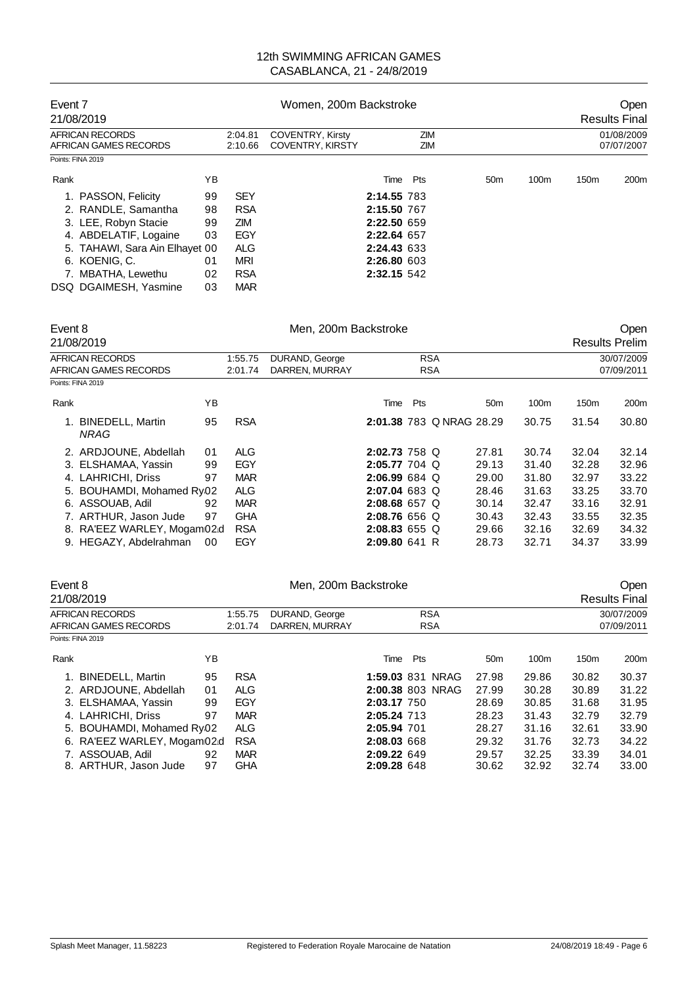| Event 7<br>21/08/2019                    |    |                    | Women, 200m Backstroke                             |             |            |                 |                  |                  | <b>Open</b><br><b>Results Final</b> |
|------------------------------------------|----|--------------------|----------------------------------------------------|-------------|------------|-----------------|------------------|------------------|-------------------------------------|
| AFRICAN RECORDS<br>AFRICAN GAMES RECORDS |    | 2:04.81<br>2:10.66 | <b>COVENTRY, Kirsty</b><br><b>COVENTRY, KIRSTY</b> |             | ZIM<br>ZIM |                 |                  |                  | 01/08/2009<br>07/07/2007            |
| Points: FINA 2019                        |    |                    |                                                    |             |            |                 |                  |                  |                                     |
| Rank                                     | ΥB |                    |                                                    |             | Time Pts   | 50 <sub>m</sub> | 100 <sub>m</sub> | 150 <sub>m</sub> | 200 <sub>m</sub>                    |
| 1. PASSON, Felicity                      | 99 | <b>SEY</b>         |                                                    | 2:14.55 783 |            |                 |                  |                  |                                     |
| 2. RANDLE, Samantha                      | 98 | <b>RSA</b>         |                                                    | 2:15.50 767 |            |                 |                  |                  |                                     |
| 3. LEE, Robyn Stacie                     | 99 | <b>ZIM</b>         |                                                    | 2:22.50 659 |            |                 |                  |                  |                                     |
| 4. ABDELATIF, Logaine                    | 03 | EGY                |                                                    | 2:22.64 657 |            |                 |                  |                  |                                     |
| 5. TAHAWI, Sara Ain Elhayet 00           |    | <b>ALG</b>         |                                                    | 2:24.43 633 |            |                 |                  |                  |                                     |
| 6. KOENIG, C.                            | 01 | <b>MRI</b>         |                                                    | 2:26.80 603 |            |                 |                  |                  |                                     |
| 7. MBATHA, Lewethu                       | 02 | <b>RSA</b>         |                                                    | 2:32.15 542 |            |                 |                  |                  |                                     |
| DSQ DGAIMESH, Yasmine                    | 03 | <b>MAR</b>         |                                                    |             |            |                 |                  |                  |                                     |

| Event 8 | 21/08/2019                  |    |            | Men, 200m Backstroke |                 |     |                          |                 |       |                  | Open<br><b>Results Prelim</b> |
|---------|-----------------------------|----|------------|----------------------|-----------------|-----|--------------------------|-----------------|-------|------------------|-------------------------------|
|         | AFRICAN RECORDS             |    | 1:55.75    | DURAND, George       |                 |     | <b>RSA</b>               |                 |       |                  | 30/07/2009                    |
|         | AFRICAN GAMES RECORDS       |    | 2:01.74    | DARREN, MURRAY       |                 |     | <b>RSA</b>               |                 |       |                  | 07/09/2011                    |
|         | Points: FINA 2019           |    |            |                      |                 |     |                          |                 |       |                  |                               |
| Rank    |                             | ΥB |            |                      | Time            | Pts |                          | 50 <sub>m</sub> | 100m  | 150 <sub>m</sub> | 200 <sub>m</sub>              |
|         | 1. BINEDELL, Martin<br>NRAG | 95 | <b>RSA</b> |                      |                 |     | 2:01.38 783 Q NRAG 28.29 |                 | 30.75 | 31.54            | 30.80                         |
|         | 2. ARDJOUNE, Abdellah       | 01 | <b>ALG</b> |                      | $2:02.73$ 758 Q |     |                          | 27.81           | 30.74 | 32.04            | 32.14                         |
|         | 3. ELSHAMAA, Yassin         | 99 | EGY        |                      | $2:05.77$ 704 Q |     |                          | 29.13           | 31.40 | 32.28            | 32.96                         |
|         | 4. LAHRICHI, Driss          | 97 | <b>MAR</b> |                      | 2:06.99684      |     |                          | 29.00           | 31.80 | 32.97            | 33.22                         |
|         | 5. BOUHAMDI, Mohamed Ry02   |    | <b>ALG</b> |                      | $2:07.04683$ Q  |     |                          | 28.46           | 31.63 | 33.25            | 33.70                         |
|         | 6. ASSOUAB, Adil            | 92 | <b>MAR</b> |                      | $2:08.68$ 657 Q |     |                          | 30.14           | 32.47 | 33.16            | 32.91                         |
|         | 7. ARTHUR, Jason Jude       | 97 | <b>GHA</b> |                      | 2:08.76 656 Q   |     |                          | 30.43           | 32.43 | 33.55            | 32.35                         |
|         | 8. RA'EEZ WARLEY, Mogam02d  |    | <b>RSA</b> |                      | $2:08.83$ 655 Q |     |                          | 29.66           | 32.16 | 32.69            | 34.32                         |
|         | 9. HEGAZY, Abdelrahman      | 00 | EGY        |                      | 2:09.80 641 R   |     |                          | 28.73           | 32.71 | 34.37            | 33.99                         |

| Event 8                    |    |            | Men, 200m Backstroke |                  |                 |       |                  | Open                 |
|----------------------------|----|------------|----------------------|------------------|-----------------|-------|------------------|----------------------|
| 21/08/2019                 |    |            |                      |                  |                 |       |                  | <b>Results Final</b> |
| AFRICAN RECORDS            |    | 1:55.75    | DURAND, George       | <b>RSA</b>       |                 |       |                  | 30/07/2009           |
| AFRICAN GAMES RECORDS      |    | 2:01.74    | DARREN, MURRAY       | <b>RSA</b>       |                 |       |                  | 07/09/2011           |
| Points: FINA 2019          |    |            |                      |                  |                 |       |                  |                      |
| Rank                       | ΥB |            |                      | Pts<br>Time      | 50 <sub>m</sub> | 100m  | 150 <sub>m</sub> | 200m                 |
| 1. BINEDELL, Martin        | 95 | <b>RSA</b> |                      | 1:59.03 831 NRAG | 27.98           | 29.86 | 30.82            | 30.37                |
| 2. ARDJOUNE, Abdellah      | 01 | <b>ALG</b> |                      | 2:00.38 803 NRAG | 27.99           | 30.28 | 30.89            | 31.22                |
| 3. ELSHAMAA, Yassin        | 99 | EGY        |                      | 2:03.17 750      | 28.69           | 30.85 | 31.68            | 31.95                |
| 4. LAHRICHI, Driss         | 97 | <b>MAR</b> |                      | 2:05.24 713      | 28.23           | 31.43 | 32.79            | 32.79                |
| 5. BOUHAMDI, Mohamed Ry02  |    | <b>ALG</b> |                      | 2:05.94 701      | 28.27           | 31.16 | 32.61            | 33.90                |
| 6. RA'EEZ WARLEY, Mogam02d |    | <b>RSA</b> |                      | 2:08.03 668      | 29.32           | 31.76 | 32.73            | 34.22                |
| 7. ASSOUAB, Adil           | 92 | <b>MAR</b> |                      | 2:09.22 649      | 29.57           | 32.25 | 33.39            | 34.01                |
| 8. ARTHUR, Jason Jude      | 97 | <b>GHA</b> |                      | 2:09.28 648      | 30.62           | 32.92 | 32.74            | 33.00                |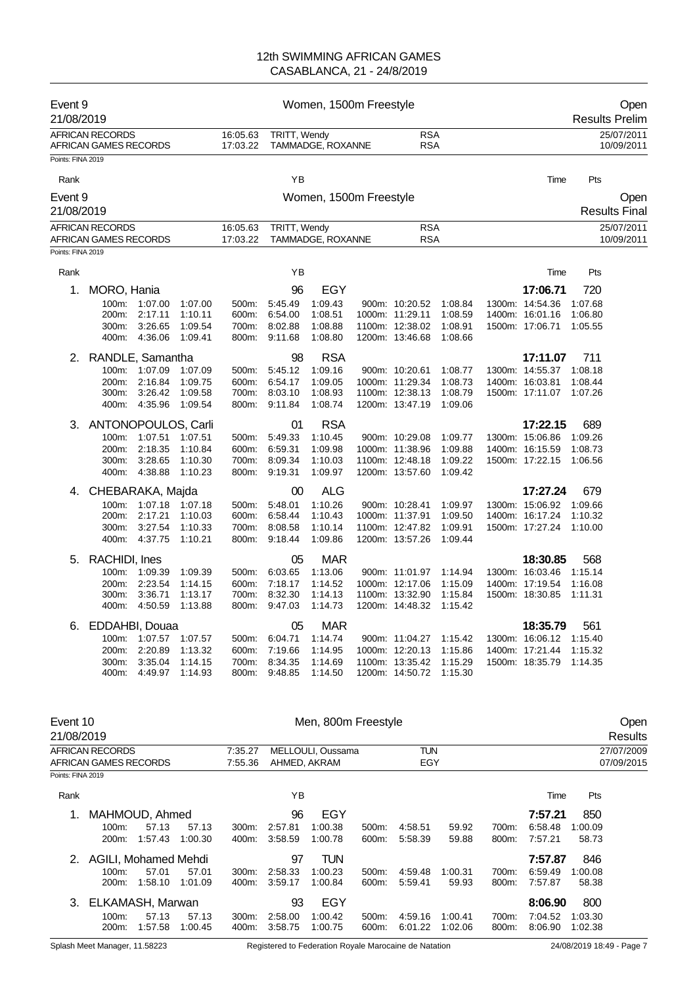| Event 9<br>21/08/2019                      |                                                 |                          |                    |                      |                          | Women, 1500m Freestyle |                                    |                    |                                    |                    | Open<br><b>Results Prelim</b> |
|--------------------------------------------|-------------------------------------------------|--------------------------|--------------------|----------------------|--------------------------|------------------------|------------------------------------|--------------------|------------------------------------|--------------------|-------------------------------|
|                                            | <b>AFRICAN RECORDS</b><br>AFRICAN GAMES RECORDS |                          |                    | 16:05.63<br>17:03.22 | TRITT, Wendy             | TAMMADGE, ROXANNE      | <b>RSA</b><br><b>RSA</b>           |                    |                                    |                    | 25/07/2011<br>10/09/2011      |
| Points: FINA 2019                          |                                                 |                          |                    |                      |                          |                        |                                    |                    |                                    |                    |                               |
| Rank                                       |                                                 |                          |                    |                      | ΥB                       |                        |                                    |                    | Time                               | Pts                |                               |
| Event 9                                    |                                                 |                          |                    |                      |                          | Women, 1500m Freestyle |                                    |                    |                                    |                    | Open                          |
| 21/08/2019                                 |                                                 |                          |                    |                      |                          |                        |                                    |                    |                                    |                    | <b>Results Final</b>          |
|                                            | <b>AFRICAN RECORDS</b>                          |                          |                    | 16:05.63             | TRITT, Wendy             |                        | <b>RSA</b>                         |                    |                                    |                    | 25/07/2011                    |
| Points: FINA 2019                          | AFRICAN GAMES RECORDS                           |                          |                    | 17:03.22             |                          | TAMMADGE, ROXANNE      | <b>RSA</b>                         |                    |                                    |                    | 10/09/2011                    |
| Rank                                       |                                                 |                          |                    |                      | YB                       |                        |                                    |                    | Time                               | Pts                |                               |
| 1.                                         | MORO, Hania                                     |                          |                    |                      | 96                       | EGY                    |                                    |                    | 17:06.71                           | 720                |                               |
|                                            |                                                 | 100m: 1:07.00            | 1:07.00            | 500m:                | 5:45.49                  | 1:09.43                | 900m: 10:20.52                     | 1:08.84            | 1300m: 14:54.36                    | 1:07.68            |                               |
|                                            | 200m:                                           | 2:17.11                  | 1:10.11            | 600m:                | 6:54.00                  | 1:08.51                | 1000m: 11:29.11                    | 1:08.59            | 1400m: 16:01.16                    | 1:06.80            |                               |
|                                            | 300m:                                           | 3:26.65<br>400m: 4:36.06 | 1:09.54<br>1:09.41 | 700m:                | 8:02.88<br>800m: 9:11.68 | 1:08.88<br>1:08.80     | 1100m: 12:38.02<br>1200m: 13:46.68 | 1:08.91<br>1:08.66 | 1500m: 17:06.71                    | 1:05.55            |                               |
| 2.                                         | RANDLE, Samantha                                |                          |                    |                      | 98                       | <b>RSA</b>             |                                    |                    | 17:11.07                           | 711                |                               |
|                                            |                                                 | 100m: 1:07.09            | 1:07.09            | 500m:                | 5:45.12                  | 1:09.16                | 900m: 10:20.61                     | 1:08.77            | 1300m: 14:55.37                    | 1:08.18            |                               |
|                                            | 200m:                                           | 2:16.84                  | 1:09.75            | 600m:                | 6:54.17                  | 1:09.05                | 1000m: 11:29.34                    | 1:08.73            | 1400m: 16:03.81                    | 1:08.44            |                               |
|                                            | 300m:<br>400m:                                  | 3:26.42<br>4.35.96       | 1:09.58<br>1:09.54 | 800m:                | 700m: 8:03.10<br>9:11.84 | 1:08.93<br>1:08.74     | 1100m: 12:38.13<br>1200m: 13:47.19 | 1:08.79<br>1:09.06 | 1500m: 17:11.07                    | 1:07.26            |                               |
|                                            | 3. ANTONOPOULOS, Carli                          |                          |                    |                      | 01                       | <b>RSA</b>             |                                    |                    | 17:22.15                           | 689                |                               |
|                                            | 100m:                                           | 1:07.51                  | 1:07.51            | 500m:                | 5:49.33                  | 1:10.45                | 900m: 10:29.08                     | 1:09.77            | 1300m: 15:06.86                    | 1:09.26            |                               |
|                                            | 200m:                                           | 2:18.35                  | 1:10.84            | 600m:                | 6.59.31                  | 1:09.98                | 1000m: 11:38.96                    | 1:09.88            | 1400m: 16:15.59                    | 1:08.73            |                               |
|                                            | 300m:<br>400m:                                  | 3:28.65<br>4:38.88       | 1:10.30<br>1:10.23 | 700m:<br>800m:       | 8:09.34<br>9:19.31       | 1:10.03<br>1:09.97     | 1100m: 12:48.18<br>1200m: 13:57.60 | 1:09.22<br>1:09.42 | 1500m: 17:22.15                    | 1:06.56            |                               |
| 4.                                         | CHEBARAKA, Majda                                |                          |                    |                      | 00                       | <b>ALG</b>             |                                    |                    | 17:27.24                           | 679                |                               |
|                                            |                                                 | 100m: 1:07.18            | 1:07.18            | 500m:                | 5.48.01                  | 1:10.26                | 900m: 10:28.41                     | 1:09.97            | 1300m: 15:06.92                    | 1:09.66            |                               |
|                                            | 200m:                                           | 2:17.21                  | 1:10.03            | 600m:                | 6:58.44                  | 1:10.43                | 1000m: 11:37.91                    | 1:09.50            | 1400m: 16:17.24                    | 1:10.32            |                               |
|                                            | 300m:<br>400m:                                  | 3:27.54<br>4:37.75       | 1:10.33            | 700m:<br>800m:       | 8:08.58<br>9:18.44       | 1:10.14<br>1:09.86     | 1100m: 12:47.82<br>1200m: 13:57.26 | 1:09.91<br>1:09.44 | 1500m: 17:27.24                    | 1:10.00            |                               |
|                                            |                                                 |                          | 1:10.21            |                      |                          |                        |                                    |                    |                                    |                    |                               |
| 5.                                         | RACHIDI, Ines                                   |                          |                    |                      | 05                       | <b>MAR</b>             |                                    |                    | 18:30.85                           | 568                |                               |
|                                            | 100m:<br>200m:                                  | 1:09.39<br>2:23.54       | 1:09.39<br>1.14.15 | 500m:<br>600m:       | 6:03.65<br>7:18.17       | 1:13.06<br>1:14.52     | 900m: 11:01.97<br>1000m: 12:17.06  | 1.14.94<br>1:15.09 | 1300m: 16:03.46<br>1400m: 17:19.54 | 1.15.14<br>1:16.08 |                               |
|                                            | 300m:                                           | 3:36.71                  | 1:13.17            | 700m:                | 8:32.30                  | 1:14.13                | 1100m: 13:32.90                    | 1:15.84            | 1500m: 18:30.85                    | 1:11.31            |                               |
|                                            | 400m:                                           | 4:50.59                  | 1:13.88            | 800m:                | 9:47.03                  | 1:14.73                | 1200m: 14:48.32                    | 1.15.42            |                                    |                    |                               |
|                                            | 6. EDDAHBI, Douaa                               |                          |                    |                      | 05                       | <b>MAR</b>             |                                    |                    | 18:35.79                           | 561                |                               |
|                                            |                                                 | 100m: 1:07.57            | 1:07.57            | 500m:                | 6:04.71                  | 1:14.74                | 900m: 11:04.27                     | 1.15.42            | 1300m: 16:06.12                    | 1:15.40            |                               |
|                                            | 200m:<br>300m:                                  | 2:20.89<br>3:35.04       | 1:13.32<br>1:14.15 | 600m:<br>700m:       | 7:19.66<br>8:34.35       | 1:14.95<br>1:14.69     | 1000m: 12:20.13<br>1100m: 13:35.42 | 1:15.86<br>1:15.29 | 1400m: 17:21.44<br>1500m: 18:35.79 | 1:15.32<br>1:14.35 |                               |
|                                            | 400m:                                           | 4:49.97                  | 1:14.93            | 800m:                | 9:48.85                  | 1:14.50                | 1200m: 14:50.72                    | 1:15.30            |                                    |                    |                               |
| Event 10<br>21/08/2019                     |                                                 |                          |                    |                      |                          | Men, 800m Freestyle    |                                    |                    |                                    |                    | Open<br>Results               |
|                                            | <b>AFRICAN RECORDS</b>                          |                          |                    | 7:35.27              |                          | MELLOULI, Oussama      | <b>TUN</b>                         |                    |                                    |                    | 27/07/2009                    |
| AFRICAN GAMES RECORDS<br>Points: FINA 2019 |                                                 | 7:55.36                  | AHMED, AKRAM       |                      | EGY                      |                        |                                    |                    | 07/09/2015                         |                    |                               |

| Rank |                      |                  |                  |                           | ΥB                 |                    |                   |                    |                    |                | Time               | Pts                |  |
|------|----------------------|------------------|------------------|---------------------------|--------------------|--------------------|-------------------|--------------------|--------------------|----------------|--------------------|--------------------|--|
| 1.   | MAHMOUD, Ahmed       |                  |                  |                           | 96                 | EGY                |                   |                    |                    |                | 7:57.21            | 850                |  |
|      | $100m$ :             | 57.13            | 57.13            | $300m$ :                  | 2:57.81            | 1:00.38            | $500m$ :          | 4:58.51            | 59.92              | 700m:          | 6:58.48            | 1:00.09            |  |
|      | 200 <sub>m</sub> :   | 1:57.43          | 1:00.30          | 400m:                     | 3:58.59            | 1:00.78            | 600m:             | 5:58.39            | 59.88              | 800m:          | 7:57.21            | 58.73              |  |
| 2.   | AGILI, Mohamed Mehdi |                  |                  |                           | 97                 | TUN                |                   |                    |                    |                | 7:57.87            | 846                |  |
|      | $100m$ :             | 57.01            | 57.01            | $300m$ :                  | 2:58.33            | 1:00.23            | $500m$ :          | 4:59.48            | 1:00.31            | 700m:          | 6:59.49            | 1:00.08            |  |
|      | 200m:                | 1:58.10          | 1:01.09          | 400m:                     | 3:59.17            | 1:00.84            | 600m:             | 5:59.41            | 59.93              | 800m:          | 7:57.87            | 58.38              |  |
|      | 3. ELKAMASH, Marwan  |                  |                  |                           | 93                 | EGY                |                   |                    |                    |                | 8:06.90            | 800                |  |
|      | $100m$ :<br>$200m$ : | 57.13<br>1:57.58 | 57.13<br>1:00.45 | 300 <sub>m</sub><br>400m: | 2:58.00<br>3:58.75 | 1:00.42<br>1:00.75 | $500m$ :<br>600m: | 4:59.16<br>6:01.22 | 1:00.41<br>1:02.06 | 700m:<br>800m: | 7:04.52<br>8:06.90 | 1:03.30<br>1:02.38 |  |

Splash Meet Manager, 11.58223 Registered to Federation Royale Marocaine de Natation 24/08/2019 18:49 - Page 7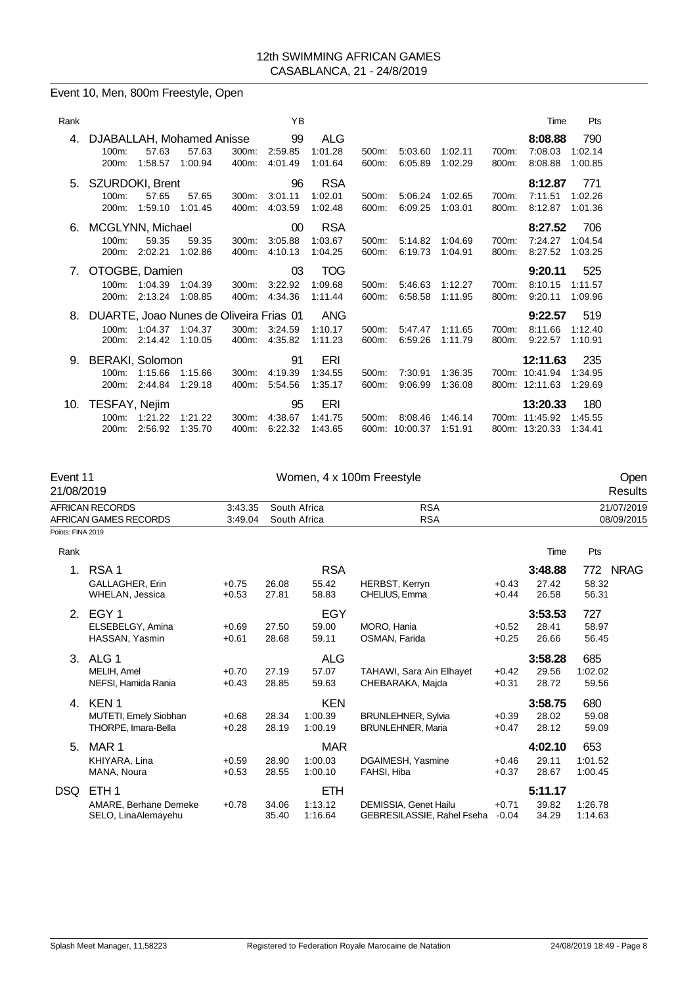## Event 10, Men, 800m Freestyle, Open

| Rank |                                                           |                    |                    |                | ΥB                       |                                  |                |                     |                    |                | Time                                         | Pts                       |
|------|-----------------------------------------------------------|--------------------|--------------------|----------------|--------------------------|----------------------------------|----------------|---------------------|--------------------|----------------|----------------------------------------------|---------------------------|
| 4.   | DJABALLAH, Mohamed Anisse<br>$100m$ :<br>200m:            | 57.63<br>1:58.57   | 57.63<br>1:00.94   | 300m.<br>400m: | 99<br>2:59.85<br>4:01.49 | ALG<br>1:01.28<br>1:01.64        | 500m:<br>600m: | 5:03.60<br>6:05.89  | 1:02.11<br>1:02.29 | 700m:<br>800m: | 8:08.88<br>7:08.03<br>8:08.88                | 790<br>1:02.14<br>1:00.85 |
| 5.   | SZURDOKI, Brent<br>$100m$ :<br>200m:                      | 57.65<br>1:59.10   | 57.65<br>1:01.45   | 300m:<br>400m: | 96<br>3:01.11<br>4:03.59 | <b>RSA</b><br>1:02.01<br>1:02.48 | 500m:<br>600m: | 5:06.24<br>6:09.25  | 1:02.65<br>1:03.01 | 700m:<br>800m: | 8:12.87<br>7:11.51<br>8:12.87                | 771<br>1:02.26<br>1:01.36 |
| 6.   | MCGLYNN, Michael<br>$100m$ :<br>200m:                     | 59.35<br>2:02.21   | 59.35<br>1:02.86   | 300m:<br>400m: | 00<br>3:05.88<br>4:10.13 | <b>RSA</b><br>1:03.67<br>1:04.25 | 500m:<br>600m: | 5:14.82<br>6:19.73  | 1:04.69<br>1:04.91 | 700m:<br>800m: | 8:27.52<br>7:24.27<br>8:27.52                | 706<br>1:04.54<br>1:03.25 |
| 7.   | OTOGBE, Damien<br>$100m$ :<br>200m:                       | 1:04.39<br>2:13.24 | 1:04.39<br>1:08.85 | 300m.<br>400m. | 03<br>3:22.92<br>4:34.36 | <b>TOG</b><br>1:09.68<br>1:11.44 | 500m:<br>600m: | 5:46.63<br>6:58.58  | 1:12.27<br>1:11.95 | 700m:<br>800m: | 9:20.11<br>8:10.15<br>9:20.11                | 525<br>1:11.57<br>1:09.96 |
| 8.   | DUARTE, Joao Nunes de Oliveira Frias 01<br>100m:<br>200m: | 1:04.37<br>2:14.42 | 1:04.37<br>1:10.05 | 300m.<br>400m: | 3:24.59<br>4:35.82       | <b>ANG</b><br>1:10.17<br>1:11.23 | 500m:<br>600m: | 5:47.47<br>6:59.26  | 1:11.65<br>1:11.79 | 700m:<br>800m: | 9:22.57<br>8:11.66<br>9:22.57                | 519<br>1:12.40<br>1:10.91 |
| 9.   | <b>BERAKI, Solomon</b><br>100m:<br>$200m$ :               | 1:15.66<br>2:44.84 | 1:15.66<br>1:29.18 | 300m:<br>400m: | 91<br>4:19.39<br>5:54.56 | ERI<br>1:34.55<br>1:35.17        | 500m:<br>600m: | 7:30.91<br>9:06.99  | 1:36.35<br>1:36.08 |                | 12:11.63<br>700m: 10:41.94<br>800m: 12:11.63 | 235<br>1:34.95<br>1:29.69 |
| 10.  | TESFAY, Nejim<br>100m:<br>200m:                           | 1:21.22<br>2:56.92 | 1:21.22<br>1:35.70 | 300m:<br>400m: | 95<br>4:38.67<br>6:22.32 | ERI<br>1:41.75<br>1:43.65        | 500m:<br>600m: | 8:08.46<br>10:00.37 | 1:46.14<br>1:51.91 | 700m:          | 13:20.33<br>11:45.92<br>800m: 13:20.33       | 180<br>1:45.55<br>1:34.41 |

| Event 11<br>21/08/2019 |                                                                  |                    |                |                                  | Women, 4 x 100m Freestyle                             |                    |                           |                           | Open<br><b>Results</b>   |
|------------------------|------------------------------------------------------------------|--------------------|----------------|----------------------------------|-------------------------------------------------------|--------------------|---------------------------|---------------------------|--------------------------|
|                        | <b>AFRICAN RECORDS</b><br><b>AFRICAN GAMES RECORDS</b>           | 3:43.35<br>3:49.04 |                | South Africa<br>South Africa     | <b>RSA</b><br><b>RSA</b>                              |                    |                           |                           | 21/07/2019<br>08/09/2015 |
| Points: FINA 2019      |                                                                  |                    |                |                                  |                                                       |                    |                           |                           |                          |
| Rank                   |                                                                  |                    |                |                                  |                                                       |                    | Time                      | Pts                       |                          |
| $1_{-}$                | RSA <sub>1</sub><br>GALLAGHER, Erin<br>WHELAN, Jessica           | $+0.75$<br>$+0.53$ | 26.08<br>27.81 | <b>RSA</b><br>55.42<br>58.83     | <b>HERBST, Kerryn</b><br>CHELIUS, Emma                | $+0.43$<br>$+0.44$ | 3:48.88<br>27.42<br>26.58 | 772<br>58.32<br>56.31     | <b>NRAG</b>              |
| 2.                     | EGY <sub>1</sub><br>ELSEBELGY, Amina<br>HASSAN, Yasmin           | $+0.69$<br>$+0.61$ | 27.50<br>28.68 | <b>EGY</b><br>59.00<br>59.11     | MORO, Hania<br>OSMAN, Farida                          | $+0.52$<br>$+0.25$ | 3:53.53<br>28.41<br>26.66 | 727<br>58.97<br>56.45     |                          |
| 3.                     | ALG 1<br>MELIH, Amel<br>NEFSI, Hamida Rania                      | $+0.70$<br>$+0.43$ | 27.19<br>28.85 | <b>ALG</b><br>57.07<br>59.63     | TAHAWI, Sara Ain Elhayet<br>CHEBARAKA, Majda          | $+0.42$<br>$+0.31$ | 3:58.28<br>29.56<br>28.72 | 685<br>1:02.02<br>59.56   |                          |
| 4.                     | KEN <sub>1</sub><br>MUTETI, Emely Siobhan<br>THORPE, Imara-Bella | $+0.68$<br>$+0.28$ | 28.34<br>28.19 | <b>KEN</b><br>1:00.39<br>1:00.19 | <b>BRUNLEHNER, Sylvia</b><br><b>BRUNLEHNER, Maria</b> | $+0.39$<br>$+0.47$ | 3:58.75<br>28.02<br>28.12 | 680<br>59.08<br>59.09     |                          |
| 5.                     | MAR 1<br>KHIYARA, Lina<br>MANA, Noura                            | $+0.59$<br>$+0.53$ | 28.90<br>28.55 | <b>MAR</b><br>1:00.03<br>1:00.10 | DGAIMESH, Yasmine<br>FAHSI, Hiba                      | $+0.46$<br>$+0.37$ | 4:02.10<br>29.11<br>28.67 | 653<br>1:01.52<br>1:00.45 |                          |
| DSQ                    | ETH <sub>1</sub><br>AMARE, Berhane Demeke<br>SELO, LinaAlemayehu | $+0.78$            | 34.06<br>35.40 | <b>ETH</b><br>1:13.12<br>1:16.64 | DEMISSIA, Genet Hailu<br>GEBRESILASSIE, Rahel Fseha   | $+0.71$<br>$-0.04$ | 5:11.17<br>39.82<br>34.29 | 1:26.78<br>1:14.63        |                          |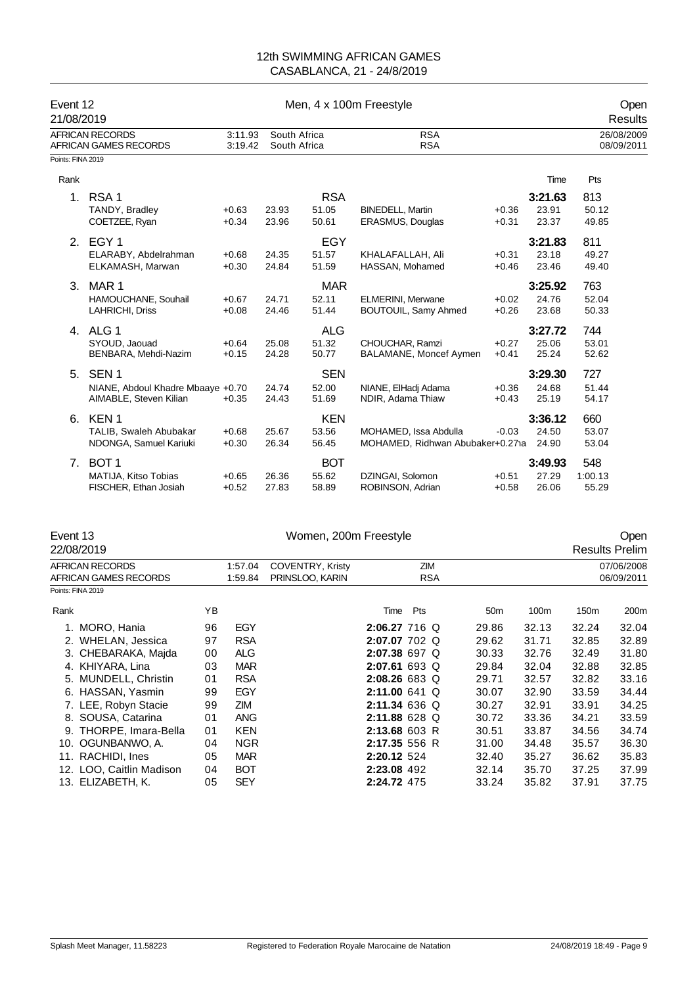| Event 12<br>21/08/2019 |                                                                                 |                    |                              |                              | Men, 4 x 100m Freestyle                                   |                    |                           | Open<br>Results          |
|------------------------|---------------------------------------------------------------------------------|--------------------|------------------------------|------------------------------|-----------------------------------------------------------|--------------------|---------------------------|--------------------------|
|                        | <b>AFRICAN RECORDS</b><br><b>AFRICAN GAMES RECORDS</b>                          | 3:11.93<br>3:19.42 | South Africa<br>South Africa |                              | <b>RSA</b><br><b>RSA</b>                                  |                    |                           | 26/08/2009<br>08/09/2011 |
| Points: FINA 2019      |                                                                                 |                    |                              |                              |                                                           |                    |                           |                          |
| Rank                   |                                                                                 |                    |                              |                              |                                                           |                    | Time                      | Pts                      |
| 1.                     | RSA <sub>1</sub><br>TANDY, Bradley<br>COETZEE, Ryan                             | $+0.63$<br>$+0.34$ | 23.93<br>23.96               | <b>RSA</b><br>51.05<br>50.61 | <b>BINEDELL, Martin</b><br><b>ERASMUS, Douglas</b>        | $+0.36$<br>$+0.31$ | 3:21.63<br>23.91<br>23.37 | 813<br>50.12<br>49.85    |
|                        | 2. EGY 1<br>ELARABY, Abdelrahman<br>ELKAMASH, Marwan                            | $+0.68$<br>$+0.30$ | 24.35<br>24.84               | EGY<br>51.57<br>51.59        | KHALAFALLAH, Ali<br>HASSAN, Mohamed                       | $+0.31$<br>$+0.46$ | 3:21.83<br>23.18<br>23.46 | 811<br>49.27<br>49.40    |
| 3.                     | MAR <sub>1</sub><br>HAMOUCHANE, Souhail<br>LAHRICHI, Driss                      | $+0.67$<br>$+0.08$ | 24.71<br>24.46               | <b>MAR</b><br>52.11<br>51.44 | <b>ELMERINI, Merwane</b><br>BOUTOUIL, Samy Ahmed          | $+0.02$<br>$+0.26$ | 3:25.92<br>24.76<br>23.68 | 763<br>52.04<br>50.33    |
|                        | 4. ALG 1<br>SYOUD, Jaouad<br>BENBARA, Mehdi-Nazim                               | $+0.64$<br>$+0.15$ | 25.08<br>24.28               | <b>ALG</b><br>51.32<br>50.77 | CHOUCHAR, Ramzi<br>BALAMANE, Moncef Aymen                 | $+0.27$<br>$+0.41$ | 3:27.72<br>25.06<br>25.24 | 744<br>53.01<br>52.62    |
| 5.                     | SEN <sub>1</sub><br>NIANE, Abdoul Khadre Mbaaye +0.70<br>AIMABLE, Steven Kilian | $+0.35$            | 24.74<br>24.43               | <b>SEN</b><br>52.00<br>51.69 | NIANE, ElHadj Adama<br>NDIR, Adama Thiaw                  | $+0.36$<br>$+0.43$ | 3:29.30<br>24.68<br>25.19 | 727<br>51.44<br>54.17    |
| 6.                     | KEN <sub>1</sub><br>TALIB, Swaleh Abubakar<br>NDONGA, Samuel Kariuki            | $+0.68$<br>$+0.30$ | 25.67<br>26.34               | <b>KEN</b><br>53.56<br>56.45 | MOHAMED, Issa Abdulla<br>MOHAMED, Ridhwan Abubaker+0.271a | $-0.03$            | 3:36.12<br>24.50<br>24.90 | 660<br>53.07<br>53.04    |
| 7 <sub>1</sub>         | BOT <sub>1</sub><br>MATIJA, Kitso Tobias<br>FISCHER, Ethan Josiah               | $+0.65$<br>$+0.52$ | 26.36<br>27.83               | <b>BOT</b><br>55.62<br>58.89 | DZINGAI, Solomon<br>ROBINSON, Adrian                      | $+0.51$<br>$+0.58$ | 3:49.93<br>27.29<br>26.06 | 548<br>1:00.13<br>55.29  |

Event 13 Communication of the UV Momen, 200m Freestyle Communication of the Open Communication of the Open Communication of the Open 22/08/2019

Results Prelim

| AFRICAN RECORDS          |    | 1:57.04    | <b>COVENTRY, Kristy</b> |                 | ZIM        |                 |       |       | 07/06/2008 |
|--------------------------|----|------------|-------------------------|-----------------|------------|-----------------|-------|-------|------------|
| AFRICAN GAMES RECORDS    |    | 1:59.84    | PRINSLOO, KARIN         |                 | <b>RSA</b> |                 |       |       | 06/09/2011 |
| Points: FINA 2019        |    |            |                         |                 |            |                 |       |       |            |
| Rank                     | ΥB |            |                         | Time            | Pts        | 50 <sub>m</sub> | 100m  | 150m  | 200m       |
| 1. MORO, Hania           | 96 | EGY        |                         | 2:06.27 716 Q   |            | 29.86           | 32.13 | 32.24 | 32.04      |
| 2. WHELAN, Jessica       | 97 | <b>RSA</b> |                         | 2:07.07 702 Q   |            | 29.62           | 31.71 | 32.85 | 32.89      |
| 3. CHEBARAKA, Majda      | 00 | ALG        |                         | 2:07.38 697 Q   |            | 30.33           | 32.76 | 32.49 | 31.80      |
| 4. KHIYARA, Lina         | 03 | <b>MAR</b> |                         | 2:07.61 693 Q   |            | 29.84           | 32.04 | 32.88 | 32.85      |
| 5. MUNDELL, Christin     | 01 | <b>RSA</b> |                         | 2:08.26 683 Q   |            | 29.71           | 32.57 | 32.82 | 33.16      |
| 6. HASSAN, Yasmin        | 99 | EGY        |                         | $2:11.00641$ Q  |            | 30.07           | 32.90 | 33.59 | 34.44      |
| 7. LEE, Robyn Stacie     | 99 | ZIM        |                         | 2:11.34 636 Q   |            | 30.27           | 32.91 | 33.91 | 34.25      |
| 8. SOUSA, Catarina       | 01 | <b>ANG</b> |                         | 2:11.88 628 Q   |            | 30.72           | 33.36 | 34.21 | 33.59      |
| 9. THORPE, Imara-Bella   | 01 | <b>KEN</b> |                         | $2:13.68$ 603 R |            | 30.51           | 33.87 | 34.56 | 34.74      |
| 10. OGUNBANWO, A.        | 04 | <b>NGR</b> |                         | 2:17.35 556 R   |            | 31.00           | 34.48 | 35.57 | 36.30      |
| 11. RACHIDI, Ines        | 05 | <b>MAR</b> |                         | 2:20.12 524     |            | 32.40           | 35.27 | 36.62 | 35.83      |
| 12. LOO, Caitlin Madison | 04 | <b>BOT</b> |                         | 2:23.08 492     |            | 32.14           | 35.70 | 37.25 | 37.99      |
| 13. ELIZABETH, K.        | 05 | <b>SEY</b> |                         | 2:24.72 475     |            | 33.24           | 35.82 | 37.91 | 37.75      |
|                          |    |            |                         |                 |            |                 |       |       |            |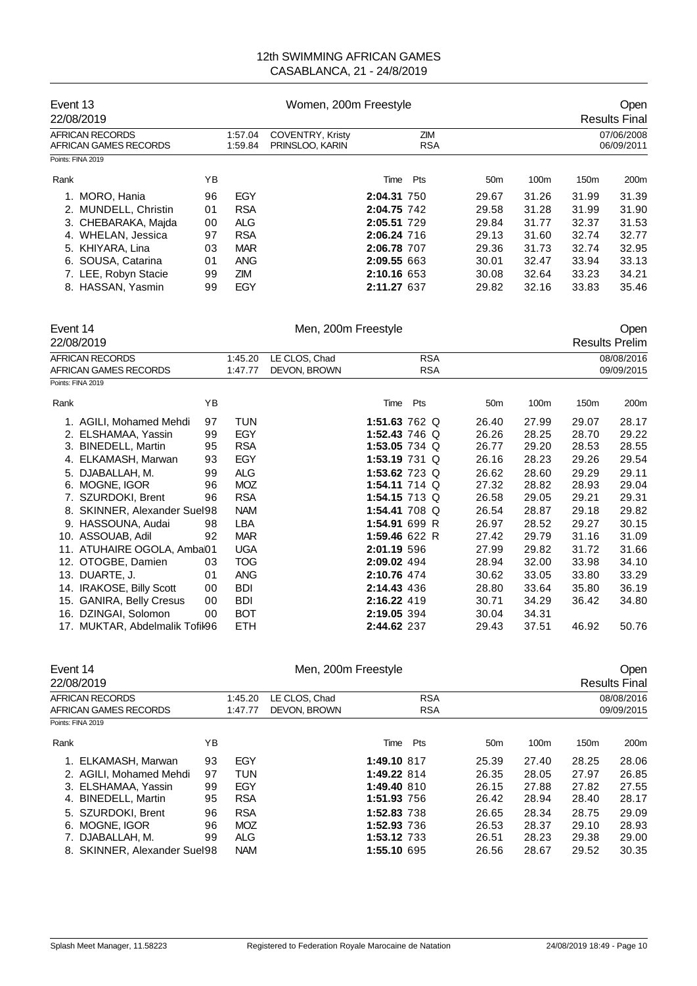| Event 13<br>22/08/2019                   |    |                    | Women, 200m Freestyle                      |             |                   |                 |                  |                  | <b>Open</b><br><b>Results Final</b> |
|------------------------------------------|----|--------------------|--------------------------------------------|-------------|-------------------|-----------------|------------------|------------------|-------------------------------------|
| AFRICAN RECORDS<br>AFRICAN GAMES RECORDS |    | 1:57.04<br>1:59.84 | <b>COVENTRY, Kristy</b><br>PRINSLOO, KARIN |             | ZIM<br><b>RSA</b> |                 |                  |                  | 07/06/2008<br>06/09/2011            |
| Points: FINA 2019                        |    |                    |                                            |             |                   |                 |                  |                  |                                     |
| Rank                                     | ΥB |                    |                                            | Time        | Pts               | 50 <sub>m</sub> | 100 <sub>m</sub> | 150 <sub>m</sub> | 200 <sub>m</sub>                    |
| 1. MORO, Hania                           | 96 | EGY                |                                            | 2:04.31 750 |                   | 29.67           | 31.26            | 31.99            | 31.39                               |
| 2. MUNDELL, Christin                     | 01 | <b>RSA</b>         |                                            | 2:04.75 742 |                   | 29.58           | 31.28            | 31.99            | 31.90                               |
| 3. CHEBARAKA, Majda                      | 00 | <b>ALG</b>         |                                            | 2:05.51 729 |                   | 29.84           | 31.77            | 32.37            | 31.53                               |
| 4. WHELAN, Jessica                       | 97 | <b>RSA</b>         |                                            | 2:06.24 716 |                   | 29.13           | 31.60            | 32.74            | 32.77                               |
| 5. KHIYARA, Lina                         | 03 | <b>MAR</b>         |                                            | 2:06.78 707 |                   | 29.36           | 31.73            | 32.74            | 32.95                               |
| 6. SOUSA, Catarina                       | 01 | <b>ANG</b>         |                                            | 2:09.55 663 |                   | 30.01           | 32.47            | 33.94            | 33.13                               |
| 7. LEE, Robyn Stacie                     | 99 | ZIM                |                                            | 2:10.16 653 |                   | 30.08           | 32.64            | 33.23            | 34.21                               |
| 8. HASSAN, Yasmin                        | 99 | EGY                |                                            | 2:11.27 637 |                   | 29.82           | 32.16            | 33.83            | 35.46                               |

| Event 14 |                                | Men, 200m Freestyle |            |               |               |     |            |                 | Open  |                       |            |
|----------|--------------------------------|---------------------|------------|---------------|---------------|-----|------------|-----------------|-------|-----------------------|------------|
|          | 22/08/2019                     |                     |            |               |               |     |            |                 |       | <b>Results Prelim</b> |            |
|          | <b>AFRICAN RECORDS</b>         |                     | 1:45.20    | LE CLOS, Chad |               |     | <b>RSA</b> |                 |       |                       | 08/08/2016 |
|          | AFRICAN GAMES RECORDS          |                     | 1:47.77    | DEVON, BROWN  |               |     | <b>RSA</b> |                 |       |                       | 09/09/2015 |
|          | Points: FINA 2019              |                     |            |               |               |     |            |                 |       |                       |            |
| Rank     |                                | ΥB                  |            |               | Time          | Pts |            | 50 <sub>m</sub> | 100m  | 150m                  | 200m       |
|          | 1. AGILI, Mohamed Mehdi        | 97                  | <b>TUN</b> |               | 1:51.63 762 Q |     |            | 26.40           | 27.99 | 29.07                 | 28.17      |
|          | 2. ELSHAMAA, Yassin            | 99                  | <b>EGY</b> |               | 1:52.43 746 Q |     |            | 26.26           | 28.25 | 28.70                 | 29.22      |
|          | 3. BINEDELL, Martin            | 95                  | <b>RSA</b> |               | 1:53.05 734 Q |     |            | 26.77           | 29.20 | 28.53                 | 28.55      |
|          | 4. ELKAMASH, Marwan            | 93                  | EGY        |               | 1:53.19 731 Q |     |            | 26.16           | 28.23 | 29.26                 | 29.54      |
|          | 5. DJABALLAH, M.               | 99                  | <b>ALG</b> |               | 1:53.62 723 Q |     |            | 26.62           | 28.60 | 29.29                 | 29.11      |
| 6.       | MOGNE, IGOR                    | 96                  | <b>MOZ</b> |               | 1:54.11 714 Q |     |            | 27.32           | 28.82 | 28.93                 | 29.04      |
|          | 7. SZURDOKI, Brent             | 96                  | <b>RSA</b> |               | 1:54.15 713 Q |     |            | 26.58           | 29.05 | 29.21                 | 29.31      |
|          | 8. SKINNER, Alexander Suel98   |                     | <b>NAM</b> |               | 1:54.41 708 Q |     |            | 26.54           | 28.87 | 29.18                 | 29.82      |
|          | 9. HASSOUNA, Audai             | 98                  | LBA        |               | 1:54.91 699 R |     |            | 26.97           | 28.52 | 29.27                 | 30.15      |
|          | 10. ASSOUAB, Adil              | 92                  | <b>MAR</b> |               | 1:59.46 622 R |     |            | 27.42           | 29.79 | 31.16                 | 31.09      |
|          | 11. ATUHAIRE OGOLA, Amba01     |                     | <b>UGA</b> |               | 2:01.19 596   |     |            | 27.99           | 29.82 | 31.72                 | 31.66      |
|          | 12. OTOGBE, Damien             | 03                  | <b>TOG</b> |               | 2:09.02 494   |     |            | 28.94           | 32.00 | 33.98                 | 34.10      |
|          | 13. DUARTE, J.                 | 01                  | <b>ANG</b> |               | 2:10.76 474   |     |            | 30.62           | 33.05 | 33.80                 | 33.29      |
|          | 14. IRAKOSE, Billy Scott       | 00                  | BDI        |               | 2:14.43 436   |     |            | 28.80           | 33.64 | 35.80                 | 36.19      |
|          | 15. GANIRA, Belly Cresus       | 00                  | <b>BDI</b> |               | 2:16.22 419   |     |            | 30.71           | 34.29 | 36.42                 | 34.80      |
|          | 16. DZINGAI, Solomon           | 00                  | <b>BOT</b> |               | 2:19.05 394   |     |            | 30.04           | 34.31 |                       |            |
|          | 17. MUKTAR, Abdelmalik Tofil96 |                     | ETH        |               | 2:44.62 237   |     |            | 29.43           | 37.51 | 46.92                 | 50.76      |

| Event 14<br>22/08/2019                   | Men, 200m Freestyle<br>Open<br><b>Results Final</b> |                               |  |                          |     |                          |                  |                  |       |
|------------------------------------------|-----------------------------------------------------|-------------------------------|--|--------------------------|-----|--------------------------|------------------|------------------|-------|
| AFRICAN RECORDS<br>AFRICAN GAMES RECORDS | 1:45.20<br>1:47.77                                  | LE CLOS, Chad<br>DEVON, BROWN |  | <b>RSA</b><br><b>RSA</b> |     | 08/08/2016<br>09/09/2015 |                  |                  |       |
| Points: FINA 2019                        |                                                     |                               |  |                          |     |                          |                  |                  |       |
| Rank                                     | ΥB                                                  |                               |  | Time                     | Pts | 50 <sub>m</sub>          | 100 <sub>m</sub> | 150 <sub>m</sub> | 200m  |
| 1. ELKAMASH, Marwan                      | 93                                                  | EGY                           |  | 1:49.10 817              |     | 25.39                    | 27.40            | 28.25            | 28.06 |
| 2. AGILI. Mohamed Mehdi                  | 97                                                  | <b>TUN</b>                    |  | 1:49.22 814              |     | 26.35                    | 28.05            | 27.97            | 26.85 |
| 3. ELSHAMAA, Yassin                      | 99                                                  | EGY                           |  | 1:49.40 810              |     | 26.15                    | 27.88            | 27.82            | 27.55 |
| 4. BINEDELL, Martin                      | 95                                                  | <b>RSA</b>                    |  | 1:51.93 756              |     | 26.42                    | 28.94            | 28.40            | 28.17 |
| 5. SZURDOKI, Brent                       | 96                                                  | <b>RSA</b>                    |  | 1:52.83 738              |     | 26.65                    | 28.34            | 28.75            | 29.09 |
| MOGNE. IGOR<br>6.                        | 96                                                  | <b>MOZ</b>                    |  | 1:52.93 736              |     | 26.53                    | 28.37            | 29.10            | 28.93 |
| 7. DJABALLAH. M.                         | 99                                                  | ALG                           |  | 1:53.12 733              |     | 26.51                    | 28.23            | 29.38            | 29.00 |
| 8. SKINNER, Alexander Suel98             |                                                     | <b>NAM</b>                    |  | 1:55.10 695              |     | 26.56                    | 28.67            | 29.52            | 30.35 |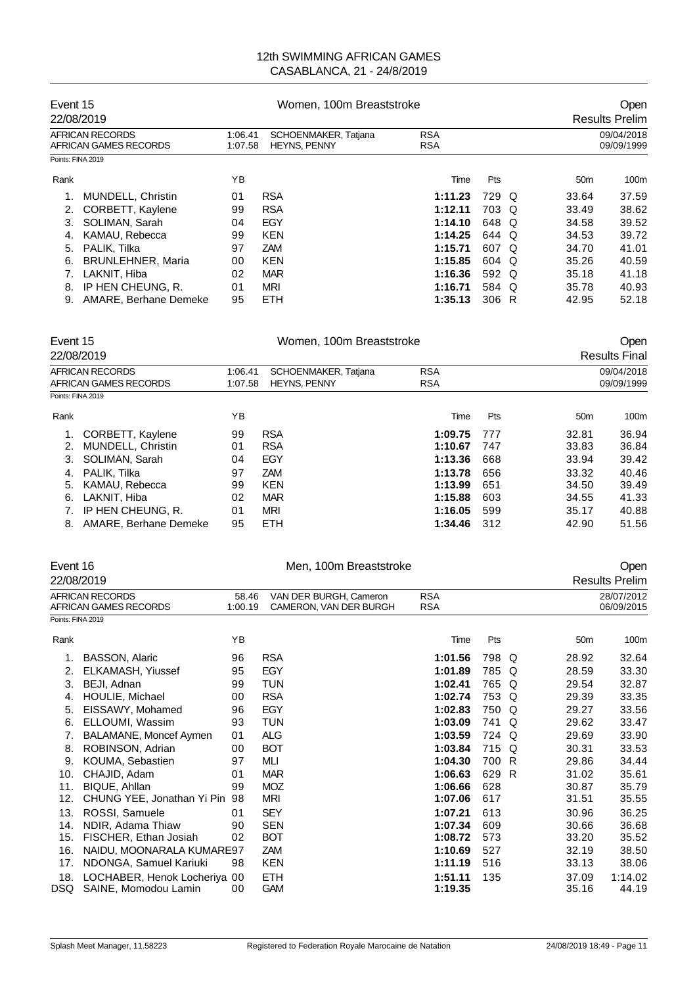| Event 15<br>22/08/2019                   |                          |                                                                   | Women, 100m Breaststroke | Open<br><b>Results Prelim</b> |            |  |                          |       |
|------------------------------------------|--------------------------|-------------------------------------------------------------------|--------------------------|-------------------------------|------------|--|--------------------------|-------|
| AFRICAN RECORDS<br>AFRICAN GAMES RECORDS |                          | 1:06.41<br>SCHOENMAKER, Tatjana<br>1:07.58<br><b>HEYNS, PENNY</b> |                          | <b>RSA</b><br><b>RSA</b>      |            |  | 09/04/2018<br>09/09/1999 |       |
| Points: FINA 2019                        |                          |                                                                   |                          |                               |            |  |                          |       |
| Rank                                     |                          | ΥB                                                                |                          | Time                          | <b>Pts</b> |  | 50 <sub>m</sub>          | 100m  |
| 1.                                       | <b>MUNDELL, Christin</b> | 01                                                                | <b>RSA</b>               | 1:11.23                       | 729 Q      |  | 33.64                    | 37.59 |
| 2.                                       | CORBETT, Kaylene         | 99                                                                | <b>RSA</b>               | 1:12.11                       | 703 Q      |  | 33.49                    | 38.62 |
| 3.                                       | SOLIMAN, Sarah           | 04                                                                | EGY                      | 1:14.10                       | 648 Q      |  | 34.58                    | 39.52 |
| 4.                                       | KAMAU, Rebecca           | 99                                                                | <b>KEN</b>               | 1:14.25                       | 644 Q      |  | 34.53                    | 39.72 |
| 5.                                       | PALIK. Tilka             | 97                                                                | ZAM                      | 1:15.71                       | 607 Q      |  | 34.70                    | 41.01 |
| 6.                                       | <b>BRUNLEHNER, Maria</b> | 00                                                                | <b>KEN</b>               | 1:15.85                       | 604 Q      |  | 35.26                    | 40.59 |
|                                          | LAKNIT, Hiba             | 02                                                                | <b>MAR</b>               | 1:16.36                       | 592 Q      |  | 35.18                    | 41.18 |
| 8.                                       | IP HEN CHEUNG, R.        | 01                                                                | <b>MRI</b>               | 1:16.71                       | 584 Q      |  | 35.78                    | 40.93 |
| 9.                                       | AMARE, Berhane Demeke    | 95                                                                | <b>ETH</b>               | 1:35.13                       | 306 R      |  | 42.95                    | 52.18 |

| Event 15                                 | 22/08/2019                                                                                                |                                                                   | Open<br><b>Results Final</b>                                              |                                                                |                                        |                                                    |                                                    |  |
|------------------------------------------|-----------------------------------------------------------------------------------------------------------|-------------------------------------------------------------------|---------------------------------------------------------------------------|----------------------------------------------------------------|----------------------------------------|----------------------------------------------------|----------------------------------------------------|--|
| AFRICAN RECORDS<br>AFRICAN GAMES RECORDS |                                                                                                           | SCHOENMAKER, Tatjana<br>1:06.41<br><b>HEYNS, PENNY</b><br>1:07.58 |                                                                           | <b>RSA</b><br><b>RSA</b>                                       |                                        | 09/04/2018<br>09/09/1999                           |                                                    |  |
| Points: FINA 2019                        |                                                                                                           |                                                                   |                                                                           |                                                                |                                        |                                                    |                                                    |  |
| Rank                                     |                                                                                                           | ΥB                                                                |                                                                           | Time                                                           | Pts                                    | 50 <sub>m</sub>                                    | 100m                                               |  |
| 2.<br>3.<br>4.<br>5.<br>6.               | CORBETT, Kaylene<br>MUNDELL, Christin<br>SOLIMAN, Sarah<br>PALIK, Tilka<br>KAMAU, Rebecca<br>LAKNIT, Hiba | 99<br>01<br>04<br>97<br>99<br>02                                  | <b>RSA</b><br><b>RSA</b><br>EGY<br><b>ZAM</b><br><b>KEN</b><br><b>MAR</b> | 1:09.75<br>1:10.67<br>1:13.36<br>1:13.78<br>1:13.99<br>1:15.88 | 777<br>747<br>668<br>656<br>651<br>603 | 32.81<br>33.83<br>33.94<br>33.32<br>34.50<br>34.55 | 36.94<br>36.84<br>39.42<br>40.46<br>39.49<br>41.33 |  |
| 8.                                       | IP HEN CHEUNG, R.<br>AMARE, Berhane Demeke                                                                | 01<br>95                                                          | MRI<br><b>ETH</b>                                                         | 1:16.05<br>1:34.46                                             | 599<br>312                             | 35.17<br>42.90                                     | 40.88<br>51.56                                     |  |

| Event 16          |                                                 |                                                                      | Men, 100m Breaststroke | Open                     |       |   |                          |                       |
|-------------------|-------------------------------------------------|----------------------------------------------------------------------|------------------------|--------------------------|-------|---|--------------------------|-----------------------|
|                   | 22/08/2019                                      |                                                                      |                        |                          |       |   |                          | <b>Results Prelim</b> |
|                   | <b>AFRICAN RECORDS</b><br>AFRICAN GAMES RECORDS | VAN DER BURGH, Cameron<br>58.46<br>CAMERON, VAN DER BURGH<br>1:00.19 |                        | <b>RSA</b><br><b>RSA</b> |       |   | 28/07/2012<br>06/09/2015 |                       |
| Points: FINA 2019 |                                                 |                                                                      |                        |                          |       |   |                          |                       |
| Rank              |                                                 | YB                                                                   |                        | Time                     | Pts   |   | 50 <sub>m</sub>          | 100m                  |
| 1.                | <b>BASSON, Alaric</b>                           | 96                                                                   | <b>RSA</b>             | 1:01.56                  | 798 Q |   | 28.92                    | 32.64                 |
| 2.                | ELKAMASH, Yiussef                               | 95                                                                   | EGY                    | 1:01.89                  | 785 Q |   | 28.59                    | 33.30                 |
| 3.                | BEJI, Adnan                                     | 99                                                                   | TUN                    | 1:02.41                  | 765 Q |   | 29.54                    | 32.87                 |
| 4.                | HOULIE, Michael                                 | 00                                                                   | <b>RSA</b>             | 1:02.74                  | 753 Q |   | 29.39                    | 33.35                 |
| 5.                | EISSAWY, Mohamed                                | 96                                                                   | EGY                    | 1:02.83                  | 750 Q |   | 29.27                    | 33.56                 |
| 6.                | ELLOUMI, Wassim                                 | 93                                                                   | TUN                    | 1:03.09                  | 741   | Q | 29.62                    | 33.47                 |
| 7.                | BALAMANE, Moncef Aymen                          | 01                                                                   | <b>ALG</b>             | 1:03.59                  | 724 Q |   | 29.69                    | 33.90                 |
| 8.                | ROBINSON, Adrian                                | 00                                                                   | <b>BOT</b>             | 1:03.84                  | 715 Q |   | 30.31                    | 33.53                 |
| 9.                | KOUMA, Sebastien                                | 97                                                                   | MLI                    | 1:04.30                  | 700 R |   | 29.86                    | 34.44                 |
| 10.               | CHAJID, Adam                                    | 01                                                                   | <b>MAR</b>             | 1:06.63                  | 629 R |   | 31.02                    | 35.61                 |
| 11.               | BIQUE, Ahllan                                   | 99                                                                   | <b>MOZ</b>             | 1:06.66                  | 628   |   | 30.87                    | 35.79                 |
| 12.               | CHUNG YEE, Jonathan Yi Pin                      | 98                                                                   | MRI                    | 1:07.06                  | 617   |   | 31.51                    | 35.55                 |
| 13.               | ROSSI, Samuele                                  | 01                                                                   | <b>SEY</b>             | 1:07.21                  | 613   |   | 30.96                    | 36.25                 |
| 14.               | NDIR, Adama Thiaw                               | 90                                                                   | <b>SEN</b>             | 1:07.34                  | 609   |   | 30.66                    | 36.68                 |
| 15.               | FISCHER, Ethan Josiah                           | 02                                                                   | <b>BOT</b>             | 1:08.72                  | 573   |   | 33.20                    | 35.52                 |
| 16.               | NAIDU, MOONARALA KUMARE97                       |                                                                      | <b>ZAM</b>             | 1:10.69                  | 527   |   | 32.19                    | 38.50                 |
| 17.               | NDONGA, Samuel Kariuki                          | 98                                                                   | KEN                    | 1:11.19                  | 516   |   | 33.13                    | 38.06                 |
| 18.               | LOCHABER, Henok Locheriya 00                    |                                                                      | <b>ETH</b>             | 1:51.11                  | 135   |   | 37.09                    | 1:14.02               |
| DSQ               | SAINE, Momodou Lamin                            | 00                                                                   | <b>GAM</b>             | 1:19.35                  |       |   | 35.16                    | 44.19                 |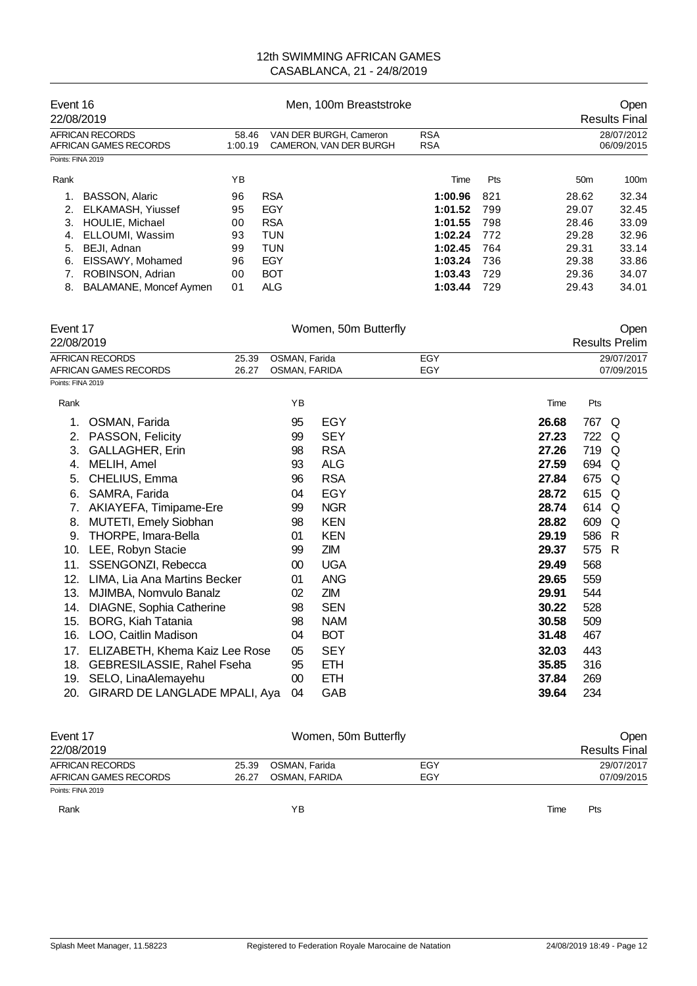| Event 16<br>22/08/2019                   |                  | Men. 100m Breaststroke                           | Open<br><b>Results Final</b> |                          |                 |       |
|------------------------------------------|------------------|--------------------------------------------------|------------------------------|--------------------------|-----------------|-------|
| AFRICAN RECORDS<br>AFRICAN GAMES RECORDS | 58.46<br>1:00.19 | VAN DER BURGH, Cameron<br>CAMERON, VAN DER BURGH |                              | 28/07/2012<br>06/09/2015 |                 |       |
| Points: FINA 2019                        |                  |                                                  |                              |                          |                 |       |
| Rank                                     | ΥB               |                                                  | Time                         | Pts                      | 50 <sub>m</sub> | 100m  |
| <b>BASSON, Alaric</b>                    | 96               | <b>RSA</b>                                       | 1:00.96                      | 821                      | 28.62           | 32.34 |
| ELKAMASH, Yiussef<br>2.                  | 95               | EGY                                              | 1:01.52                      | 799                      | 29.07           | 32.45 |
| HOULIE, Michael<br>3.                    | 00               | <b>RSA</b>                                       | 1:01.55                      | 798                      | 28.46           | 33.09 |
| ELLOUMI, Wassim<br>4.                    | 93               | <b>TUN</b>                                       | 1:02.24                      | 772                      | 29.28           | 32.96 |
| BEJI, Adnan<br>5.                        | 99               | <b>TUN</b>                                       | 1:02.45                      | 764                      | 29.31           | 33.14 |
| 6.<br>EISSAWY, Mohamed                   | 96               | EGY                                              | 1:03.24                      | 736                      | 29.38           | 33.86 |
| ROBINSON, Adrian                         | 00               | <b>BOT</b>                                       | 1:03.43                      | 729                      | 29.36           | 34.07 |
| <b>BALAMANE, Moncef Aymen</b><br>8.      | 01               | <b>ALG</b>                                       | 1:03.44                      | 729                      | 29.43           | 34.01 |

| Event 17<br>22/08/2019 |                                       |               | Women, 50m Butterfly |     | Open<br><b>Results Prelim</b> |     |            |  |  |
|------------------------|---------------------------------------|---------------|----------------------|-----|-------------------------------|-----|------------|--|--|
|                        | <b>AFRICAN RECORDS</b><br>25.39       | OSMAN, Farida |                      | EGY | 29/07/2017                    |     |            |  |  |
|                        | <b>AFRICAN GAMES RECORDS</b><br>26.27 | OSMAN, FARIDA |                      | EGY |                               |     | 07/09/2015 |  |  |
| Points: FINA 2019      |                                       |               |                      |     |                               |     |            |  |  |
| Rank                   |                                       | YB            |                      |     | Time                          | Pts |            |  |  |
| 1.                     | OSMAN, Farida                         | 95            | EGY                  |     | 26.68                         | 767 | O          |  |  |
| 2.                     | PASSON, Felicity                      | 99            | <b>SEY</b>           |     | 27.23                         | 722 | Q          |  |  |
| 3.                     | <b>GALLAGHER, Erin</b>                | 98            | <b>RSA</b>           |     | 27.26                         | 719 | Q          |  |  |
| 4.                     | MELIH, Amel                           | 93            | <b>ALG</b>           |     | 27.59                         | 694 | Q          |  |  |
| 5.                     | CHELIUS, Emma                         | 96            | <b>RSA</b>           |     | 27.84                         | 675 | O          |  |  |
| 6.                     | SAMRA, Farida                         | 04            | <b>EGY</b>           |     | 28.72                         | 615 | Q          |  |  |
| 7.                     | AKIAYEFA, Timipame-Ere                | 99            | <b>NGR</b>           |     | 28.74                         | 614 | $\Omega$   |  |  |
| 8.                     | MUTETI, Emely Siobhan                 | 98            | <b>KEN</b>           |     | 28.82                         | 609 | Q          |  |  |
| 9.                     | THORPE, Imara-Bella                   | 01            | <b>KEN</b>           |     | 29.19                         | 586 | -R         |  |  |
| 10.                    | LEE, Robyn Stacie                     | 99            | ZIM                  |     | 29.37                         | 575 | -R         |  |  |
| 11.                    | SSENGONZI, Rebecca                    | 00            | <b>UGA</b>           |     | 29.49                         | 568 |            |  |  |
| 12.                    | LIMA, Lia Ana Martins Becker          | 01            | <b>ANG</b>           |     | 29.65                         | 559 |            |  |  |
| 13.                    | MJIMBA, Nomvulo Banalz                | 02            | ZIM                  |     | 29.91                         | 544 |            |  |  |
| 14.                    | DIAGNE, Sophia Catherine              | 98            | <b>SEN</b>           |     | 30.22                         | 528 |            |  |  |
| 15.                    | <b>BORG, Kiah Tatania</b>             | 98            | <b>NAM</b>           |     | 30.58                         | 509 |            |  |  |
| 16.                    | LOO, Caitlin Madison                  | 04            | <b>BOT</b>           |     | 31.48                         | 467 |            |  |  |
| 17.                    | ELIZABETH, Khema Kaiz Lee Rose        | 05            | <b>SEY</b>           |     | 32.03                         | 443 |            |  |  |
| 18.                    | GEBRESILASSIE, Rahel Fseha            | 95            | <b>ETH</b>           |     | 35.85                         | 316 |            |  |  |
| 19.                    | SELO, LinaAlemayehu                   | $00\,$        | <b>ETH</b>           |     | 37.84                         | 269 |            |  |  |
| 20.                    | GIRARD DE LANGLADE MPALI, Aya         | 04            | GAB                  |     | 39.64                         | 234 |            |  |  |

| Event 17              |       | Women, 50m Butterfly | Open |                      |  |
|-----------------------|-------|----------------------|------|----------------------|--|
| 22/08/2019            |       |                      |      | <b>Results Final</b> |  |
| AFRICAN RECORDS       | 25.39 | OSMAN, Farida        | EGY  | 29/07/2017           |  |
| AFRICAN GAMES RECORDS | 26.27 | OSMAN, FARIDA        | EGY  | 07/09/2015           |  |
| Points: FINA 2019     |       |                      |      |                      |  |
| Rank                  |       | ΥB                   |      | Pts<br>Time          |  |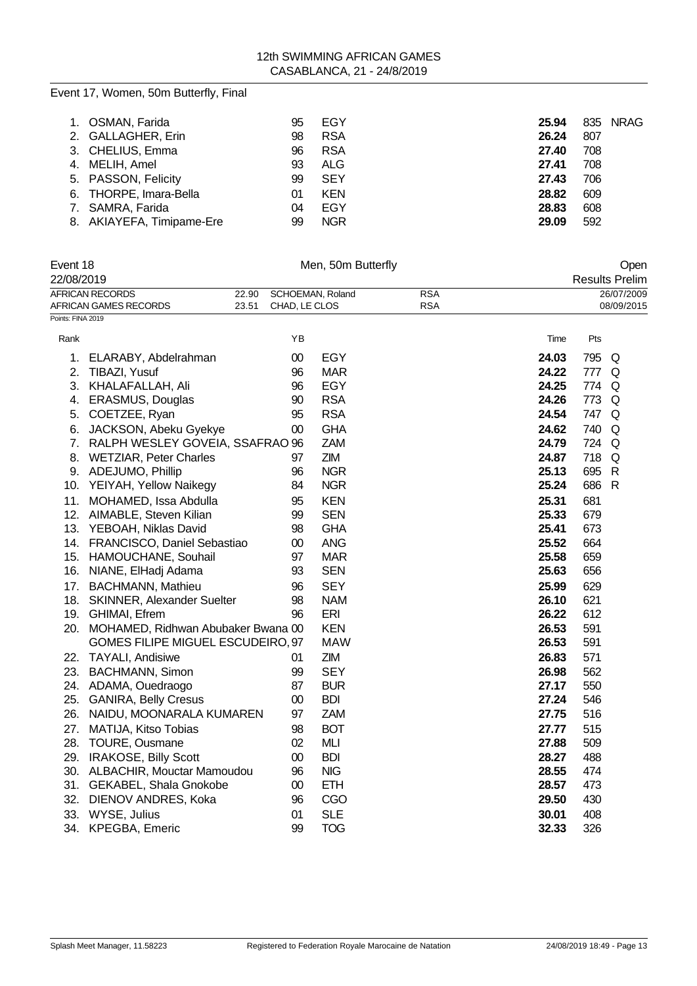| 1. OSMAN, Farida<br>2. GALLAGHER, Erin<br>3. CHELIUS, Emma<br>4. MELIH, Amel<br>5. PASSON, Felicity<br>6. THORPE, Imara-Bella<br>7. SAMRA, Farida | 95<br>98<br>96<br>93<br>99<br>01<br>04 | EGY<br><b>RSA</b><br><b>RSA</b><br>ALG<br><b>SEY</b><br><b>KEN</b><br>EGY | 25.94<br>26.24<br>27.40<br>27.41<br>27.43<br>28.82<br>28.83<br>29.09 | 835 NRAG<br>807<br>708<br>708<br>706<br>609<br>608 |
|---------------------------------------------------------------------------------------------------------------------------------------------------|----------------------------------------|---------------------------------------------------------------------------|----------------------------------------------------------------------|----------------------------------------------------|
| 8. AKIAYEFA, Timipame-Ere                                                                                                                         | 99                                     | <b>NGR</b>                                                                |                                                                      | 592                                                |

| Event 18<br>22/08/2019 |                                                                          |                                   | Men, 50m Butterfly | Open<br><b>Results Prelim</b> |       |       |                          |
|------------------------|--------------------------------------------------------------------------|-----------------------------------|--------------------|-------------------------------|-------|-------|--------------------------|
|                        | <b>AFRICAN RECORDS</b><br>22.90<br><b>AFRICAN GAMES RECORDS</b><br>23.51 | SCHOEMAN, Roland<br>CHAD, LE CLOS |                    | <b>RSA</b><br><b>RSA</b>      |       |       | 26/07/2009<br>08/09/2015 |
| Points: FINA 2019      |                                                                          |                                   |                    |                               |       |       |                          |
| Rank                   |                                                                          | ΥB                                |                    |                               | Time  | Pts   |                          |
| 1.                     | ELARABY, Abdelrahman                                                     | $00\,$                            | <b>EGY</b>         |                               | 24.03 | 795 Q |                          |
| 2.                     | TIBAZI, Yusuf                                                            | 96                                | <b>MAR</b>         |                               | 24.22 | 777 Q |                          |
|                        | 3. KHALAFALLAH, Ali                                                      | 96                                | <b>EGY</b>         |                               | 24.25 | 774 Q |                          |
|                        | 4. ERASMUS, Douglas                                                      | 90                                | <b>RSA</b>         |                               | 24.26 | 773   | Q                        |
| 5.                     | COETZEE, Ryan                                                            | 95                                | <b>RSA</b>         |                               | 24.54 | 747 Q |                          |
| 6.                     | JACKSON, Abeku Gyekye                                                    | $00\,$                            | <b>GHA</b>         |                               | 24.62 | 740   | Q                        |
|                        | 7. RALPH WESLEY GOVEIA, SSAFRAO 96                                       |                                   | <b>ZAM</b>         |                               | 24.79 | 724 Q |                          |
|                        | 8. WETZIAR, Peter Charles                                                | 97                                | <b>ZIM</b>         |                               | 24.87 | 718   | Q                        |
|                        | 9. ADEJUMO, Phillip                                                      | 96                                | <b>NGR</b>         |                               | 25.13 | 695   | $\mathsf{R}$             |
|                        | 10. YEIYAH, Yellow Naikegy                                               | 84                                | <b>NGR</b>         |                               | 25.24 | 686 R |                          |
|                        | 11. MOHAMED, Issa Abdulla                                                | 95                                | <b>KEN</b>         |                               | 25.31 | 681   |                          |
|                        | 12. AIMABLE, Steven Kilian                                               | 99                                | <b>SEN</b>         |                               | 25.33 | 679   |                          |
|                        | 13. YEBOAH, Niklas David                                                 | 98                                | <b>GHA</b>         |                               | 25.41 | 673   |                          |
|                        | 14. FRANCISCO, Daniel Sebastiao                                          | $00\,$                            | <b>ANG</b>         |                               | 25.52 | 664   |                          |
|                        | 15. HAMOUCHANE, Souhail                                                  | 97                                | <b>MAR</b>         |                               | 25.58 | 659   |                          |
|                        | 16. NIANE, ElHadj Adama                                                  | 93                                | <b>SEN</b>         |                               | 25.63 | 656   |                          |
|                        | 17. BACHMANN, Mathieu                                                    | 96                                | <b>SEY</b>         |                               | 25.99 | 629   |                          |
|                        | 18. SKINNER, Alexander Suelter                                           | 98                                | <b>NAM</b>         |                               | 26.10 | 621   |                          |
|                        | 19. GHIMAI, Efrem                                                        | 96                                | ERI                |                               | 26.22 | 612   |                          |
|                        | 20. MOHAMED, Ridhwan Abubaker Bwana 00                                   |                                   | <b>KEN</b>         |                               | 26.53 | 591   |                          |
|                        | GOMES FILIPE MIGUEL ESCUDEIRO, 97                                        |                                   | <b>MAW</b>         |                               | 26.53 | 591   |                          |
|                        | 22. TAYALI, Andisiwe                                                     | 01                                | ZIM                |                               | 26.83 | 571   |                          |
|                        | 23. BACHMANN, Simon                                                      | 99                                | <b>SEY</b>         |                               | 26.98 | 562   |                          |
|                        | 24. ADAMA, Ouedraogo                                                     | 87                                | <b>BUR</b>         |                               | 27.17 | 550   |                          |
|                        | 25. GANIRA, Belly Cresus                                                 | 00                                | <b>BDI</b>         |                               | 27.24 | 546   |                          |
| 26.                    | NAIDU, MOONARALA KUMAREN                                                 | 97                                | <b>ZAM</b>         |                               | 27.75 | 516   |                          |
|                        | 27. MATIJA, Kitso Tobias                                                 | 98                                | <b>BOT</b>         |                               | 27.77 | 515   |                          |
| 28.                    | <b>TOURE, Ousmane</b>                                                    | 02                                | MLI                |                               | 27.88 | 509   |                          |
|                        | 29. IRAKOSE, Billy Scott                                                 | $00\,$                            | <b>BDI</b>         |                               | 28.27 | 488   |                          |
|                        | 30. ALBACHIR, Mouctar Mamoudou                                           | 96                                | <b>NIG</b>         |                               | 28.55 | 474   |                          |
|                        | 31. GEKABEL, Shala Gnokobe                                               | $00\,$                            | <b>ETH</b>         |                               | 28.57 | 473   |                          |
| 32.                    | DIENOV ANDRES, Koka                                                      | 96                                | CGO                |                               | 29.50 | 430   |                          |
|                        | 33. WYSE, Julius                                                         | 01                                | <b>SLE</b>         |                               | 30.01 | 408   |                          |
|                        | 34. KPEGBA, Emeric                                                       | 99                                | <b>TOG</b>         |                               | 32.33 | 326   |                          |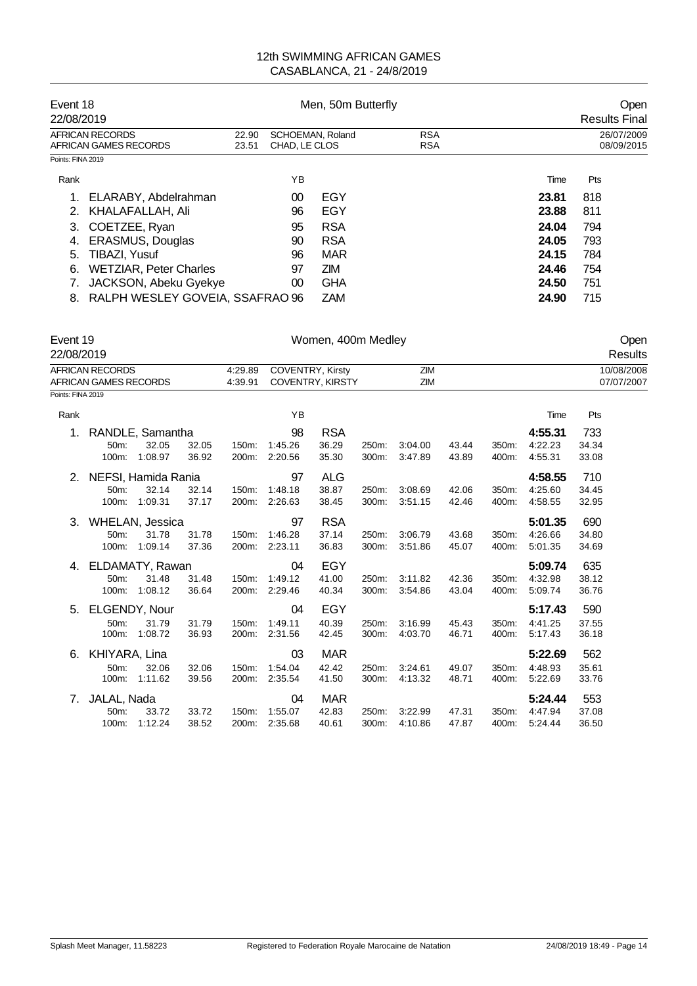| Event 18<br>22/08/2019                   |                                                     |    | Men, 50m Butterfly | Open<br><b>Results Final</b> |       |                          |
|------------------------------------------|-----------------------------------------------------|----|--------------------|------------------------------|-------|--------------------------|
| AFRICAN RECORDS<br>AFRICAN GAMES RECORDS | 22.90<br>SCHOEMAN, Roland<br>CHAD, LE CLOS<br>23.51 |    |                    | <b>RSA</b><br><b>RSA</b>     |       | 26/07/2009<br>08/09/2015 |
| Points: FINA 2019                        |                                                     |    |                    |                              |       |                          |
| Rank                                     |                                                     | ΥB |                    |                              | Time  | Pts                      |
| ELARABY, Abdelrahman                     |                                                     | 00 | EGY                |                              | 23.81 | 818                      |
| KHALAFALLAH, Ali<br>2.                   |                                                     | 96 | EGY                |                              | 23.88 | 811                      |
| COETZEE, Ryan<br>3.                      |                                                     | 95 | <b>RSA</b>         |                              | 24.04 | 794                      |
| <b>ERASMUS, Douglas</b><br>4.            |                                                     | 90 | <b>RSA</b>         |                              | 24.05 | 793                      |
| TIBAZI, Yusuf<br>5.                      |                                                     | 96 | MAR                |                              | 24.15 | 784                      |
| <b>WETZIAR, Peter Charles</b><br>6.      |                                                     | 97 | <b>ZIM</b>         |                              | 24.46 | 754                      |
| JACKSON, Abeku Gyekye                    |                                                     | 00 | <b>GHA</b>         |                              | 24.50 | 751                      |
| 8. RALPH WESLEY GOVEIA, SSAFRAO 96       |                                                     |    | <b>ZAM</b>         |                              | 24.90 | 715                      |

| Event 19<br>22/08/2019                                 |                   |                     |                    |                                                    |               | Women, 400m Medley |            |         |       |       |         |                          | Open<br>Results |
|--------------------------------------------------------|-------------------|---------------------|--------------------|----------------------------------------------------|---------------|--------------------|------------|---------|-------|-------|---------|--------------------------|-----------------|
| <b>AFRICAN RECORDS</b><br><b>AFRICAN GAMES RECORDS</b> |                   |                     | 4:29.89<br>4:39.91 | <b>COVENTRY, Kirsty</b><br><b>COVENTRY, KIRSTY</b> |               |                    | ZIM<br>ZIM |         |       |       |         | 10/08/2008<br>07/07/2007 |                 |
| Points: FINA 2019                                      |                   |                     |                    |                                                    |               |                    |            |         |       |       |         |                          |                 |
| Rank                                                   |                   |                     |                    |                                                    | YB            |                    |            |         |       |       | Time    | Pts                      |                 |
|                                                        |                   | RANDLE, Samantha    |                    |                                                    | 98            | <b>RSA</b>         |            |         |       |       | 4:55.31 | 733                      |                 |
|                                                        | 50m:              | 32.05               | 32.05              | 150m:                                              | 1:45.26       | 36.29              | 250m:      | 3:04.00 | 43.44 | 350m: | 4:22.23 | 34.34                    |                 |
|                                                        | 100m:             | 1:08.97             | 36.92              |                                                    | 200m: 2:20.56 | 35.30              | 300m:      | 3:47.89 | 43.89 | 400m: | 4:55.31 | 33.08                    |                 |
| 2.                                                     |                   | NEFSI, Hamida Rania |                    |                                                    | 97            | <b>ALG</b>         |            |         |       |       | 4:58.55 | 710                      |                 |
|                                                        | 50 <sub>m</sub> : | 32.14               | 32.14              | 150m:                                              | 1:48.18       | 38.87              | 250m:      | 3:08.69 | 42.06 | 350m: | 4:25.60 | 34.45                    |                 |
|                                                        | 100m:             | 1:09.31             | 37.17              | 200m:                                              | 2:26.63       | 38.45              | 300m:      | 3:51.15 | 42.46 | 400m: | 4:58.55 | 32.95                    |                 |
| 3.                                                     | WHELAN, Jessica   |                     |                    |                                                    | 97            | <b>RSA</b>         |            |         |       |       | 5:01.35 | 690                      |                 |
|                                                        | 50 <sub>m</sub> : | 31.78               | 31.78              | 150m:                                              | 1:46.28       | 37.14              | 250m:      | 3:06.79 | 43.68 | 350m: | 4:26.66 | 34.80                    |                 |
|                                                        | 100m:             | 1:09.14             | 37.36              | 200m:                                              | 2:23.11       | 36.83              | 300m:      | 3:51.86 | 45.07 | 400m: | 5:01.35 | 34.69                    |                 |
| 4.                                                     | ELDAMATY, Rawan   |                     |                    |                                                    | 04            | <b>EGY</b>         |            |         |       |       | 5:09.74 | 635                      |                 |
|                                                        | 50m:              | 31.48               | 31.48              | 150m:                                              | 1:49.12       | 41.00              | 250m:      | 3:11.82 | 42.36 | 350m: | 4:32.98 | 38.12                    |                 |
|                                                        | 100m:             | 1:08.12             | 36.64              |                                                    | 200m: 2:29.46 | 40.34              | 300m:      | 3:54.86 | 43.04 | 400m: | 5:09.74 | 36.76                    |                 |
| 5.                                                     | ELGENDY, Nour     |                     |                    |                                                    | 04            | <b>EGY</b>         |            |         |       |       | 5:17.43 | 590                      |                 |
|                                                        | 50m:              | 31.79               | 31.79              | 150m:                                              | 1:49.11       | 40.39              | 250m:      | 3:16.99 | 45.43 | 350m: | 4:41.25 | 37.55                    |                 |
|                                                        | 100m:             | 1:08.72             | 36.93              | 200m:                                              | 2:31.56       | 42.45              | 300m:      | 4:03.70 | 46.71 | 400m: | 5:17.43 | 36.18                    |                 |
| 6.                                                     | KHIYARA, Lina     |                     |                    |                                                    | 03            | MAR                |            |         |       |       | 5:22.69 | 562                      |                 |
|                                                        | 50 <sub>m</sub> : | 32.06               | 32.06              | 150m:                                              | 1:54.04       | 42.42              | 250m:      | 3:24.61 | 49.07 | 350m: | 4:48.93 | 35.61                    |                 |
|                                                        | 100m:             | 1:11.62             | 39.56              |                                                    | 200m: 2:35.54 | 41.50              | 300m:      | 4:13.32 | 48.71 | 400m: | 5:22.69 | 33.76                    |                 |
| 7.                                                     | JALAL, Nada       |                     |                    |                                                    | 04            | <b>MAR</b>         |            |         |       |       | 5:24.44 | 553                      |                 |
|                                                        | 50 <sub>m</sub> : | 33.72               | 33.72              | 150m:                                              | 1:55.07       | 42.83              | 250m:      | 3:22.99 | 47.31 | 350m. | 4:47.94 | 37.08                    |                 |
|                                                        | 100m:             | 1:12.24             | 38.52              |                                                    | 200m: 2:35.68 | 40.61              | 300m:      | 4:10.86 | 47.87 | 400m: | 5:24.44 | 36.50                    |                 |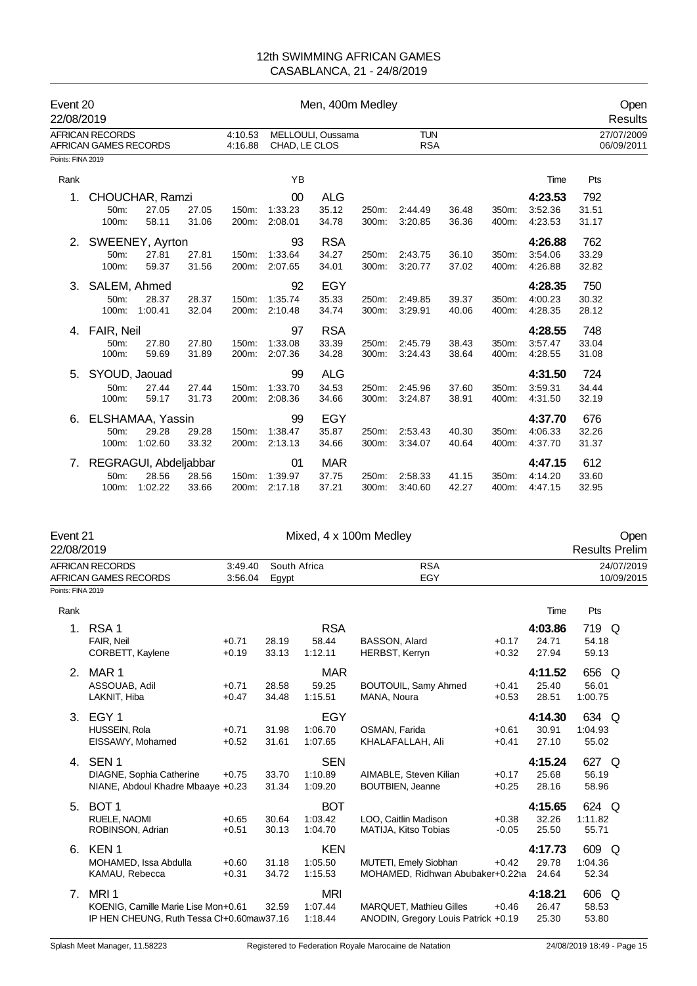| Event 20<br>22/08/2019 |                                                 |                  |                |                    | Men, 400m Medley                   |                              |                |                          |                |                |                               |                       | Open<br>Results          |
|------------------------|-------------------------------------------------|------------------|----------------|--------------------|------------------------------------|------------------------------|----------------|--------------------------|----------------|----------------|-------------------------------|-----------------------|--------------------------|
|                        | <b>AFRICAN RECORDS</b><br>AFRICAN GAMES RECORDS |                  |                | 4:10.53<br>4:16.88 | MELLOULI, Oussama<br>CHAD, LE CLOS |                              |                | <b>TUN</b><br><b>RSA</b> |                |                |                               |                       | 27/07/2009<br>06/09/2011 |
| Points: FINA 2019      |                                                 |                  |                |                    |                                    |                              |                |                          |                |                |                               |                       |                          |
| Rank                   |                                                 |                  |                |                    | YB                                 |                              |                |                          |                |                | Time                          | Pts                   |                          |
| 1.                     | CHOUCHAR, Ramzi<br>50m:                         | 27.05            | 27.05          | 150m:              | 00<br>1:33.23                      | <b>ALG</b><br>35.12          | 250m:          | 2:44.49                  | 36.48          | 350m:          | 4:23.53<br>3:52.36            | 792<br>31.51          |                          |
|                        | 100m:                                           | 58.11            | 31.06          | 200m:              | 2:08.01                            | 34.78                        | 300m:          | 3:20.85                  | 36.36          | 400m:          | 4:23.53                       | 31.17                 |                          |
| 2.                     | SWEENEY, Ayrton<br>50m:<br>100m:                | 27.81<br>59.37   | 27.81<br>31.56 | 150m:<br>200m:     | 93<br>1:33.64<br>2:07.65           | <b>RSA</b><br>34.27<br>34.01 | 250m:<br>300m: | 2:43.75<br>3:20.77       | 36.10<br>37.02 | 350m:<br>400m: | 4:26.88<br>3:54.06<br>4:26.88 | 762<br>33.29<br>32.82 |                          |
| 3.                     | SALEM, Ahmed<br>50m:<br>100m:                   | 28.37<br>1:00.41 | 28.37<br>32.04 | 150m:<br>200m:     | 92<br>1:35.74<br>2:10.48           | EGY<br>35.33<br>34.74        | 250m:<br>300m: | 2:49.85<br>3:29.91       | 39.37<br>40.06 | 350m:<br>400m: | 4:28.35<br>4:00.23<br>4:28.35 | 750<br>30.32<br>28.12 |                          |
| 4.                     | FAIR, Neil<br>50m:<br>100m:                     | 27.80<br>59.69   | 27.80<br>31.89 | 150m.<br>200m:     | 97<br>1:33.08<br>2:07.36           | <b>RSA</b><br>33.39<br>34.28 | 250m:<br>300m: | 2:45.79<br>3:24.43       | 38.43<br>38.64 | 350m:<br>400m: | 4:28.55<br>3:57.47<br>4:28.55 | 748<br>33.04<br>31.08 |                          |
| 5.                     | SYOUD, Jaouad<br>50m:<br>100m:                  | 27.44<br>59.17   | 27.44<br>31.73 | 150m:<br>200m:     | 99<br>1:33.70<br>2:08.36           | <b>ALG</b><br>34.53<br>34.66 | 250m:<br>300m: | 2:45.96<br>3:24.87       | 37.60<br>38.91 | 350m:<br>400m: | 4:31.50<br>3:59.31<br>4:31.50 | 724<br>34.44<br>32.19 |                          |
| 6.                     | ELSHAMAA, Yassin<br>50m:<br>100m:               | 29.28<br>1:02.60 | 29.28<br>33.32 | 150m:<br>200m:     | 99<br>1:38.47<br>2:13.13           | EGY<br>35.87<br>34.66        | 250m:<br>300m: | 2:53.43<br>3:34.07       | 40.30<br>40.64 | 350m:<br>400m: | 4:37.70<br>4:06.33<br>4:37.70 | 676<br>32.26<br>31.37 |                          |
| 7.                     | REGRAGUI, Abdeljabbar<br>50m:<br>$100m$ :       | 28.56<br>1:02.22 | 28.56<br>33.66 | 150m:<br>200m:     | 01<br>1:39.97<br>2:17.18           | <b>MAR</b><br>37.75<br>37.21 | 250m:<br>300m: | 2:58.33<br>3:40.60       | 41.15<br>42.27 | 350m:<br>400m: | 4:47.15<br>4:14.20<br>4:47.15 | 612<br>33.60<br>32.95 |                          |

| Event 21          |                                           |                    |                       |            | Mixed, 4 x 100m Medley              |         |         |                       | Open                     |
|-------------------|-------------------------------------------|--------------------|-----------------------|------------|-------------------------------------|---------|---------|-----------------------|--------------------------|
| 22/08/2019        |                                           |                    |                       |            |                                     |         |         | <b>Results Prelim</b> |                          |
|                   | AFRICAN RECORDS<br>AFRICAN GAMES RECORDS  | 3:49.40<br>3:56.04 | South Africa<br>Egypt |            | <b>RSA</b><br>EGY                   |         |         |                       | 24/07/2019<br>10/09/2015 |
| Points: FINA 2019 |                                           |                    |                       |            |                                     |         |         |                       |                          |
| Rank              |                                           |                    |                       |            |                                     |         | Time    | Pts                   |                          |
| 1.                | RSA <sub>1</sub>                          |                    |                       | <b>RSA</b> |                                     |         | 4:03.86 | 719 Q                 |                          |
|                   | FAIR, Neil                                | $+0.71$            | 28.19                 | 58.44      | BASSON, Alard                       | $+0.17$ | 24.71   | 54.18                 |                          |
|                   | CORBETT, Kaylene                          | $+0.19$            | 33.13                 | 1:12.11    | <b>HERBST, Kerryn</b>               | $+0.32$ | 27.94   | 59.13                 |                          |
| 2.                | MAR 1                                     |                    |                       | MAR        |                                     |         | 4:11.52 | 656                   | Q                        |
|                   | ASSOUAB, Adil                             | $+0.71$            | 28.58                 | 59.25      | BOUTOUIL, Samy Ahmed                | $+0.41$ | 25.40   | 56.01                 |                          |
|                   | LAKNIT, Hiba                              | $+0.47$            | 34.48                 | 1:15.51    | MANA, Noura                         | $+0.53$ | 28.51   | 1:00.75               |                          |
| 3.                | EGY <sub>1</sub>                          |                    |                       | EGY        |                                     |         | 4:14.30 | 634 Q                 |                          |
|                   | HUSSEIN, Rola                             | $+0.71$            | 31.98                 | 1:06.70    | OSMAN, Farida                       | $+0.61$ | 30.91   | 1:04.93               |                          |
|                   | EISSAWY, Mohamed                          | $+0.52$            | 31.61                 | 1:07.65    | KHALAFALLAH, Ali                    | $+0.41$ | 27.10   | 55.02                 |                          |
|                   | 4. SEN 1                                  |                    |                       | <b>SEN</b> |                                     |         | 4:15.24 | 627 Q                 |                          |
|                   | DIAGNE, Sophia Catherine                  | $+0.75$            | 33.70                 | 1:10.89    | AIMABLE, Steven Kilian              | $+0.17$ | 25.68   | 56.19                 |                          |
|                   | NIANE, Abdoul Khadre Mbaaye +0.23         |                    | 31.34                 | 1:09.20    | <b>BOUTBIEN, Jeanne</b>             | $+0.25$ | 28.16   | 58.96                 |                          |
| 5.                | BOT <sub>1</sub>                          |                    |                       | <b>BOT</b> |                                     |         | 4:15.65 | 624 Q                 |                          |
|                   | RUELE, NAOMI                              | $+0.65$            | 30.64                 | 1:03.42    | LOO, Caitlin Madison                | $+0.38$ | 32.26   | 1:11.82               |                          |
|                   | ROBINSON, Adrian                          | $+0.51$            | 30.13                 | 1:04.70    | MATIJA, Kitso Tobias                | $-0.05$ | 25.50   | 55.71                 |                          |
| 6.                | KEN <sub>1</sub>                          |                    |                       | <b>KEN</b> |                                     |         | 4:17.73 | 609 Q                 |                          |
|                   | MOHAMED, Issa Abdulla                     | $+0.60$            | 31.18                 | 1:05.50    | MUTETI, Emely Siobhan               | $+0.42$ | 29.78   | 1:04.36               |                          |
|                   | KAMAU, Rebecca                            | $+0.31$            | 34.72                 | 1:15.53    | MOHAMED, Ridhwan Abubaker+0.221a    |         | 24.64   | 52.34                 |                          |
| 7 <sub>1</sub>    | MRI <sub>1</sub>                          |                    |                       | <b>MRI</b> |                                     |         | 4:18.21 | 606 Q                 |                          |
|                   | KOENIG, Camille Marie Lise Mon+0.61       |                    | 32.59                 | 1:07.44    | MARQUET, Mathieu Gilles             | $+0.46$ | 26.47   | 58.53                 |                          |
|                   | IP HEN CHEUNG, Ruth Tessa CI+0.60maw37.16 |                    |                       | 1:18.44    | ANODIN, Gregory Louis Patrick +0.19 |         | 25.30   | 53.80                 |                          |
|                   |                                           |                    |                       |            |                                     |         |         |                       |                          |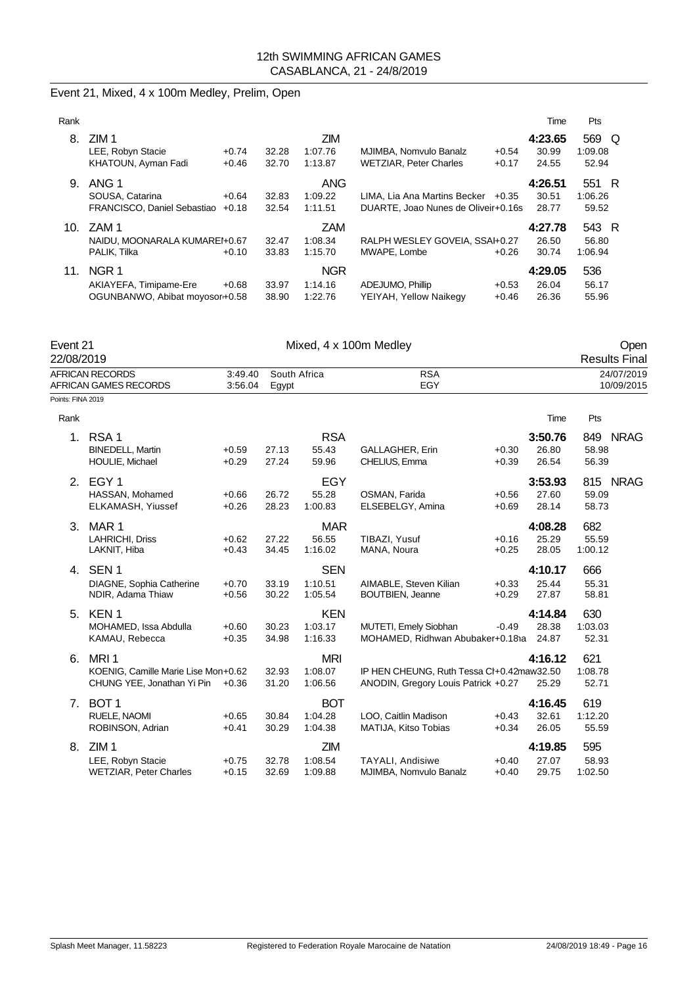| Event 21, Mixed, 4 x 100m Medley, Prelim, Open |  |  |  |  |  |  |
|------------------------------------------------|--|--|--|--|--|--|
|------------------------------------------------|--|--|--|--|--|--|

| Rank            |                                                                              |                    |                |                                  |                                                                             |                    | Time                      | Pts                            |
|-----------------|------------------------------------------------------------------------------|--------------------|----------------|----------------------------------|-----------------------------------------------------------------------------|--------------------|---------------------------|--------------------------------|
| 8.              | ZIM <sub>1</sub><br>LEE, Robyn Stacie<br>KHATOUN, Ayman Fadi                 | $+0.74$<br>$+0.46$ | 32.28<br>32.70 | <b>ZIM</b><br>1:07.76<br>1:13.87 | MJIMBA, Nomvulo Banalz<br><b>WETZIAR, Peter Charles</b>                     | $+0.54$<br>$+0.17$ | 4:23.65<br>30.99<br>24.55 | 569<br>- Q<br>1:09.08<br>52.94 |
| 9.              | ANG 1<br>SOUSA, Catarina<br>FRANCISCO, Daniel Sebastiao                      | $+0.64$<br>$+0.18$ | 32.83<br>32.54 | <b>ANG</b><br>1:09.22<br>1:11.51 | LIMA, Lia Ana Martins Becker $+0.35$<br>DUARTE, Joao Nunes de Oliveir+0.16s |                    | 4:26.51<br>30.51<br>28.77 | 551 R<br>1:06.26<br>59.52      |
| 10 <sub>1</sub> | ZAM 1<br>NAIDU. MOONARALA KUMAREI+0.67<br>PALIK. Tilka                       | $+0.10$            | 32.47<br>33.83 | <b>ZAM</b><br>1:08.34<br>1:15.70 | RALPH WESLEY GOVEIA, SSAI+0.27<br>MWAPE, Lombe                              | $+0.26$            | 4:27.78<br>26.50<br>30.74 | 543 R<br>56.80<br>1:06.94      |
| 11.             | NGR <sub>1</sub><br>AKIAYEFA, Timipame-Ere<br>OGUNBANWO, Abibat moyosor+0.58 | $+0.68$            | 33.97<br>38.90 | <b>NGR</b><br>1:14.16<br>1:22.76 | ADEJUMO, Phillip<br>YEIYAH, Yellow Naikegy                                  | $+0.53$<br>$+0.46$ | 4:29.05<br>26.04<br>26.36 | 536<br>56.17<br>55.96          |

| Event 21<br>22/08/2019 |                                                                                       | Mixed, 4 x 100m Medley |                       |                                  |                                                                                  |                    |                           |                         |                          |
|------------------------|---------------------------------------------------------------------------------------|------------------------|-----------------------|----------------------------------|----------------------------------------------------------------------------------|--------------------|---------------------------|-------------------------|--------------------------|
|                        | <b>AFRICAN RECORDS</b><br>AFRICAN GAMES RECORDS                                       | 3:49.40<br>3:56.04     | South Africa<br>Egypt |                                  | <b>RSA</b><br>EGY                                                                |                    |                           |                         | 24/07/2019<br>10/09/2015 |
| Points: FINA 2019      |                                                                                       |                        |                       |                                  |                                                                                  |                    |                           |                         |                          |
| Rank                   |                                                                                       |                        |                       |                                  |                                                                                  |                    | Time                      | Pts                     |                          |
| 1.                     | RSA <sub>1</sub><br><b>BINEDELL, Martin</b><br>HOULIE, Michael                        | $+0.59$<br>$+0.29$     | 27.13<br>27.24        | <b>RSA</b><br>55.43<br>59.96     | GALLAGHER, Erin<br>CHELIUS, Emma                                                 | $+0.30$<br>$+0.39$ | 3:50.76<br>26.80<br>26.54 | 58.98<br>56.39          | 849 NRAG                 |
| 2.                     | EGY <sub>1</sub><br>HASSAN, Mohamed<br>ELKAMASH, Yiussef                              | $+0.66$<br>$+0.26$     | 26.72<br>28.23        | EGY<br>55.28<br>1:00.83          | OSMAN, Farida<br>ELSEBELGY, Amina                                                | $+0.56$<br>$+0.69$ | 3:53.93<br>27.60<br>28.14 | 59.09<br>58.73          | 815 NRAG                 |
| 3.                     | MAR <sub>1</sub><br>LAHRICHI, Driss<br>LAKNIT, Hiba                                   | $+0.62$<br>$+0.43$     | 27.22<br>34.45        | <b>MAR</b><br>56.55<br>1:16.02   | TIBAZI, Yusuf<br>MANA, Noura                                                     | $+0.16$<br>$+0.25$ | 4:08.28<br>25.29<br>28.05 | 682<br>55.59<br>1:00.12 |                          |
| 4.                     | SEN <sub>1</sub><br>DIAGNE, Sophia Catherine<br>NDIR, Adama Thiaw                     | $+0.70$<br>$+0.56$     | 33.19<br>30.22        | <b>SEN</b><br>1:10.51<br>1:05.54 | AIMABLE, Steven Kilian<br><b>BOUTBIEN, Jeanne</b>                                | $+0.33$<br>$+0.29$ | 4:10.17<br>25.44<br>27.87 | 666<br>55.31<br>58.81   |                          |
| 5.                     | KEN <sub>1</sub><br>MOHAMED, Issa Abdulla<br>KAMAU, Rebecca                           | $+0.60$<br>$+0.35$     | 30.23<br>34.98        | <b>KEN</b><br>1:03.17<br>1:16.33 | MUTETI, Emely Siobhan<br>MOHAMED, Ridhwan Abubaker+0.181a                        | $-0.49$            | 4:14.84<br>28.38<br>24.87 | 630<br>1:03.03<br>52.31 |                          |
| 6.                     | MRI <sub>1</sub><br>KOENIG, Camille Marie Lise Mon+0.62<br>CHUNG YEE, Jonathan Yi Pin | $+0.36$                | 32.93<br>31.20        | <b>MRI</b><br>1:08.07<br>1:06.56 | IP HEN CHEUNG, Ruth Tessa CI+0.42maw32.50<br>ANODIN, Gregory Louis Patrick +0.27 |                    | 4:16.12<br>25.29          | 621<br>1:08.78<br>52.71 |                          |
| 7.                     | BOT <sub>1</sub><br>RUELE, NAOMI<br>ROBINSON, Adrian                                  | $+0.65$<br>$+0.41$     | 30.84<br>30.29        | <b>BOT</b><br>1:04.28<br>1:04.38 | LOO, Caitlin Madison<br>MATIJA, Kitso Tobias                                     | $+0.43$<br>$+0.34$ | 4:16.45<br>32.61<br>26.05 | 619<br>1:12.20<br>55.59 |                          |
| 8.                     | ZIM <sub>1</sub><br>LEE, Robyn Stacie<br><b>WETZIAR, Peter Charles</b>                | $+0.75$<br>$+0.15$     | 32.78<br>32.69        | ZIM<br>1:08.54<br>1:09.88        | <b>TAYALI, Andisiwe</b><br>MJIMBA, Nomvulo Banalz                                | $+0.40$<br>$+0.40$ | 4:19.85<br>27.07<br>29.75 | 595<br>58.93<br>1:02.50 |                          |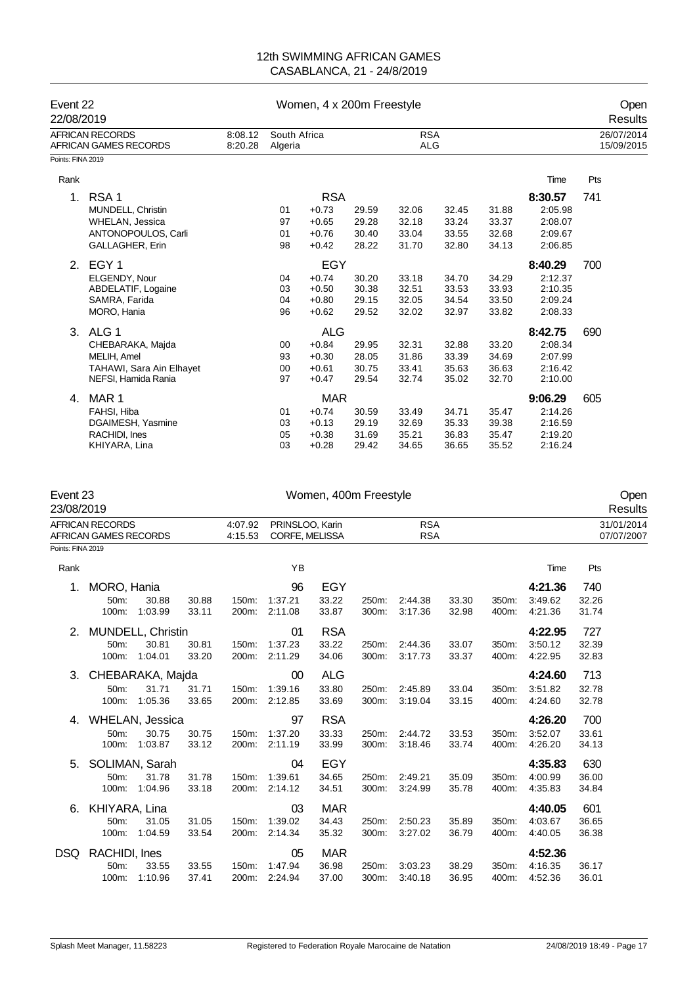| Event 22<br>22/08/2019 |                                          |                    |                         | Women, 4 x 200m Freestyle |       | Open<br>Results          |       |       |                          |     |
|------------------------|------------------------------------------|--------------------|-------------------------|---------------------------|-------|--------------------------|-------|-------|--------------------------|-----|
|                        | AFRICAN RECORDS<br>AFRICAN GAMES RECORDS | 8:08.12<br>8:20.28 | South Africa<br>Algeria |                           |       | <b>RSA</b><br><b>ALG</b> |       |       | 26/07/2014<br>15/09/2015 |     |
| Points: FINA 2019      |                                          |                    |                         |                           |       |                          |       |       |                          |     |
| Rank                   |                                          |                    |                         |                           |       |                          |       |       | Time                     | Pts |
| 1.                     | RSA <sub>1</sub>                         |                    |                         | <b>RSA</b>                |       |                          |       |       | 8:30.57                  | 741 |
|                        | MUNDELL, Christin                        |                    | 01                      | $+0.73$                   | 29.59 | 32.06                    | 32.45 | 31.88 | 2:05.98                  |     |
|                        | <b>WHELAN, Jessica</b>                   |                    | 97                      | $+0.65$                   | 29.28 | 32.18                    | 33.24 | 33.37 | 2:08.07                  |     |
|                        | ANTONOPOULOS, Carli                      |                    | 01                      | $+0.76$                   | 30.40 | 33.04                    | 33.55 | 32.68 | 2:09.67                  |     |
|                        | <b>GALLAGHER, Erin</b>                   |                    | 98                      | $+0.42$                   | 28.22 | 31.70                    | 32.80 | 34.13 | 2:06.85                  |     |
|                        | 2. EGY 1                                 |                    |                         | EGY                       |       |                          |       |       | 8:40.29                  | 700 |
|                        | ELGENDY, Nour                            |                    | 04                      | $+0.74$                   | 30.20 | 33.18                    | 34.70 | 34.29 | 2:12.37                  |     |
|                        | ABDELATIF, Logaine                       |                    | 03                      | $+0.50$                   | 30.38 | 32.51                    | 33.53 | 33.93 | 2:10.35                  |     |
|                        | SAMRA, Farida                            |                    | 04                      | $+0.80$                   | 29.15 | 32.05                    | 34.54 | 33.50 | 2:09.24                  |     |
|                        | MORO, Hania                              |                    | 96                      | $+0.62$                   | 29.52 | 32.02                    | 32.97 | 33.82 | 2:08.33                  |     |
| 3.                     | ALG <sub>1</sub>                         |                    |                         | <b>ALG</b>                |       |                          |       |       | 8:42.75                  | 690 |
|                        | CHEBARAKA, Majda                         |                    | 00                      | $+0.84$                   | 29.95 | 32.31                    | 32.88 | 33.20 | 2:08.34                  |     |
|                        | MELIH, Amel                              |                    | 93                      | $+0.30$                   | 28.05 | 31.86                    | 33.39 | 34.69 | 2:07.99                  |     |
|                        | TAHAWI, Sara Ain Elhayet                 |                    | 00                      | $+0.61$                   | 30.75 | 33.41                    | 35.63 | 36.63 | 2:16.42                  |     |
|                        | NEFSI, Hamida Rania                      |                    | 97                      | $+0.47$                   | 29.54 | 32.74                    | 35.02 | 32.70 | 2:10.00                  |     |
| 4.                     | MAR 1                                    |                    |                         | <b>MAR</b>                |       |                          |       |       | 9:06.29                  | 605 |
|                        | FAHSI, Hiba                              |                    | 01                      | $+0.74$                   | 30.59 | 33.49                    | 34.71 | 35.47 | 2:14.26                  |     |
|                        | DGAIMESH, Yasmine                        |                    | 03                      | $+0.13$                   | 29.19 | 32.69                    | 35.33 | 39.38 | 2:16.59                  |     |
|                        | RACHIDI, Ines                            |                    | 05                      | $+0.38$                   | 31.69 | 35.21                    | 36.83 | 35.47 | 2:19.20                  |     |
|                        | KHIYARA, Lina                            |                    | 03                      | $+0.28$                   | 29.42 | 34.65                    | 36.65 | 35.52 | 2:16.24                  |     |

| Event 23<br>23/08/2019 |                                          |                   |       |                    |               | Women, 400m Freestyle                                         |       |         |       |       |                          | Open<br>Results |  |
|------------------------|------------------------------------------|-------------------|-------|--------------------|---------------|---------------------------------------------------------------|-------|---------|-------|-------|--------------------------|-----------------|--|
|                        | AFRICAN RECORDS<br>AFRICAN GAMES RECORDS |                   |       | 4:07.92<br>4:15.53 |               | <b>RSA</b><br>PRINSLOO, Karin<br><b>RSA</b><br>CORFE, MELISSA |       |         |       |       | 31/01/2014<br>07/07/2007 |                 |  |
| Points: FINA 2019      |                                          |                   |       |                    |               |                                                               |       |         |       |       |                          |                 |  |
| Rank                   |                                          |                   |       |                    | YB            |                                                               |       |         |       |       | Time                     | Pts             |  |
| 1.                     | MORO, Hania                              |                   |       |                    | 96            | <b>EGY</b>                                                    |       |         |       |       | 4:21.36                  | 740             |  |
|                        | 50m:                                     | 30.88             | 30.88 | 150m:              | 1:37.21       | 33.22                                                         | 250m: | 2:44.38 | 33.30 | 350m: | 3:49.62                  | 32.26           |  |
|                        | 100m:                                    | 1:03.99           | 33.11 | 200m:              | 2:11.08       | 33.87                                                         | 300m: | 3:17.36 | 32.98 | 400m: | 4:21.36                  | 31.74           |  |
| 2.                     |                                          | MUNDELL, Christin |       |                    | 01            | <b>RSA</b>                                                    |       |         |       |       | 4:22.95                  | 727             |  |
|                        | 50m:                                     | 30.81             | 30.81 | 150m:              | 1:37.23       | 33.22                                                         | 250m: | 2:44.36 | 33.07 | 350m: | 3:50.12                  | 32.39           |  |
|                        | 100m:                                    | 1:04.01           | 33.20 | 200m:              | 2:11.29       | 34.06                                                         | 300m: | 3:17.73 | 33.37 | 400m: | 4:22.95                  | 32.83           |  |
| 3.                     |                                          | CHEBARAKA, Majda  |       |                    | 00            | <b>ALG</b>                                                    |       |         |       |       | 4:24.60                  | 713             |  |
|                        | 50m:                                     | 31.71             | 31.71 | 150m:              | 1:39.16       | 33.80                                                         | 250m: | 2:45.89 | 33.04 | 350m: | 3:51.82                  | 32.78           |  |
|                        | 100m:                                    | 1:05.36           | 33.65 | 200m:              | 2:12.85       | 33.69                                                         | 300m: | 3:19.04 | 33.15 | 400m: | 4:24.60                  | 32.78           |  |
| 4.                     |                                          | WHELAN, Jessica   |       |                    | 97            | <b>RSA</b>                                                    |       |         |       |       | 4:26.20                  | 700             |  |
|                        | 50m:                                     | 30.75             | 30.75 | 150m:              | 1:37.20       | 33.33                                                         | 250m: | 2:44.72 | 33.53 | 350m: | 3:52.07                  | 33.61           |  |
|                        | 100m:                                    | 1:03.87           | 33.12 | 200m:              | 2:11.19       | 33.99                                                         | 300m: | 3:18.46 | 33.74 | 400m: | 4:26.20                  | 34.13           |  |
| 5.                     |                                          | SOLIMAN, Sarah    |       |                    | 04            | EGY                                                           |       |         |       |       | 4:35.83                  | 630             |  |
|                        | 50m:                                     | 31.78             | 31.78 | 150m:              | 1:39.61       | 34.65                                                         | 250m: | 2:49.21 | 35.09 | 350m: | 4:00.99                  | 36.00           |  |
|                        | 100m:                                    | 1:04.96           | 33.18 | 200m:              | 2:14.12       | 34.51                                                         | 300m: | 3:24.99 | 35.78 | 400m: | 4:35.83                  | 34.84           |  |
| 6.                     | KHIYARA, Lina                            |                   |       |                    | 03            | <b>MAR</b>                                                    |       |         |       |       | 4:40.05                  | 601             |  |
|                        | 50m:                                     | 31.05             | 31.05 | 150m:              | 1:39.02       | 34.43                                                         | 250m: | 2:50.23 | 35.89 | 350m: | 4:03.67                  | 36.65           |  |
|                        | 100m:                                    | 1:04.59           | 33.54 | 200m:              | 2:14.34       | 35.32                                                         | 300m: | 3:27.02 | 36.79 | 400m: | 4:40.05                  | 36.38           |  |
| DSQ                    | RACHIDI, Ines                            |                   |       |                    | 05            | <b>MAR</b>                                                    |       |         |       |       | 4:52.36                  |                 |  |
|                        | 50m:                                     | 33.55             | 33.55 | 150m:              | 1:47.94       | 36.98                                                         | 250m: | 3:03.23 | 38.29 | 350m: | 4:16.35                  | 36.17           |  |
|                        | 100m:                                    | 1:10.96           | 37.41 |                    | 200m: 2:24.94 | 37.00                                                         | 300m: | 3:40.18 | 36.95 | 400m: | 4:52.36                  | 36.01           |  |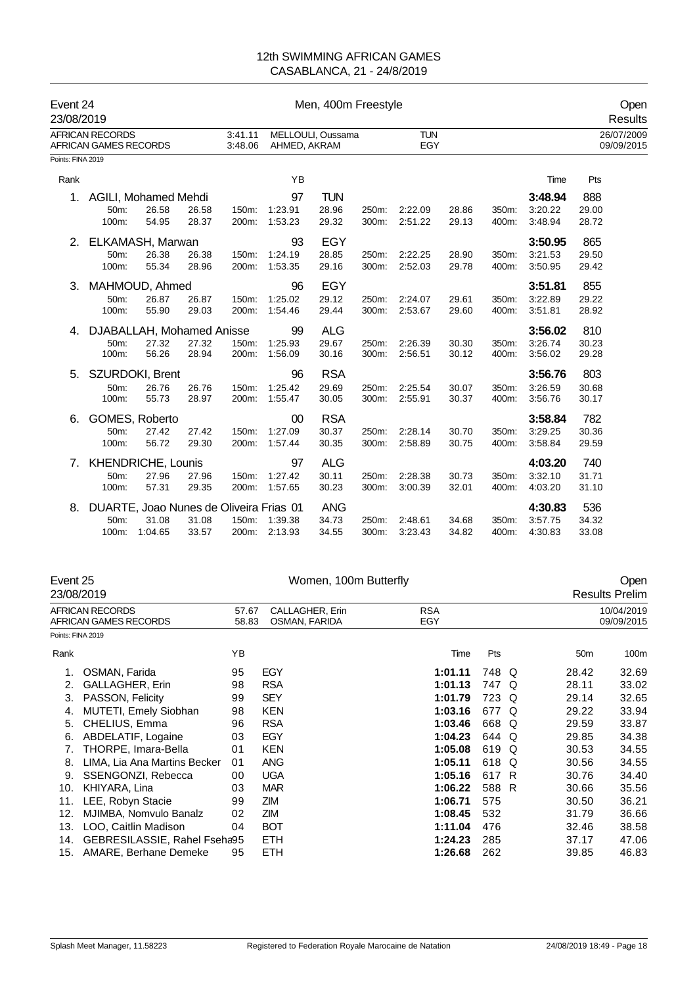| Event 24<br>23/08/2019 |                                                        |         |       |                    | Men, 400m Freestyle |                   |       |                   |       |       |         | Open<br>Results          |  |
|------------------------|--------------------------------------------------------|---------|-------|--------------------|---------------------|-------------------|-------|-------------------|-------|-------|---------|--------------------------|--|
|                        | <b>AFRICAN RECORDS</b><br><b>AFRICAN GAMES RECORDS</b> |         |       | 3:41.11<br>3:48.06 | AHMED, AKRAM        | MELLOULI, Oussama |       | <b>TUN</b><br>EGY |       |       |         | 26/07/2009<br>09/09/2015 |  |
| Points: FINA 2019      |                                                        |         |       |                    |                     |                   |       |                   |       |       |         |                          |  |
| Rank                   |                                                        |         |       |                    | YB                  |                   |       |                   |       |       | Time    | Pts                      |  |
| 1.                     | AGILI, Mohamed Mehdi                                   |         |       |                    | 97                  | <b>TUN</b>        |       |                   |       |       | 3:48.94 | 888                      |  |
|                        | 50m:                                                   | 26.58   | 26.58 | 150m:              | 1:23.91             | 28.96             | 250m: | 2:22.09           | 28.86 | 350m: | 3:20.22 | 29.00                    |  |
|                        | 100m:                                                  | 54.95   | 28.37 | 200m:              | 1:53.23             | 29.32             | 300m: | 2:51.22           | 29.13 | 400m: | 3:48.94 | 28.72                    |  |
| 2.                     | ELKAMASH, Marwan                                       |         |       |                    | 93                  | EGY               |       |                   |       |       | 3:50.95 | 865                      |  |
|                        | 50m:                                                   | 26.38   | 26.38 | 150m:              | 1:24.19             | 28.85             | 250m: | 2:22.25           | 28.90 | 350m: | 3:21.53 | 29.50                    |  |
|                        | 100m:                                                  | 55.34   | 28.96 | 200m:              | 1:53.35             | 29.16             | 300m: | 2:52.03           | 29.78 | 400m: | 3:50.95 | 29.42                    |  |
| 3.                     | MAHMOUD, Ahmed                                         |         |       |                    | 96                  | EGY               |       |                   |       |       | 3:51.81 | 855                      |  |
|                        | 50m:                                                   | 26.87   | 26.87 | 150m:              | 1:25.02             | 29.12             | 250m: | 2:24.07           | 29.61 | 350m: | 3:22.89 | 29.22                    |  |
|                        | 100m:                                                  | 55.90   | 29.03 | 200m:              | 1:54.46             | 29.44             | 300m: | 2:53.67           | 29.60 | 400m: | 3:51.81 | 28.92                    |  |
| 4.                     | DJABALLAH, Mohamed Anisse                              |         |       |                    | 99                  | <b>ALG</b>        |       |                   |       |       | 3:56.02 | 810                      |  |
|                        | 50m:                                                   | 27.32   | 27.32 | 150m:              | 1:25.93             | 29.67             | 250m: | 2:26.39           | 30.30 | 350m: | 3:26.74 | 30.23                    |  |
|                        | 100m:                                                  | 56.26   | 28.94 | 200m:              | 1:56.09             | 30.16             | 300m: | 2:56.51           | 30.12 | 400m: | 3:56.02 | 29.28                    |  |
| 5.                     | SZURDOKI, Brent                                        |         |       |                    | 96                  | <b>RSA</b>        |       |                   |       |       | 3:56.76 | 803                      |  |
|                        | 50m:                                                   | 26.76   | 26.76 | 150m:              | 1:25.42             | 29.69             | 250m: | 2:25.54           | 30.07 | 350m: | 3:26.59 | 30.68                    |  |
|                        | 100m:                                                  | 55.73   | 28.97 | 200m:              | 1:55.47             | 30.05             | 300m: | 2:55.91           | 30.37 | 400m: | 3:56.76 | 30.17                    |  |
| 6.                     | GOMES, Roberto                                         |         |       |                    | 00                  | <b>RSA</b>        |       |                   |       |       | 3:58.84 | 782                      |  |
|                        | 50m:                                                   | 27.42   | 27.42 | 150m:              | 1:27.09             | 30.37             | 250m: | 2:28.14           | 30.70 | 350m: | 3:29.25 | 30.36                    |  |
|                        | 100m:                                                  | 56.72   | 29.30 | 200m:              | 1:57.44             | 30.35             | 300m: | 2:58.89           | 30.75 | 400m: | 3:58.84 | 29.59                    |  |
| 7.                     | <b>KHENDRICHE, Lounis</b>                              |         |       |                    | 97                  | <b>ALG</b>        |       |                   |       |       | 4:03.20 | 740                      |  |
|                        | 50m:                                                   | 27.96   | 27.96 | 150m:              | 1:27.42             | 30.11             | 250m: | 2:28.38           | 30.73 | 350m: | 3:32.10 | 31.71                    |  |
|                        | 100m:                                                  | 57.31   | 29.35 | 200m:              | 1:57.65             | 30.23             | 300m: | 3:00.39           | 32.01 | 400m: | 4:03.20 | 31.10                    |  |
| 8.                     | DUARTE, Joao Nunes de Oliveira Frias 01                |         |       |                    |                     | <b>ANG</b>        |       |                   |       |       | 4:30.83 | 536                      |  |
|                        | 50m:                                                   | 31.08   | 31.08 | 150m:              | 1:39.38             | 34.73             | 250m: | 2:48.61           | 34.68 | 350m: | 3:57.75 | 34.32                    |  |
|                        | 100m:                                                  | 1:04.65 | 33.57 |                    | 200m: 2:13.93       | 34.55             | 300m: | 3:23.43           | 34.82 | 400m: | 4:30.83 | 33.08                    |  |

| Event 25<br>23/08/2019 |                                                 | Women, 100m Butterfly                              |            |  |                   |       |   | Open<br><b>Results Prelim</b> |                          |  |
|------------------------|-------------------------------------------------|----------------------------------------------------|------------|--|-------------------|-------|---|-------------------------------|--------------------------|--|
|                        | <b>AFRICAN RECORDS</b><br>AFRICAN GAMES RECORDS | CALLAGHER, Erin<br>57.67<br>OSMAN, FARIDA<br>58.83 |            |  | <b>RSA</b><br>EGY |       |   |                               | 10/04/2019<br>09/09/2015 |  |
| Points: FINA 2019      |                                                 |                                                    |            |  |                   |       |   |                               |                          |  |
| Rank                   |                                                 | YB                                                 |            |  | Time              | Pts   |   | 50 <sub>m</sub>               | 100m                     |  |
|                        | OSMAN, Farida                                   | 95                                                 | EGY        |  | 1:01.11           | 748 Q |   | 28.42                         | 32.69                    |  |
| 2.                     | GALLAGHER, Erin                                 | 98                                                 | <b>RSA</b> |  | 1:01.13           | 747   | Q | 28.11                         | 33.02                    |  |
| 3.                     | PASSON, Felicity                                | 99                                                 | <b>SEY</b> |  | 1:01.79           | 723   | Q | 29.14                         | 32.65                    |  |
| 4.                     | MUTETI, Emely Siobhan                           | 98                                                 | <b>KEN</b> |  | 1:03.16           | 677   | O | 29.22                         | 33.94                    |  |
| 5.                     | CHELIUS, Emma                                   | 96                                                 | <b>RSA</b> |  | 1:03.46           | 668   | O | 29.59                         | 33.87                    |  |
| 6.                     | ABDELATIF, Logaine                              | 03                                                 | EGY        |  | 1:04.23           | 644   | Q | 29.85                         | 34.38                    |  |
| 7.                     | THORPE, Imara-Bella                             | 01                                                 | <b>KEN</b> |  | 1:05.08           | 619   | Q | 30.53                         | 34.55                    |  |
| 8.                     | LIMA, Lia Ana Martins Becker                    | 01                                                 | <b>ANG</b> |  | 1:05.11           | 618   | Q | 30.56                         | 34.55                    |  |
| 9.                     | SSENGONZI, Rebecca                              | 00                                                 | <b>UGA</b> |  | 1:05.16           | 617   | R | 30.76                         | 34.40                    |  |
| 10.                    | KHIYARA, Lina                                   | 03                                                 | <b>MAR</b> |  | 1:06.22           | 588 R |   | 30.66                         | 35.56                    |  |
| 11.                    | LEE, Robyn Stacie                               | 99                                                 | ZIM        |  | 1:06.71           | 575   |   | 30.50                         | 36.21                    |  |
| 12.                    | MJIMBA, Nomvulo Banalz                          | 02                                                 | ZIM        |  | 1:08.45           | 532   |   | 31.79                         | 36.66                    |  |
| 13.                    | LOO, Caitlin Madison                            | 04                                                 | <b>BOT</b> |  | 1:11.04           | 476   |   | 32.46                         | 38.58                    |  |
| 14.                    | GEBRESILASSIE, Rahel Fseha95                    |                                                    | <b>ETH</b> |  | 1:24.23           | 285   |   | 37.17                         | 47.06                    |  |
| 15.                    | AMARE, Berhane Demeke                           | 95                                                 | <b>ETH</b> |  | 1:26.68           | 262   |   | 39.85                         | 46.83                    |  |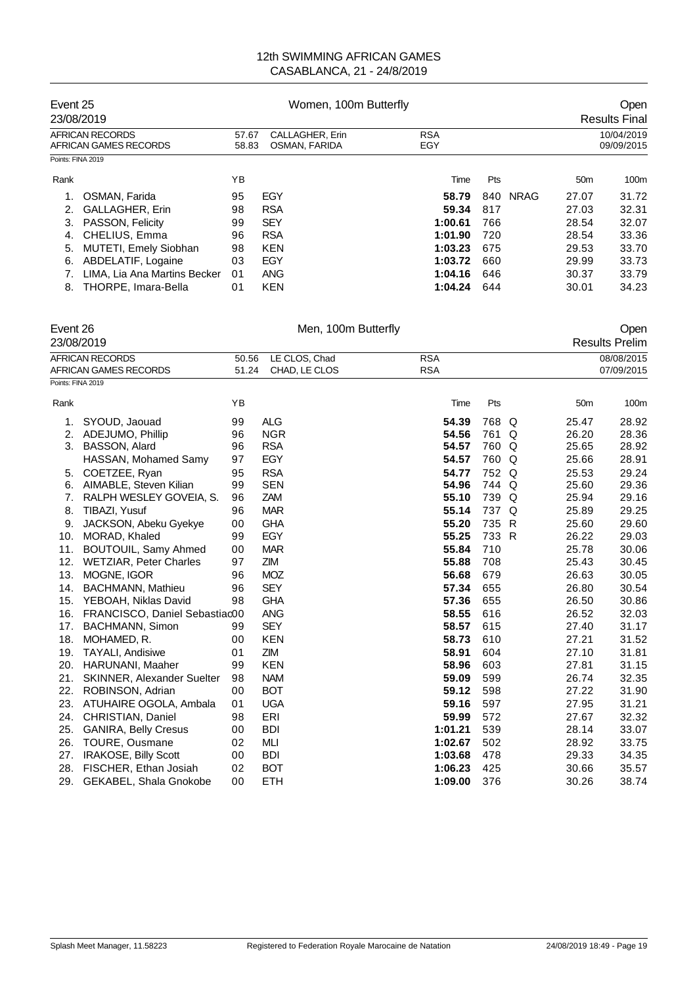| Event 25          | 23/08/2019                               | Women, 100m Butterfly                                                   |            |         |     |             |       | Open<br><b>Results Final</b> |
|-------------------|------------------------------------------|-------------------------------------------------------------------------|------------|---------|-----|-------------|-------|------------------------------|
|                   | AFRICAN RECORDS<br>AFRICAN GAMES RECORDS | <b>RSA</b><br>CALLAGHER, Erin<br>57.67<br>EGY<br>OSMAN, FARIDA<br>58.83 |            |         |     |             |       | 10/04/2019<br>09/09/2015     |
| Points: FINA 2019 |                                          |                                                                         |            |         |     |             |       |                              |
| Rank              |                                          | YΒ                                                                      |            | Time    | Pts |             | 50m   | 100m                         |
|                   | OSMAN, Farida                            | 95                                                                      | EGY        | 58.79   | 840 | <b>NRAG</b> | 27.07 | 31.72                        |
| 2.                | <b>GALLAGHER, Erin</b>                   | 98                                                                      | <b>RSA</b> | 59.34   | 817 |             | 27.03 | 32.31                        |
| 3.                | PASSON, Felicity                         | 99                                                                      | <b>SEY</b> | 1:00.61 | 766 |             | 28.54 | 32.07                        |
| 4.                | CHELIUS, Emma                            | 96                                                                      | <b>RSA</b> | 1:01.90 | 720 |             | 28.54 | 33.36                        |
| 5.                | <b>MUTETI, Emely Siobhan</b>             | 98                                                                      | <b>KEN</b> | 1:03.23 | 675 |             | 29.53 | 33.70                        |
| 6.                | ABDELATIF, Logaine                       | 03                                                                      | EGY        | 1:03.72 | 660 |             | 29.99 | 33.73                        |
|                   | LIMA. Lia Ana Martins Becker             | 01                                                                      | <b>ANG</b> | 1:04.16 | 646 |             | 30.37 | 33.79                        |
| 8.                | THORPE, Imara-Bella                      | 01                                                                      | <b>KEN</b> | 1:04.24 | 644 |             | 30.01 | 34.23                        |

| Event 26          |                                   | Men, 100m Butterfly |               |            |       |   | Open            |                       |  |
|-------------------|-----------------------------------|---------------------|---------------|------------|-------|---|-----------------|-----------------------|--|
|                   | 23/08/2019                        |                     |               |            |       |   |                 | <b>Results Prelim</b> |  |
|                   | <b>AFRICAN RECORDS</b>            | 50.56               | LE CLOS, Chad | <b>RSA</b> |       |   |                 | 08/08/2015            |  |
|                   | AFRICAN GAMES RECORDS             | 51.24               | CHAD, LE CLOS | <b>RSA</b> |       |   |                 | 07/09/2015            |  |
| Points: FINA 2019 |                                   |                     |               |            |       |   |                 |                       |  |
| Rank              |                                   | ΥB                  |               | Time       | Pts   |   | 50 <sub>m</sub> | 100m                  |  |
| 1.                | SYOUD, Jaouad                     | 99                  | <b>ALG</b>    | 54.39      | 768   | Q | 25.47           | 28.92                 |  |
| 2.                | ADEJUMO, Phillip                  | 96                  | <b>NGR</b>    | 54.56      | 761   | Q | 26.20           | 28.36                 |  |
| 3.                | <b>BASSON, Alard</b>              | 96                  | <b>RSA</b>    | 54.57      | 760   | Q | 25.65           | 28.92                 |  |
|                   | HASSAN, Mohamed Samy              | 97                  | EGY           | 54.57      | 760   | Q | 25.66           | 28.91                 |  |
| 5.                | COETZEE, Ryan                     | 95                  | <b>RSA</b>    | 54.77      | 752 Q |   | 25.53           | 29.24                 |  |
| 6.                | AIMABLE, Steven Kilian            | 99                  | <b>SEN</b>    | 54.96      | 744   | Q | 25.60           | 29.36                 |  |
| 7.                | RALPH WESLEY GOVEIA, S.           | 96                  | ZAM           | 55.10      | 739   | Q | 25.94           | 29.16                 |  |
| 8.                | TIBAZI, Yusuf                     | 96                  | <b>MAR</b>    | 55.14      | 737 Q |   | 25.89           | 29.25                 |  |
| 9.                | JACKSON, Abeku Gyekye             | 00                  | <b>GHA</b>    | 55.20      | 735 R |   | 25.60           | 29.60                 |  |
| 10.               | MORAD, Khaled                     | 99                  | <b>EGY</b>    | 55.25      | 733 R |   | 26.22           | 29.03                 |  |
| 11.               | BOUTOUIL, Samy Ahmed              | 00                  | <b>MAR</b>    | 55.84      | 710   |   | 25.78           | 30.06                 |  |
| 12.               | <b>WETZIAR, Peter Charles</b>     | 97                  | ZIM           | 55.88      | 708   |   | 25.43           | 30.45                 |  |
| 13.               | MOGNE, IGOR                       | 96                  | <b>MOZ</b>    | 56.68      | 679   |   | 26.63           | 30.05                 |  |
| 14.               | <b>BACHMANN, Mathieu</b>          | 96                  | <b>SEY</b>    | 57.34      | 655   |   | 26.80           | 30.54                 |  |
| 15.               | YEBOAH, Niklas David              | 98                  | <b>GHA</b>    | 57.36      | 655   |   | 26.50           | 30.86                 |  |
| 16.               | FRANCISCO, Daniel Sebastiac00     |                     | <b>ANG</b>    | 58.55      | 616   |   | 26.52           | 32.03                 |  |
| 17.               | BACHMANN, Simon                   | 99                  | <b>SEY</b>    | 58.57      | 615   |   | 27.40           | 31.17                 |  |
| 18.               | MOHAMED, R.                       | 00                  | <b>KEN</b>    | 58.73      | 610   |   | 27.21           | 31.52                 |  |
| 19.               | <b>TAYALI, Andisiwe</b>           | 01                  | ZIM           | 58.91      | 604   |   | 27.10           | 31.81                 |  |
| 20.               | <b>HARUNANI, Maaher</b>           | 99                  | <b>KEN</b>    | 58.96      | 603   |   | 27.81           | 31.15                 |  |
| 21.               | <b>SKINNER, Alexander Suelter</b> | 98                  | <b>NAM</b>    | 59.09      | 599   |   | 26.74           | 32.35                 |  |
| 22.               | ROBINSON, Adrian                  | 00                  | <b>BOT</b>    | 59.12      | 598   |   | 27.22           | 31.90                 |  |
| 23.               | ATUHAIRE OGOLA, Ambala            | 01                  | <b>UGA</b>    | 59.16      | 597   |   | 27.95           | 31.21                 |  |
| 24.               | CHRISTIAN, Daniel                 | 98                  | ERI           | 59.99      | 572   |   | 27.67           | 32.32                 |  |
| 25.               | <b>GANIRA, Belly Cresus</b>       | 00                  | <b>BDI</b>    | 1:01.21    | 539   |   | 28.14           | 33.07                 |  |
| 26.               | <b>TOURE, Ousmane</b>             | 02                  | MLI           | 1:02.67    | 502   |   | 28.92           | 33.75                 |  |
| 27.               | IRAKOSE, Billy Scott              | 00                  | <b>BDI</b>    | 1:03.68    | 478   |   | 29.33           | 34.35                 |  |
| 28.               | FISCHER, Ethan Josiah             | 02                  | <b>BOT</b>    | 1:06.23    | 425   |   | 30.66           | 35.57                 |  |
| 29.               | GEKABEL, Shala Gnokobe            | 00                  | <b>ETH</b>    | 1:09.00    | 376   |   | 30.26           | 38.74                 |  |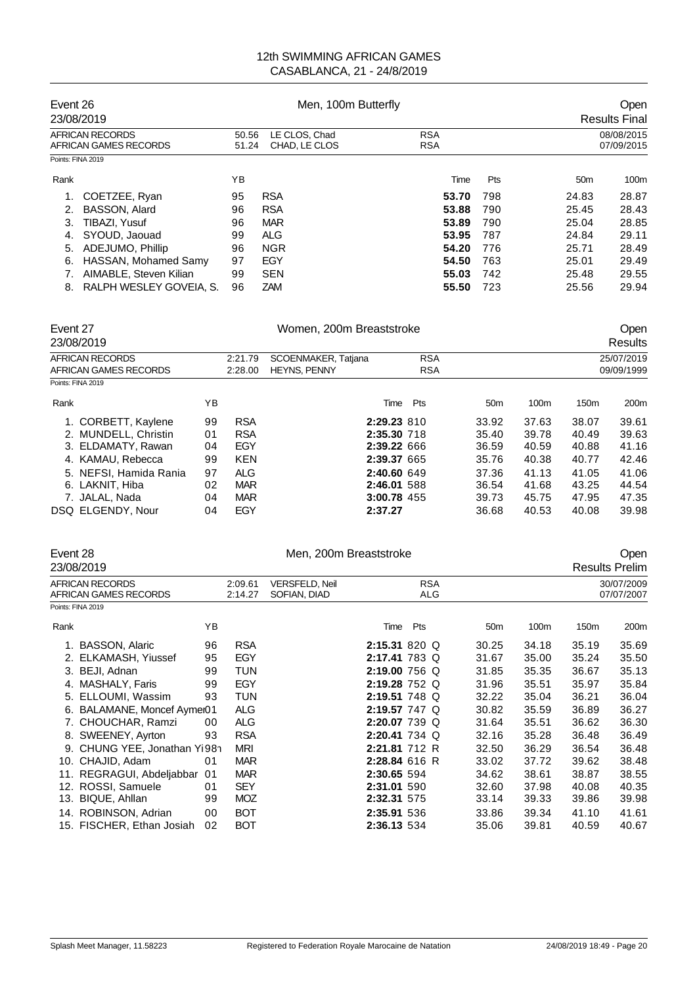| Event 26          | 23/08/2019                               |                | Men, 100m Butterfly            | Open<br><b>Results Final</b> |     |                 |                          |
|-------------------|------------------------------------------|----------------|--------------------------------|------------------------------|-----|-----------------|--------------------------|
|                   | AFRICAN RECORDS<br>AFRICAN GAMES RECORDS | 50.56<br>51.24 | LE CLOS, Chad<br>CHAD, LE CLOS | <b>RSA</b><br><b>RSA</b>     |     |                 | 08/08/2015<br>07/09/2015 |
| Points: FINA 2019 |                                          |                |                                |                              |     |                 |                          |
| Rank              |                                          | ΥB             |                                | Time                         | Pts | 50 <sub>m</sub> | 100 <sub>m</sub>         |
| 1.                | COETZEE, Ryan                            | 95             | <b>RSA</b>                     | 53.70                        | 798 | 24.83           | 28.87                    |
| 2.                | BASSON, Alard                            | 96             | <b>RSA</b>                     | 53.88                        | 790 | 25.45           | 28.43                    |
| 3.                | TIBAZI, Yusuf                            | 96             | <b>MAR</b>                     | 53.89                        | 790 | 25.04           | 28.85                    |
| 4.                | SYOUD, Jaouad                            | 99             | <b>ALG</b>                     | 53.95                        | 787 | 24.84           | 29.11                    |
| 5.                | ADEJUMO, Phillip                         | 96             | <b>NGR</b>                     | 54.20                        | 776 | 25.71           | 28.49                    |
| 6.                | HASSAN, Mohamed Samy                     | 97             | EGY                            | 54.50                        | 763 | 25.01           | 29.49                    |
|                   | AIMABLE, Steven Kilian                   | 99             | <b>SEN</b>                     | 55.03                        | 742 | 25.48           | 29.55                    |
| 8.                | RALPH WESLEY GOVEIA, S.                  | 96             | ZAM                            | 55.50                        | 723 | 25.56           | 29.94                    |

| Event 27<br>23/08/2019 |                                          |    |                    | Women, 200m Breaststroke                   |      | Open<br>Results          |                 |                  |                          |                  |
|------------------------|------------------------------------------|----|--------------------|--------------------------------------------|------|--------------------------|-----------------|------------------|--------------------------|------------------|
|                        | AFRICAN RECORDS<br>AFRICAN GAMES RECORDS |    | 2:21.79<br>2:28.00 | SCOENMAKER, Tatjana<br><b>HEYNS, PENNY</b> |      | <b>RSA</b><br><b>RSA</b> |                 |                  | 25/07/2019<br>09/09/1999 |                  |
| Points: FINA 2019      |                                          |    |                    |                                            |      |                          |                 |                  |                          |                  |
| Rank                   |                                          | YΒ |                    |                                            | Time | Pts                      | 50 <sub>m</sub> | 100 <sub>m</sub> | 150 <sub>m</sub>         | 200 <sub>m</sub> |
|                        | 1. CORBETT, Kaylene                      | 99 | <b>RSA</b>         |                                            |      | 2:29.23 810              | 33.92           | 37.63            | 38.07                    | 39.61            |
|                        | 2. MUNDELL, Christin                     | 01 | <b>RSA</b>         |                                            |      | 2:35.30 718              | 35.40           | 39.78            | 40.49                    | 39.63            |
|                        | 3. ELDAMATY, Rawan                       | 04 | EGY                |                                            |      | 2:39.22 666              | 36.59           | 40.59            | 40.88                    | 41.16            |
|                        | 4. KAMAU, Rebecca                        | 99 | <b>KEN</b>         |                                            |      | 2:39.37 665              | 35.76           | 40.38            | 40.77                    | 42.46            |
|                        | 5. NEFSI, Hamida Rania                   | 97 | <b>ALG</b>         |                                            |      | 2:40.60 649              | 37.36           | 41.13            | 41.05                    | 41.06            |
|                        | 6. LAKNIT, Hiba                          | 02 | <b>MAR</b>         |                                            |      | 2:46.01 588              | 36.54           | 41.68            | 43.25                    | 44.54            |
|                        | 7. JALAL, Nada                           | 04 | <b>MAR</b>         |                                            |      | 3:00.78 455              | 39.73           | 45.75            | 47.95                    | 47.35            |
|                        | DSQ ELGENDY, Nour                        | 04 | <b>EGY</b>         | 2:37.27                                    |      |                          | 36.68           | 40.53            | 40.08                    | 39.98            |

| Event 28 |                                                 |    |                    | Men, 200m Breaststroke                | Open                     |                 |       |       |                          |  |
|----------|-------------------------------------------------|----|--------------------|---------------------------------------|--------------------------|-----------------|-------|-------|--------------------------|--|
|          | 23/08/2019                                      |    |                    |                                       |                          |                 |       |       | <b>Results Prelim</b>    |  |
|          | <b>AFRICAN RECORDS</b><br>AFRICAN GAMES RECORDS |    | 2:09.61<br>2:14.27 | <b>VERSFELD, Neil</b><br>SOFIAN, DIAD | <b>RSA</b><br><b>ALG</b> |                 |       |       | 30/07/2009<br>07/07/2007 |  |
|          | Points: FINA 2019                               |    |                    |                                       |                          |                 |       |       |                          |  |
| Rank     |                                                 | ΥB |                    |                                       | Pts<br>Time              | 50 <sub>m</sub> | 100m  | 150m  | 200m                     |  |
|          | 1. BASSON, Alaric                               | 96 | <b>RSA</b>         |                                       | 2:15.31 820 Q            | 30.25           | 34.18 | 35.19 | 35.69                    |  |
|          | 2. ELKAMASH, Yiussef                            | 95 | EGY                |                                       | 2:17.41 783 Q            | 31.67           | 35.00 | 35.24 | 35.50                    |  |
|          | 3. BEJI, Adnan                                  | 99 | <b>TUN</b>         |                                       | 2:19.00 756 Q            | 31.85           | 35.35 | 36.67 | 35.13                    |  |
|          | 4. MASHALY, Faris                               | 99 | EGY                |                                       | 2:19.28 752 Q            | 31.96           | 35.51 | 35.97 | 35.84                    |  |
|          | 5. ELLOUMI, Wassim                              | 93 | TUN                |                                       | 2:19.51 748 Q            | 32.22           | 35.04 | 36.21 | 36.04                    |  |
|          | 6. BALAMANE, Moncef Aymei01                     |    | <b>ALG</b>         |                                       | 2:19.57 747 Q            | 30.82           | 35.59 | 36.89 | 36.27                    |  |
|          | 7. CHOUCHAR, Ramzi                              | 00 | <b>ALG</b>         |                                       | 2:20.07 739 Q            | 31.64           | 35.51 | 36.62 | 36.30                    |  |
|          | 8. SWEENEY, Ayrton                              | 93 | <b>RSA</b>         |                                       | $2:20.41$ 734 Q          | 32.16           | 35.28 | 36.48 | 36.49                    |  |
|          | 9. CHUNG YEE, Jonathan Yi98n                    |    | <b>MRI</b>         |                                       | 2:21.81 712 R            | 32.50           | 36.29 | 36.54 | 36.48                    |  |
|          | 10. CHAJID, Adam                                | 01 | <b>MAR</b>         |                                       | 2:28.84 616 R            | 33.02           | 37.72 | 39.62 | 38.48                    |  |
|          | 11. REGRAGUI, Abdeljabbar                       | 01 | <b>MAR</b>         |                                       | 2:30.65 594              | 34.62           | 38.61 | 38.87 | 38.55                    |  |
|          | 12. ROSSI, Samuele                              | 01 | <b>SEY</b>         |                                       | 2:31.01 590              | 32.60           | 37.98 | 40.08 | 40.35                    |  |
|          | 13. BIQUE, Ahllan                               | 99 | <b>MOZ</b>         |                                       | 2:32.31 575              | 33.14           | 39.33 | 39.86 | 39.98                    |  |
|          | 14. ROBINSON, Adrian                            | 00 | <b>BOT</b>         |                                       | 2:35.91 536              | 33.86           | 39.34 | 41.10 | 41.61                    |  |
|          | 15. FISCHER, Ethan Josiah                       | 02 | <b>BOT</b>         |                                       | 2:36.13 534              | 35.06           | 39.81 | 40.59 | 40.67                    |  |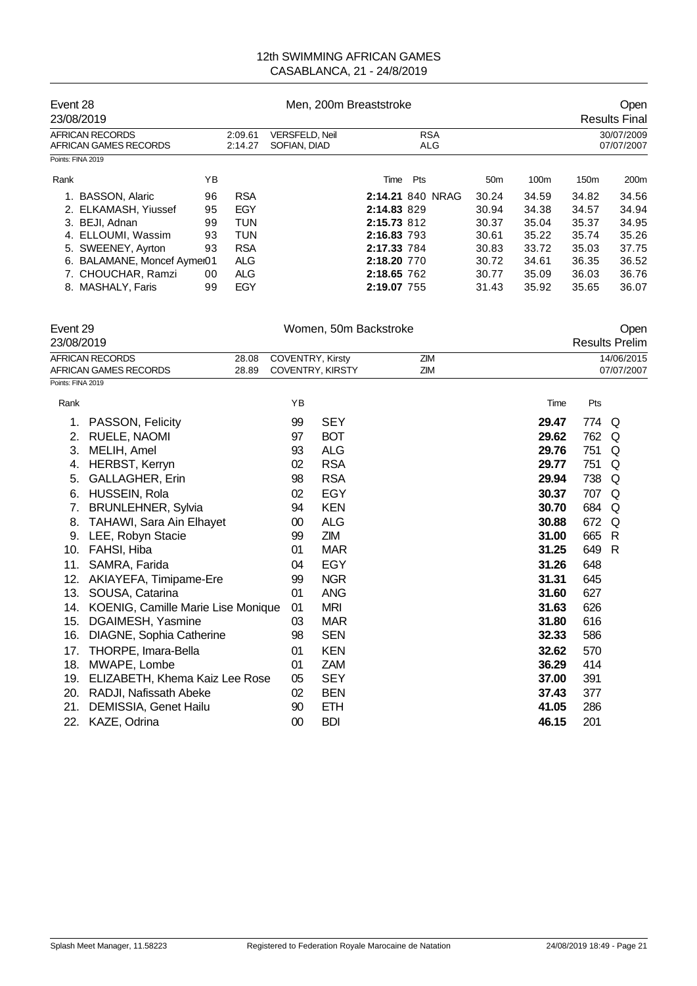| Event 28 |                                          |    |                                                             | Men, 200m Breaststroke |                   | <b>Open</b>              |                  |                  |                      |
|----------|------------------------------------------|----|-------------------------------------------------------------|------------------------|-------------------|--------------------------|------------------|------------------|----------------------|
|          | 23/08/2019                               |    |                                                             |                        |                   |                          |                  |                  | <b>Results Final</b> |
|          | AFRICAN RECORDS<br>AFRICAN GAMES RECORDS |    | 2:09.61<br><b>VERSFELD, Neil</b><br>2:14.27<br>SOFIAN, DIAD |                        | <b>RSA</b><br>ALG | 30/07/2009<br>07/07/2007 |                  |                  |                      |
|          | Points: FINA 2019                        |    |                                                             |                        |                   |                          |                  |                  |                      |
| Rank     |                                          | ΥB |                                                             |                        | Pts<br>Time       | 50 <sub>m</sub>          | 100 <sub>m</sub> | 150 <sub>m</sub> | 200 <sub>m</sub>     |
|          | 1. BASSON, Alaric                        | 96 | <b>RSA</b>                                                  |                        | 2:14.21 840 NRAG  | 30.24                    | 34.59            | 34.82            | 34.56                |
|          | 2. ELKAMASH, Yiussef                     | 95 | EGY                                                         |                        | 2:14.83 829       | 30.94                    | 34.38            | 34.57            | 34.94                |
|          | 3. BEJI, Adnan                           | 99 | <b>TUN</b>                                                  |                        | 2:15.73 812       | 30.37                    | 35.04            | 35.37            | 34.95                |
|          | 4. ELLOUMI, Wassim                       | 93 | TUN                                                         |                        | 2:16.83 793       | 30.61                    | 35.22            | 35.74            | 35.26                |
|          | 5. SWEENEY, Ayrton                       | 93 | <b>RSA</b>                                                  |                        | 2:17.33 784       | 30.83                    | 33.72            | 35.03            | 37.75                |
|          | 6. BALAMANE, Moncef Aymei01              |    | <b>ALG</b>                                                  |                        | 2:18.20 770       | 30.72                    | 34.61            | 36.35            | 36.52                |
|          | 7. CHOUCHAR, Ramzi                       | 00 | <b>ALG</b>                                                  |                        | 2:18.65 762       | 30.77                    | 35.09            | 36.03            | 36.76                |
|          | 8. MASHALY, Faris                        | 99 | EGY                                                         |                        | 2:19.07 755       | 31.43                    | 35.92            | 35.65            | 36.07                |

|                   | Event 29<br>23/08/2019             |       |                  | Women, 50m Backstroke   |     |       |     | Open<br><b>Results Prelim</b> |
|-------------------|------------------------------------|-------|------------------|-------------------------|-----|-------|-----|-------------------------------|
|                   | <b>AFRICAN RECORDS</b>             | 28.08 | COVENTRY, Kirsty |                         | ZIM |       |     | 14/06/2015                    |
|                   | AFRICAN GAMES RECORDS              | 28.89 |                  | <b>COVENTRY, KIRSTY</b> | ZIM |       |     | 07/07/2007                    |
| Points: FINA 2019 |                                    |       |                  |                         |     |       |     |                               |
| Rank              |                                    |       | YB               |                         |     | Time  | Pts |                               |
| 1.                | PASSON, Felicity                   |       | 99               | <b>SEY</b>              |     | 29.47 | 774 | Q                             |
| 2.                | <b>RUELE, NAOMI</b>                |       | 97               | <b>BOT</b>              |     | 29.62 | 762 | Q                             |
| 3.                | MELIH, Amel                        |       | 93               | <b>ALG</b>              |     | 29.76 | 751 | Q                             |
| 4.                | HERBST, Kerryn                     |       | 02               | <b>RSA</b>              |     | 29.77 | 751 | Q                             |
| 5.                | GALLAGHER, Erin                    |       | 98               | <b>RSA</b>              |     | 29.94 | 738 | Q                             |
| 6.                | HUSSEIN, Rola                      |       | 02               | EGY                     |     | 30.37 | 707 | Q                             |
| 7.                | <b>BRUNLEHNER, Sylvia</b>          |       | 94               | <b>KEN</b>              |     | 30.70 | 684 | Q                             |
| 8.                | TAHAWI, Sara Ain Elhayet           |       | 00               | <b>ALG</b>              |     | 30.88 | 672 | Q                             |
| 9.                | LEE, Robyn Stacie                  |       | 99               | ZIM                     |     | 31.00 | 665 | R                             |
| 10.               | FAHSI, Hiba                        |       | 01               | <b>MAR</b>              |     | 31.25 | 649 | R                             |
| 11.               | SAMRA, Farida                      |       | 04               | <b>EGY</b>              |     | 31.26 | 648 |                               |
| 12.               | AKIAYEFA, Timipame-Ere             |       | 99               | <b>NGR</b>              |     | 31.31 | 645 |                               |
| 13.               | SOUSA, Catarina                    |       | 01               | <b>ANG</b>              |     | 31.60 | 627 |                               |
| 14.               | KOENIG, Camille Marie Lise Monique |       | 01               | <b>MRI</b>              |     | 31.63 | 626 |                               |
| 15.               | DGAIMESH, Yasmine                  |       | 03               | <b>MAR</b>              |     | 31.80 | 616 |                               |
| 16.               | DIAGNE, Sophia Catherine           |       | 98               | <b>SEN</b>              |     | 32.33 | 586 |                               |
| 17.               | THORPE, Imara-Bella                |       | 01               | <b>KEN</b>              |     | 32.62 | 570 |                               |
| 18.               | MWAPE, Lombe                       |       | 01               | <b>ZAM</b>              |     | 36.29 | 414 |                               |
| 19.               | ELIZABETH, Khema Kaiz Lee Rose     |       | 05               | <b>SEY</b>              |     | 37.00 | 391 |                               |
| 20.               | RADJI, Nafissath Abeke             |       | 02               | <b>BEN</b>              |     | 37.43 | 377 |                               |
| 21.               | DEMISSIA, Genet Hailu              |       | 90               | <b>ETH</b>              |     | 41.05 | 286 |                               |
| 22.               | KAZE, Odrina                       |       | 00               | <b>BDI</b>              |     | 46.15 | 201 |                               |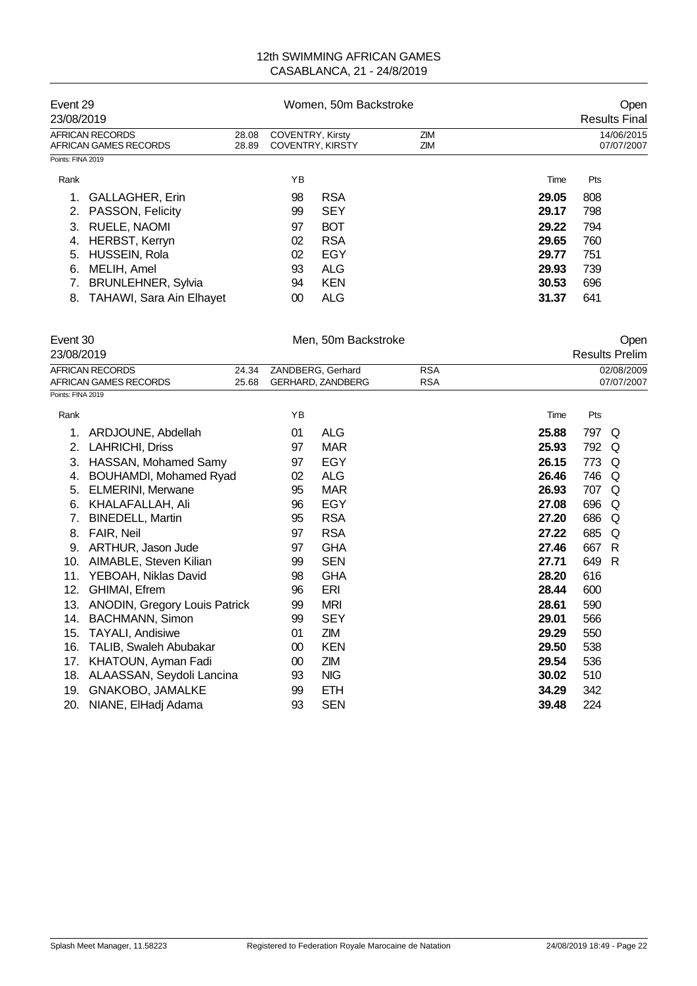| Event 29<br>23/08/2019                   |                |                  | Women, 50m Backstroke   | Open<br><b>Results Final</b> |       |                          |
|------------------------------------------|----------------|------------------|-------------------------|------------------------------|-------|--------------------------|
| AFRICAN RECORDS<br>AFRICAN GAMES RECORDS | 28.08<br>28.89 | COVENTRY, Kirsty | <b>COVENTRY, KIRSTY</b> | ZIM<br>ZIM                   |       | 14/06/2015<br>07/07/2007 |
| Points: FINA 2019                        |                |                  |                         |                              |       |                          |
| Rank                                     |                | ΥB               |                         |                              | Time  | Pts                      |
| <b>GALLAGHER, Erin</b>                   |                | 98               | <b>RSA</b>              |                              | 29.05 | 808                      |
| PASSON, Felicity<br>2.                   |                | 99               | <b>SEY</b>              |                              | 29.17 | 798                      |
| RUELE, NAOMI<br>3.                       |                | 97               | <b>BOT</b>              |                              | 29.22 | 794                      |
| <b>HERBST, Kerryn</b><br>4.              |                | 02               | <b>RSA</b>              |                              | 29.65 | 760                      |
| HUSSEIN, Rola<br>5.                      |                | 02               | EGY                     |                              | 29.77 | 751                      |
| MELIH, Amel<br>6.                        |                | 93               | <b>ALG</b>              |                              | 29.93 | 739                      |
| <b>BRUNLEHNER, Sylvia</b>                |                | 94               | <b>KEN</b>              |                              | 30.53 | 696                      |
| <b>TAHAWI, Sara Ain Elhayet</b><br>8.    |                | 00               | <b>ALG</b>              |                              | 31.37 | 641                      |

|                   | Event 30<br>23/08/2019                          |                |    | Men, 50m Backstroke                    |                          |       |     | Open<br><b>Results Prelim</b> |
|-------------------|-------------------------------------------------|----------------|----|----------------------------------------|--------------------------|-------|-----|-------------------------------|
|                   | <b>AFRICAN RECORDS</b><br>AFRICAN GAMES RECORDS | 24.34<br>25.68 |    | ZANDBERG, Gerhard<br>GERHARD, ZANDBERG | <b>RSA</b><br><b>RSA</b> |       |     | 02/08/2009<br>07/07/2007      |
| Points: FINA 2019 |                                                 |                |    |                                        |                          |       |     |                               |
| Rank              |                                                 |                | YB |                                        |                          | Time  | Pts |                               |
| 1.                | ARDJOUNE, Abdellah                              |                | 01 | <b>ALG</b>                             |                          | 25.88 | 797 | Q                             |
| 2.                | LAHRICHI, Driss                                 |                | 97 | <b>MAR</b>                             |                          | 25.93 | 792 | Q                             |
| 3.                | HASSAN, Mohamed Samy                            |                | 97 | EGY                                    |                          | 26.15 | 773 | O                             |
| 4.                | BOUHAMDI, Mohamed Ryad                          |                | 02 | <b>ALG</b>                             |                          | 26.46 | 746 | O                             |
| 5.                | <b>ELMERINI, Merwane</b>                        |                | 95 | <b>MAR</b>                             |                          | 26.93 | 707 | O                             |
| 6.                | KHALAFALLAH, Ali                                |                | 96 | <b>EGY</b>                             |                          | 27.08 | 696 | Q                             |
| 7.                | <b>BINEDELL, Martin</b>                         |                | 95 | <b>RSA</b>                             |                          | 27.20 | 686 | Q                             |
| 8.                | <b>FAIR.</b> Neil                               |                | 97 | <b>RSA</b>                             |                          | 27.22 | 685 | Q                             |
| 9.                | ARTHUR, Jason Jude                              |                | 97 | <b>GHA</b>                             |                          | 27.46 | 667 | R                             |
| 10.               | AIMABLE, Steven Kilian                          |                | 99 | <b>SEN</b>                             |                          | 27.71 | 649 | R                             |
| 11.               | YEBOAH, Niklas David                            |                | 98 | <b>GHA</b>                             |                          | 28.20 | 616 |                               |
| 12.               | GHIMAI, Efrem                                   |                | 96 | ERI                                    |                          | 28.44 | 600 |                               |
| 13.               | ANODIN, Gregory Louis Patrick                   |                | 99 | <b>MRI</b>                             |                          | 28.61 | 590 |                               |
| 14.               | <b>BACHMANN, Simon</b>                          |                | 99 | <b>SEY</b>                             |                          | 29.01 | 566 |                               |
| 15.               | <b>TAYALI, Andisiwe</b>                         |                | 01 | ZIM                                    |                          | 29.29 | 550 |                               |
| 16.               | TALIB, Swaleh Abubakar                          |                | 00 | <b>KEN</b>                             |                          | 29.50 | 538 |                               |
| 17.               | KHATOUN, Ayman Fadi                             |                | 00 | ZIM                                    |                          | 29.54 | 536 |                               |
| 18.               | ALAASSAN, Seydoli Lancina                       |                | 93 | <b>NIG</b>                             |                          | 30.02 | 510 |                               |
| 19.               | <b>GNAKOBO, JAMALKE</b>                         |                | 99 | <b>ETH</b>                             |                          | 34.29 | 342 |                               |
| 20.               | NIANE, ElHadj Adama                             |                | 93 | <b>SEN</b>                             |                          | 39.48 | 224 |                               |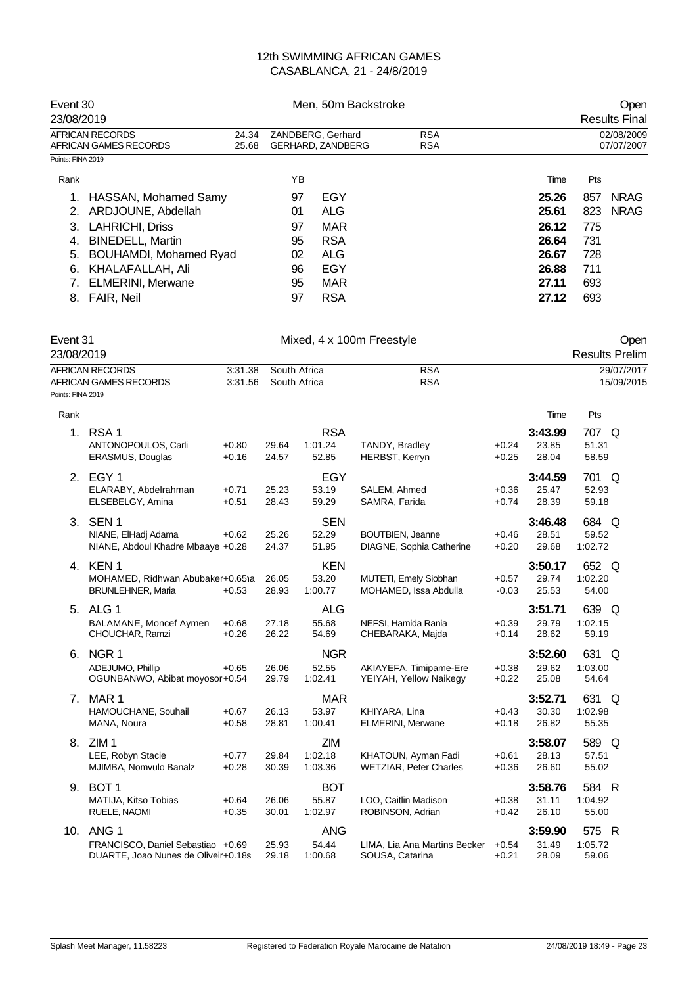|                   | Event 30<br>23/08/2019                   |  |                                               | Men. 50m Backstroke | Open<br><b>Results Final</b> |       |                          |             |
|-------------------|------------------------------------------|--|-----------------------------------------------|---------------------|------------------------------|-------|--------------------------|-------------|
|                   | AFRICAN RECORDS<br>AFRICAN GAMES RECORDS |  | ZANDBERG, Gerhard<br><b>GERHARD, ZANDBERG</b> |                     | <b>RSA</b><br><b>RSA</b>     |       | 02/08/2009<br>07/07/2007 |             |
| Points: FINA 2019 |                                          |  |                                               |                     |                              |       |                          |             |
| Rank              |                                          |  | ΥB                                            |                     |                              | Time  | Pts                      |             |
|                   | HASSAN, Mohamed Samy                     |  | 97                                            | EGY                 |                              | 25.26 | 857                      | <b>NRAG</b> |
|                   | ARDJOUNE, Abdellah                       |  | 01                                            | ALG                 |                              | 25.61 | 823                      | <b>NRAG</b> |
| 3.                | LAHRICHI, Driss                          |  | 97                                            | MAR                 |                              | 26.12 | 775                      |             |
| 4.                | <b>BINEDELL, Martin</b>                  |  | 95                                            | <b>RSA</b>          |                              | 26.64 | 731                      |             |
| 5.                | BOUHAMDI, Mohamed Ryad                   |  | 02                                            | ALG                 |                              | 26.67 | 728                      |             |
| 6.                | KHALAFALLAH, Ali                         |  | 96                                            | EGY                 |                              | 26.88 | 711                      |             |
|                   | <b>ELMERINI, Merwane</b>                 |  | 95                                            | <b>MAR</b>          |                              | 27.11 | 693                      |             |
| 8.                | FAIR, Neil                               |  | 97                                            | <b>RSA</b>          |                              | 27.12 | 693                      |             |

| Event 31<br>23/08/2019 | Mixed, 4 x 100m Freestyle |     | Open<br><b>Results Prelim</b> |
|------------------------|---------------------------|-----|-------------------------------|
| AFRICAN RECORDS        | 3:31.38 South Africa      | RSA | 29/07/2017                    |
| AFRICAN GAMES RECORDS  | 3:31.56 South Africa      | RSA | 15/09/2015                    |

| Points: FINA 2019 |  |
|-------------------|--|

| Rank                           |                                                                                              |                    |                |                                  |                                                      |                    | Time                      | Pts                       |
|--------------------------------|----------------------------------------------------------------------------------------------|--------------------|----------------|----------------------------------|------------------------------------------------------|--------------------|---------------------------|---------------------------|
| 1.                             | RSA <sub>1</sub><br>ANTONOPOULOS, Carli<br>ERASMUS, Douglas                                  | $+0.80$<br>$+0.16$ | 29.64<br>24.57 | <b>RSA</b><br>1:01.24<br>52.85   | TANDY, Bradley<br>HERBST, Kerryn                     | $+0.24$<br>$+0.25$ | 3:43.99<br>23.85<br>28.04 | 707 Q<br>51.31<br>58.59   |
|                                | 2. EGY 1<br>ELARABY, Abdelrahman<br>ELSEBELGY, Amina                                         | $+0.71$<br>$+0.51$ | 25.23<br>28.43 | <b>EGY</b><br>53.19<br>59.29     | SALEM, Ahmed<br>SAMRA, Farida                        | $+0.36$<br>$+0.74$ | 3:44.59<br>25.47<br>28.39 | 701 Q<br>52.93<br>59.18   |
| 3.                             | SEN <sub>1</sub><br>NIANE, ElHadj Adama<br>NIANE, Abdoul Khadre Mbaaye +0.28                 | $+0.62$            | 25.26<br>24.37 | <b>SEN</b><br>52.29<br>51.95     | <b>BOUTBIEN, Jeanne</b><br>DIAGNE, Sophia Catherine  | $+0.46$<br>$+0.20$ | 3:46.48<br>28.51<br>29.68 | 684 Q<br>59.52<br>1:02.72 |
|                                | 4. KEN 1<br>MOHAMED, Ridhwan Abubaker+0.651a<br><b>BRUNLEHNER, Maria</b>                     | $+0.53$            | 26.05<br>28.93 | <b>KEN</b><br>53.20<br>1:00.77   | MUTETI, Emely Siobhan<br>MOHAMED, Issa Abdulla       | $+0.57$<br>$-0.03$ | 3:50.17<br>29.74<br>25.53 | 652 Q<br>1:02.20<br>54.00 |
|                                | 5. ALG 1<br>BALAMANE, Moncef Aymen<br>CHOUCHAR, Ramzi                                        | $+0.68$<br>$+0.26$ | 27.18<br>26.22 | <b>ALG</b><br>55.68<br>54.69     | NEFSI, Hamida Rania<br>CHEBARAKA, Majda              | $+0.39$<br>$+0.14$ | 3:51.71<br>29.79<br>28.62 | 639 Q<br>1:02.15<br>59.19 |
| 6.                             | NGR 1<br>ADEJUMO, Phillip<br>OGUNBANWO, Abibat moyosor+0.54                                  | $+0.65$            | 26.06<br>29.79 | <b>NGR</b><br>52.55<br>1:02.41   | AKIAYEFA, Timipame-Ere<br>YEIYAH, Yellow Naikegy     | $+0.38$<br>$+0.22$ | 3:52.60<br>29.62<br>25.08 | 631 Q<br>1:03.00<br>54.64 |
| $7_{\scriptscriptstyle{\sim}}$ | MAR <sub>1</sub><br>HAMOUCHANE, Souhail<br>MANA, Noura                                       | $+0.67$<br>$+0.58$ | 26.13<br>28.81 | <b>MAR</b><br>53.97<br>1:00.41   | KHIYARA, Lina<br><b>ELMERINI, Merwane</b>            | $+0.43$<br>$+0.18$ | 3:52.71<br>30.30<br>26.82 | 631 Q<br>1:02.98<br>55.35 |
| 8.                             | ZIM <sub>1</sub><br>LEE, Robyn Stacie<br>MJIMBA, Nomvulo Banalz                              | $+0.77$<br>$+0.28$ | 29.84<br>30.39 | <b>ZIM</b><br>1:02.18<br>1:03.36 | KHATOUN, Ayman Fadi<br><b>WETZIAR, Peter Charles</b> | $+0.61$<br>$+0.36$ | 3:58.07<br>28.13<br>26.60 | 589 Q<br>57.51<br>55.02   |
| 9.                             | BOT <sub>1</sub><br>MATIJA, Kitso Tobias<br>RUELE, NAOMI                                     | $+0.64$<br>$+0.35$ | 26.06<br>30.01 | <b>BOT</b><br>55.87<br>1:02.97   | LOO, Caitlin Madison<br>ROBINSON, Adrian             | $+0.38$<br>$+0.42$ | 3:58.76<br>31.11<br>26.10 | 584 R<br>1:04.92<br>55.00 |
| 10.                            | ANG <sub>1</sub><br>FRANCISCO, Daniel Sebastiao +0.69<br>DUARTE, Joao Nunes de Oliveir+0.18s |                    | 25.93<br>29.18 | <b>ANG</b><br>54.44<br>1:00.68   | LIMA, Lia Ana Martins Becker<br>SOUSA, Catarina      | $+0.54$<br>$+0.21$ | 3:59.90<br>31.49<br>28.09 | 575 R<br>1:05.72<br>59.06 |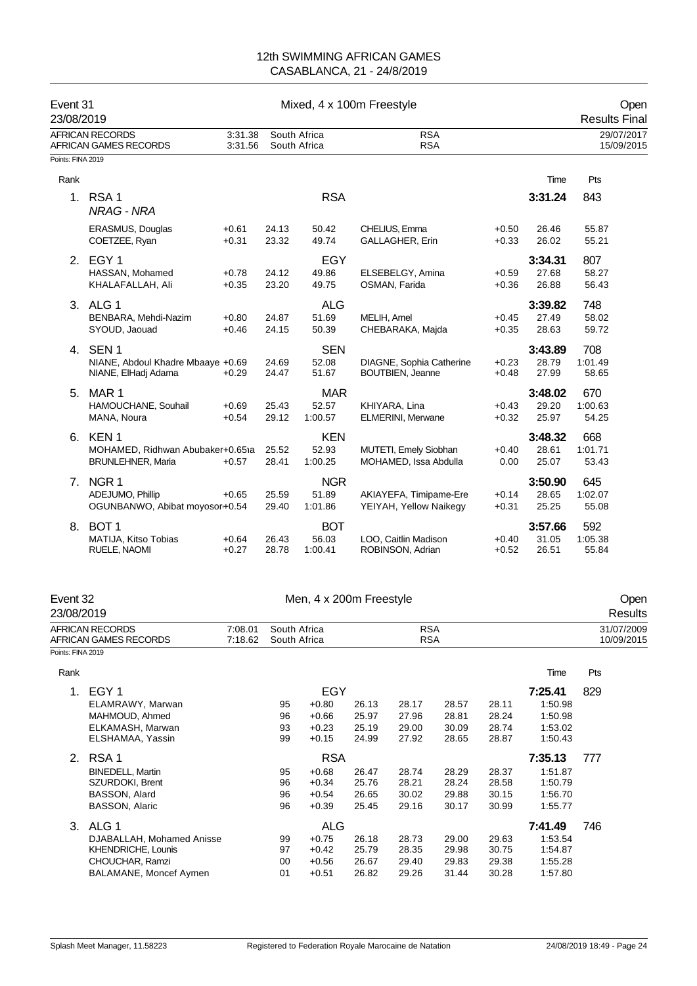| Event 31<br>23/08/2019 |                                                                                        |                    |                              | Mixed, 4 x 100m Freestyle                              |                                  |                                                     |                                  |                                  |                                                             | <b>Results Final</b>    | Open                     |
|------------------------|----------------------------------------------------------------------------------------|--------------------|------------------------------|--------------------------------------------------------|----------------------------------|-----------------------------------------------------|----------------------------------|----------------------------------|-------------------------------------------------------------|-------------------------|--------------------------|
|                        | <b>AFRICAN RECORDS</b><br>AFRICAN GAMES RECORDS                                        | 3:31.38<br>3:31.56 | South Africa<br>South Africa |                                                        |                                  | <b>RSA</b><br><b>RSA</b>                            |                                  |                                  |                                                             |                         | 29/07/2017<br>15/09/2015 |
| Points: FINA 2019      |                                                                                        |                    |                              |                                                        |                                  |                                                     |                                  |                                  |                                                             |                         |                          |
| Rank                   |                                                                                        |                    |                              |                                                        |                                  |                                                     |                                  |                                  | Time                                                        | Pts                     |                          |
|                        | 1. RSA 1<br><b>NRAG - NRA</b>                                                          |                    |                              | <b>RSA</b>                                             |                                  |                                                     |                                  |                                  | 3:31.24                                                     | 843                     |                          |
|                        | <b>ERASMUS, Douglas</b><br>COETZEE, Ryan                                               | $+0.61$<br>$+0.31$ | 24.13<br>23.32               | 50.42<br>49.74                                         |                                  | CHELIUS, Emma<br>GALLAGHER, Erin                    |                                  | $+0.50$<br>$+0.33$               | 26.46<br>26.02                                              | 55.87<br>55.21          |                          |
|                        | 2. EGY 1<br>HASSAN, Mohamed<br>KHALAFALLAH, Ali                                        | $+0.78$<br>$+0.35$ | 24.12<br>23.20               | EGY<br>49.86<br>49.75                                  |                                  | ELSEBELGY, Amina<br>OSMAN, Farida                   |                                  | $+0.59$<br>$+0.36$               | 3:34.31<br>27.68<br>26.88                                   | 807<br>58.27<br>56.43   |                          |
|                        | 3. ALG 1<br>BENBARA, Mehdi-Nazim<br>SYOUD, Jaouad                                      | $+0.80$<br>$+0.46$ | 24.87<br>24.15               | <b>ALG</b><br>51.69<br>50.39                           | MELIH, Amel                      | CHEBARAKA, Majda                                    |                                  | $+0.45$<br>$+0.35$               | 3:39.82<br>27.49<br>28.63                                   | 748<br>58.02<br>59.72   |                          |
|                        | 4. SEN 1<br>NIANE, Abdoul Khadre Mbaaye +0.69<br>NIANE, ElHadj Adama                   | $+0.29$            | 24.69<br>24.47               | <b>SEN</b><br>52.08<br>51.67                           |                                  | DIAGNE, Sophia Catherine<br><b>BOUTBIEN, Jeanne</b> |                                  | $+0.23$<br>$+0.48$               | 3:43.89<br>28.79<br>27.99                                   | 708<br>1:01.49<br>58.65 |                          |
|                        | 5. MAR 1<br>HAMOUCHANE, Souhail<br>MANA, Noura                                         | $+0.69$<br>$+0.54$ | 25.43<br>29.12               | <b>MAR</b><br>52.57<br>1:00.57                         |                                  | KHIYARA, Lina<br><b>ELMERINI, Merwane</b>           |                                  | $+0.43$<br>$+0.32$               | 3:48.02<br>29.20<br>25.97                                   | 670<br>1:00.63<br>54.25 |                          |
|                        | 6. KEN 1<br>MOHAMED, Ridhwan Abubaker+0.651a<br><b>BRUNLEHNER, Maria</b>               | $+0.57$            | 25.52<br>28.41               | <b>KEN</b><br>52.93<br>1:00.25                         |                                  | MUTETI, Emely Siobhan<br>MOHAMED, Issa Abdulla      |                                  | $+0.40$<br>0.00                  | 3:48.32<br>28.61<br>25.07                                   | 668<br>1:01.71<br>53.43 |                          |
|                        | 7. NGR 1<br>ADEJUMO, Phillip<br>OGUNBANWO, Abibat moyosor+0.54                         | $+0.65$            | 25.59<br>29.40               | <b>NGR</b><br>51.89<br>1:01.86                         |                                  | AKIAYEFA, Timipame-Ere<br>YEIYAH, Yellow Naikegy    |                                  | $+0.14$<br>$+0.31$               | 3:50.90<br>28.65<br>25.25                                   | 645<br>1:02.07<br>55.08 |                          |
|                        | 8. BOT 1<br>MATIJA, Kitso Tobias<br>RUELE, NAOMI                                       | $+0.64$<br>$+0.27$ | 26.43<br>28.78               | <b>BOT</b><br>56.03<br>1:00.41                         |                                  | LOO, Caitlin Madison<br>ROBINSON, Adrian            |                                  | $+0.40$<br>$+0.52$               | 3:57.66<br>31.05<br>26.51                                   | 592<br>1:05.38<br>55.84 |                          |
| Event 32<br>23/08/2019 |                                                                                        |                    |                              | Men, 4 x 200m Freestyle                                |                                  |                                                     |                                  |                                  |                                                             |                         | Open<br>Results          |
| Points: FINA 2019      | AFRICAN RECORDS<br>AFRICAN GAMES RECORDS                                               | 7:08.01<br>7:18.62 | South Africa<br>South Africa |                                                        |                                  | <b>RSA</b><br><b>RSA</b>                            |                                  |                                  |                                                             |                         | 31/07/2009<br>10/09/2015 |
|                        |                                                                                        |                    |                              |                                                        |                                  |                                                     |                                  |                                  |                                                             | Pts                     |                          |
| Rank                   | 1. EGY 1<br>ELAMRAWY, Marwan<br>MAHMOUD, Ahmed<br>ELKAMASH, Marwan<br>ELSHAMAA, Yassin |                    | 95<br>96<br>93<br>99         | <b>EGY</b><br>$+0.80$<br>$+0.66$<br>$+0.23$<br>$+0.15$ | 26.13<br>25.97<br>25.19<br>24.99 | 28.17<br>27.96<br>29.00<br>27.92                    | 28.57<br>28.81<br>30.09<br>28.65 | 28.11<br>28.24<br>28.74<br>28.87 | Time<br>7:25.41<br>1:50.98<br>1:50.98<br>1:53.02<br>1:50.43 | 829                     |                          |
|                        | 2. RSA 1                                                                               |                    |                              | <b>RSA</b>                                             |                                  |                                                     |                                  |                                  | 7:35.13                                                     | 777                     |                          |

SZURDOKI, Brent

KHENDRICHE, Lounis

BINEDELL, Martin 95 +0.68 26.47 28.74 28.29 28.37 1:51.87

BASSON, Alard 96 +0.54 26.65 30.02 29.88 30.15 1:56.70

3. ALG 1 ALG **7:41.49** 746 DJABALLAH, Mohamed Anisse 99 +0.75 26.18 28.73 29.00 29.63 1:53.54

CHOUCHAR, Ramzi 00 +0.56 26.67 29.40 29.83 29.38 1:55.28 BALAMANE, Moncef Aymen 01 +0.51 26.82 29.26 31.44 30.28 1:57.80

BASSON, Alaric 30.17 30.45 30.45 30.45 30.45 30.16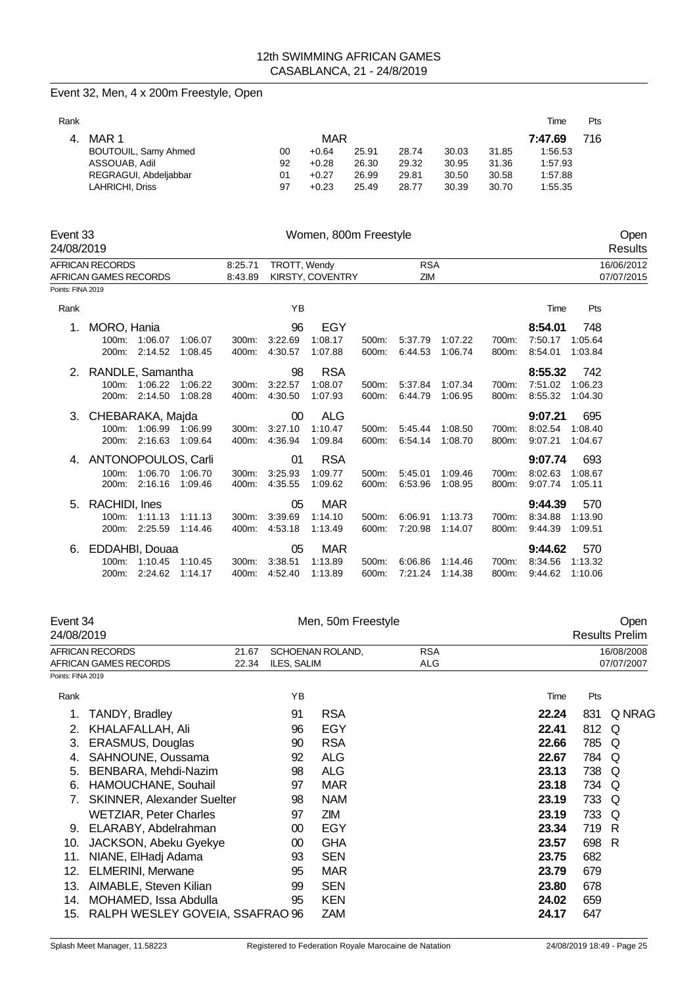### Event 32, Men, 4 x 200m Freestyle, Open

|                       |          |         |       |       |       |       | Time    | <b>Pts</b> |
|-----------------------|----------|---------|-------|-------|-------|-------|---------|------------|
|                       |          |         |       |       |       |       | 7:47.69 | 716        |
| BOUTOUIL, Samy Ahmed  | 00       | $+0.64$ | 25.91 | 28.74 | 30.03 | 31.85 | 1:56.53 |            |
| ASSOUAB, Adil         | 92       | $+0.28$ | 26.30 | 29.32 | 30.95 | 31.36 | 1:57.93 |            |
| REGRAGUI, Abdeljabbar | 01       | $+0.27$ | 26.99 | 29.81 | 30.50 | 30.58 | 1:57.88 |            |
| LAHRICHI, Driss       | 97       | $+0.23$ | 25.49 | 28.77 | 30.39 | 30.70 | 1:55.35 |            |
|                       | 4. MAR 1 |         |       | MAR   |       |       |         |            |

| Event 33<br>24/08/2019 |                                          |                       |         |                    |              | Women, 800m Freestyle |       |                   |         |       |         |         | Open<br>Results          |
|------------------------|------------------------------------------|-----------------------|---------|--------------------|--------------|-----------------------|-------|-------------------|---------|-------|---------|---------|--------------------------|
|                        | AFRICAN RECORDS<br>AFRICAN GAMES RECORDS |                       |         | 8:25.71<br>8:43.89 | TROTT, Wendy | KIRSTY, COVENTRY      |       | <b>RSA</b><br>ZIM |         |       |         |         | 16/06/2012<br>07/07/2015 |
| Points: FINA 2019      |                                          |                       |         |                    |              |                       |       |                   |         |       |         |         |                          |
| Rank                   |                                          |                       |         |                    | YB           |                       |       |                   |         |       | Time    | Pts     |                          |
| 1.                     | MORO, Hania                              |                       |         |                    | 96           | EGY                   |       |                   |         |       | 8:54.01 | 748     |                          |
|                        | $100m$ :                                 | 1:06.07               | 1:06.07 | 300m:              | 3:22.69      | 1:08.17               | 500m: | 5:37.79           | 1:07.22 | 700m: | 7:50.17 | 1:05.64 |                          |
|                        | 200m:                                    | 2:14.52               | 1:08.45 | 400m:              | 4:30.57      | 1:07.88               | 600m: | 6:44.53           | 1:06.74 | 800m: | 8:54.01 | 1:03.84 |                          |
|                        | 2. RANDLE, Samantha                      |                       |         |                    | 98           | <b>RSA</b>            |       |                   |         |       | 8:55.32 | 742     |                          |
|                        |                                          | 100m: 1:06.22 1:06.22 |         | 300m:              | 3:22.57      | 1:08.07               | 500m: | 5:37.84           | 1:07.34 | 700m: | 7:51.02 | 1:06.23 |                          |
|                        |                                          | 200m: 2:14.50         | 1:08.28 | 400m:              | 4:30.50      | 1:07.93               | 600m: | 6:44.79           | 1:06.95 | 800m: | 8:55.32 | 1:04.30 |                          |
|                        | 3. CHEBARAKA, Majda                      |                       |         |                    | 00           | <b>ALG</b>            |       |                   |         |       | 9:07.21 | 695     |                          |
|                        |                                          | 100m: 1:06.99 1:06.99 |         | 300m:              | 3:27.10      | 1:10.47               | 500m: | 5:45.44           | 1:08.50 | 700m: | 8:02.54 | 1:08.40 |                          |
|                        | 200m:                                    | 2:16.63 1:09.64       |         | 400m:              | 4:36.94      | 1:09.84               | 600m: | 6:54.14           | 1:08.70 | 800m: | 9:07.21 | 1:04.67 |                          |
|                        | 4. ANTONOPOULOS, Carli                   |                       |         |                    | 01           | <b>RSA</b>            |       |                   |         |       | 9:07.74 | 693     |                          |
|                        | $100m$ :                                 | 1:06.70               | 1:06.70 | 300m.              | 3:25.93      | 1:09.77               | 500m: | 5:45.01           | 1:09.46 | 700m: | 8:02.63 | 1:08.67 |                          |
|                        | 200m:                                    | 2:16.16               | 1:09.46 | 400m:              | 4.35.55      | 1:09.62               | 600m: | 6:53.96           | 1:08.95 | 800m: | 9:07.74 | 1:05.11 |                          |
| 5.                     | RACHIDI, Ines                            |                       |         |                    | 05           | <b>MAR</b>            |       |                   |         |       | 9:44.39 | 570     |                          |
|                        | 100m:                                    | 1:11.13               | 1:11.13 | 300m:              | 3:39.69      | 1:14.10               | 500m: | 6:06.91           | 1:13.73 | 700m: | 8:34.88 | 1:13.90 |                          |
|                        | 200m:                                    | 2:25.59               | 1:14.46 | 400m:              | 4:53.18      | 1:13.49               | 600m: | 7:20.98           | 1:14.07 | 800m: | 9:44.39 | 1:09.51 |                          |
| 6.                     | EDDAHBI, Douaa                           |                       |         |                    | 05           | <b>MAR</b>            |       |                   |         |       | 9:44.62 | 570     |                          |
|                        |                                          | 100m: 1:10.45         | 1:10.45 | 300m:              | 3:38.51      | 1:13.89               | 500m: | 6:06.86           | 1.14.46 | 700m: | 8:34.56 | 1:13.32 |                          |
|                        | 200m:                                    | 2:24.62               | 1:14.17 | 400m:              | 4:52.40      | 1:13.89               | 600m: | 7:21.24           | 1:14.38 | 800m: | 9:44.62 | 1:10.06 |                          |

|                   | Event 34<br>24/08/2019                          |                | Men, 50m Freestyle                                   |            |  | Open<br><b>Results Prelim</b> |                          |        |
|-------------------|-------------------------------------------------|----------------|------------------------------------------------------|------------|--|-------------------------------|--------------------------|--------|
|                   | <b>AFRICAN RECORDS</b><br>AFRICAN GAMES RECORDS | 21.67<br>22.34 | SCHOENAN ROLAND,<br><b>RSA</b><br>ILES, SALIM<br>ALG |            |  |                               | 16/08/2008<br>07/07/2007 |        |
| Points: FINA 2019 |                                                 |                |                                                      |            |  |                               |                          |        |
| Rank              |                                                 |                | ΥB                                                   |            |  | Time                          | Pts                      |        |
| 1.                | TANDY, Bradley                                  |                | 91                                                   | <b>RSA</b> |  | 22.24                         | 831                      | Q NRAG |
| 2.                | KHALAFALLAH, Ali                                |                | 96                                                   | <b>EGY</b> |  | 22.41                         | 812                      | Q      |
| 3.                | ERASMUS, Douglas                                |                | 90                                                   | <b>RSA</b> |  | 22.66                         | 785                      | Q      |
| 4.                | SAHNOUNE, Oussama                               |                | 92                                                   | <b>ALG</b> |  | 22.67                         | 784                      | O      |
| 5.                | BENBARA, Mehdi-Nazim                            |                | 98                                                   | <b>ALG</b> |  | 23.13                         | 738 Q                    |        |
| 6.                | HAMOUCHANE, Souhail                             |                | 97                                                   | <b>MAR</b> |  | 23.18                         | 734 Q                    |        |
| 7.                | <b>SKINNER, Alexander Suelter</b>               |                | 98                                                   | <b>NAM</b> |  | 23.19                         | 733                      | O      |
|                   | <b>WETZIAR, Peter Charles</b>                   |                | 97                                                   | ΖM         |  | 23.19                         | 733                      | Q      |
| 9.                | ELARABY, Abdelrahman                            |                | 00                                                   | EGY        |  | 23.34                         | 719 R                    |        |
| 10.               | JACKSON, Abeku Gyekye                           |                | 00                                                   | <b>GHA</b> |  | 23.57                         | 698                      | R      |
| 11.               | NIANE, ElHadj Adama                             |                | 93                                                   | <b>SEN</b> |  | 23.75                         | 682                      |        |
| 12.               | <b>ELMERINI, Merwane</b>                        |                | 95                                                   | MAR        |  | 23.79                         | 679                      |        |
| 13.               | AIMABLE, Steven Kilian                          |                | 99                                                   | <b>SEN</b> |  | 23.80                         | 678                      |        |
| 14.               | MOHAMED, Issa Abdulla                           |                | 95                                                   | <b>KEN</b> |  | 24.02                         | 659                      |        |
| 15.               | RALPH WESLEY GOVEIA, SSAFRAO 96                 |                |                                                      | <b>ZAM</b> |  | 24.17                         | 647                      |        |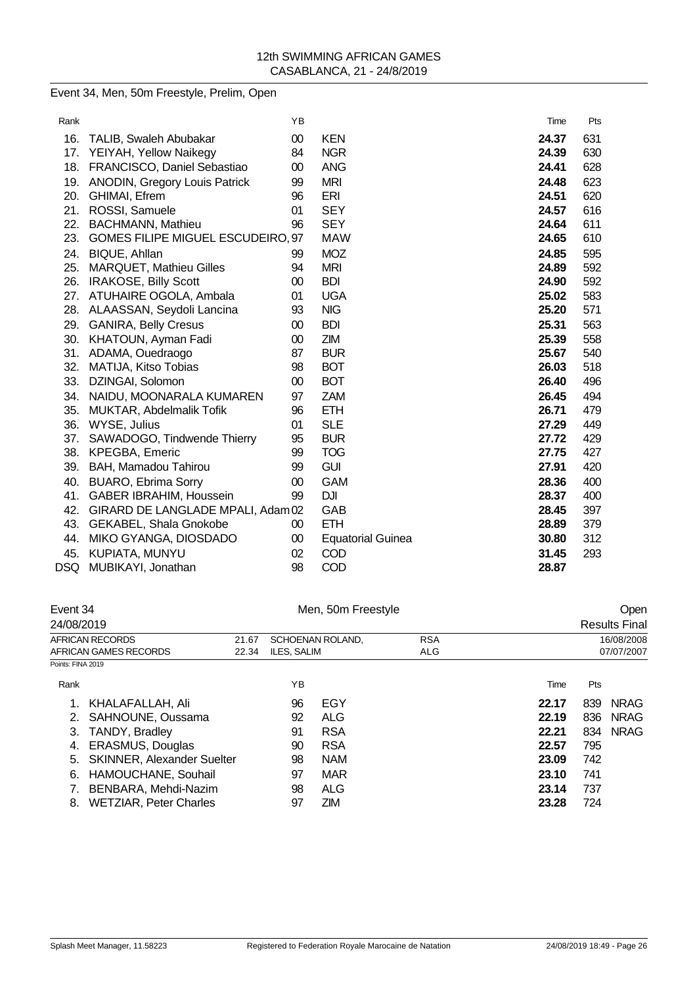# Event 34, Men, 50m Freestyle, Prelim, Open

| Rank |                                          | YB     |                          | Time  | Pts |
|------|------------------------------------------|--------|--------------------------|-------|-----|
| 16.  | TALIB, Swaleh Abubakar                   | $00\,$ | <b>KEN</b>               | 24.37 | 631 |
| 17.  | YEIYAH, Yellow Naikegy                   | 84     | <b>NGR</b>               | 24.39 | 630 |
| 18.  | FRANCISCO, Daniel Sebastiao              | $00\,$ | <b>ANG</b>               | 24.41 | 628 |
| 19.  | <b>ANODIN, Gregory Louis Patrick</b>     | 99     | <b>MRI</b>               | 24.48 | 623 |
| 20.  | GHIMAI, Efrem                            | 96     | ERI                      | 24.51 | 620 |
| 21.  | ROSSI, Samuele                           | 01     | <b>SEY</b>               | 24.57 | 616 |
| 22.  | <b>BACHMANN, Mathieu</b>                 | 96     | <b>SEY</b>               | 24.64 | 611 |
| 23.  | <b>GOMES FILIPE MIGUEL ESCUDEIRO, 97</b> |        | <b>MAW</b>               | 24.65 | 610 |
| 24.  | BIQUE, Ahllan                            | 99     | <b>MOZ</b>               | 24.85 | 595 |
| 25.  | <b>MARQUET, Mathieu Gilles</b>           | 94     | <b>MRI</b>               | 24.89 | 592 |
| 26.  | <b>IRAKOSE, Billy Scott</b>              | 00     | <b>BDI</b>               | 24.90 | 592 |
|      | 27. ATUHAIRE OGOLA, Ambala               | 01     | <b>UGA</b>               | 25.02 | 583 |
| 28.  | ALAASSAN, Seydoli Lancina                | 93     | <b>NIG</b>               | 25.20 | 571 |
| 29.  | <b>GANIRA, Belly Cresus</b>              | 00     | <b>BDI</b>               | 25.31 | 563 |
| 30.  | KHATOUN, Ayman Fadi                      | 00     | <b>ZIM</b>               | 25.39 | 558 |
| 31.  | ADAMA, Ouedraogo                         | 87     | <b>BUR</b>               | 25.67 | 540 |
| 32.  | MATIJA, Kitso Tobias                     | 98     | <b>BOT</b>               | 26.03 | 518 |
| 33.  | DZINGAI, Solomon                         | 00     | <b>BOT</b>               | 26.40 | 496 |
| 34.  | NAIDU, MOONARALA KUMAREN                 | 97     | <b>ZAM</b>               | 26.45 | 494 |
| 35.  | MUKTAR, Abdelmalik Tofik                 | 96     | <b>ETH</b>               | 26.71 | 479 |
| 36.  | WYSE, Julius                             | 01     | <b>SLE</b>               | 27.29 | 449 |
| 37.  | SAWADOGO, Tindwende Thierry              | 95     | <b>BUR</b>               | 27.72 | 429 |
| 38.  | <b>KPEGBA, Emeric</b>                    | 99     | <b>TOG</b>               | 27.75 | 427 |
| 39.  | BAH, Mamadou Tahirou                     | 99     | <b>GUI</b>               | 27.91 | 420 |
| 40.  | <b>BUARO, Ebrima Sorry</b>               | 00     | <b>GAM</b>               | 28.36 | 400 |
| 41.  | <b>GABER IBRAHIM, Houssein</b>           | 99     | <b>DJI</b>               | 28.37 | 400 |
| 42.  | GIRARD DE LANGLADE MPALI, Adam 02        |        | GAB                      | 28.45 | 397 |
| 43.  | GEKABEL, Shala Gnokobe                   | $00\,$ | <b>ETH</b>               | 28.89 | 379 |
| 44.  | MIKO GYANGA, DIOSDADO                    | $00\,$ | <b>Equatorial Guinea</b> | 30.80 | 312 |
| 45.  | KUPIATA, MUNYU                           | 02     | COD                      | 31.45 | 293 |
| DSQ  | MUBIKAYI, Jonathan                       | 98     | COD                      | 28.87 |     |

| Event 34                      |       |                                   |            |                  |                    |            | Open                 |  |
|-------------------------------|-------|-----------------------------------|------------|------------------|--------------------|------------|----------------------|--|
| 24/08/2019                    |       |                                   |            |                  |                    |            | <b>Results Final</b> |  |
| AFRICAN RECORDS               | 21.67 |                                   |            | <b>RSA</b>       |                    | 16/08/2008 |                      |  |
| AFRICAN GAMES RECORDS         | 22.34 | ILES, SALIM<br>ALG                |            |                  |                    | 07/07/2007 |                      |  |
| Points: FINA 2019             |       |                                   |            |                  |                    |            |                      |  |
|                               |       | YB                                |            |                  | Time               | Pts        |                      |  |
| KHALAFALLAH, Ali              |       | 96                                | EGY        |                  | 22.17              | 839        | <b>NRAG</b>          |  |
| SAHNOUNE, Oussama<br>2.       |       | 92                                | <b>ALG</b> |                  | 22.19              | 836        | <b>NRAG</b>          |  |
| <b>TANDY, Bradley</b>         |       | 91                                | <b>RSA</b> |                  | 22.21              |            | <b>NRAG</b>          |  |
| <b>ERASMUS, Douglas</b>       |       | 90                                | <b>RSA</b> |                  | 22.57              | 795        |                      |  |
|                               |       | 98                                | <b>NAM</b> |                  | 23.09              | 742        |                      |  |
| HAMOUCHANE, Souhail           |       | 97                                | MAR        |                  | 23.10              | 741        |                      |  |
| BENBARA, Mehdi-Nazim          |       | 98                                | <b>ALG</b> |                  | 23.14              | 737        |                      |  |
| <b>WETZIAR, Peter Charles</b> |       | 97                                | <b>ZIM</b> |                  | 23.28              | 724        |                      |  |
|                               |       | <b>SKINNER, Alexander Suelter</b> |            | SCHOENAN ROLAND, | Men, 50m Freestyle |            | 834                  |  |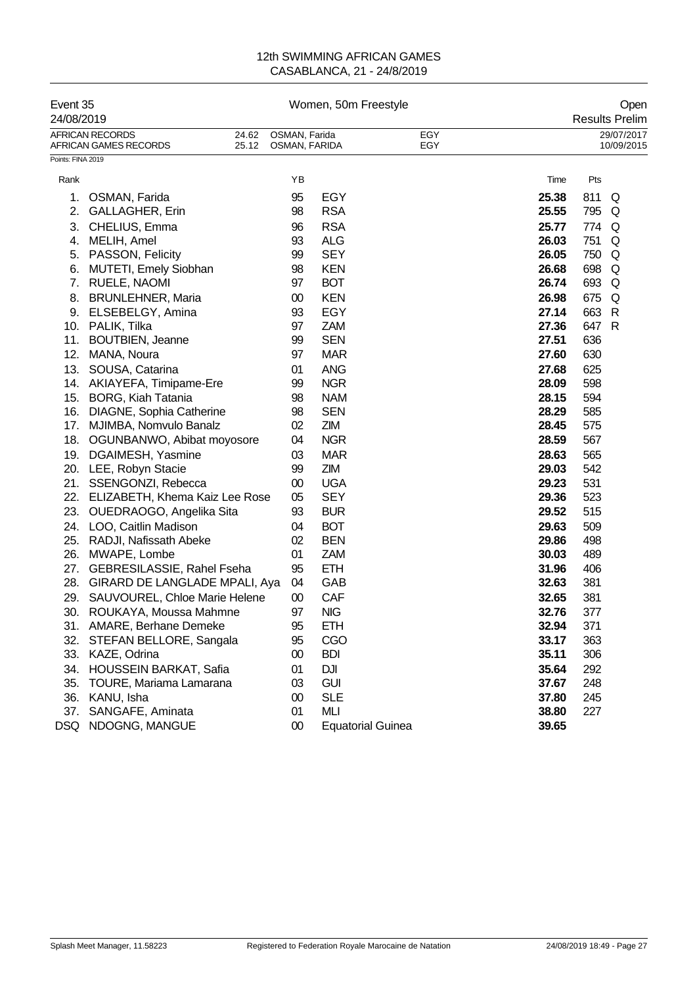| Event 35<br>24/08/2019 |                                                                   |                                | Women, 50m Freestyle     |            |       |       | Open<br><b>Results Prelim</b> |
|------------------------|-------------------------------------------------------------------|--------------------------------|--------------------------|------------|-------|-------|-------------------------------|
|                        | <b>AFRICAN RECORDS</b><br>24.62<br>25.12<br>AFRICAN GAMES RECORDS | OSMAN, Farida<br>OSMAN, FARIDA |                          | EGY<br>EGY |       |       | 29/07/2017<br>10/09/2015      |
| Points: FINA 2019      |                                                                   |                                |                          |            |       |       |                               |
| Rank                   |                                                                   | ΥB                             |                          |            | Time  | Pts   |                               |
| 1.                     | OSMAN, Farida                                                     | 95                             | <b>EGY</b>               |            | 25.38 | 811   | Q                             |
| 2.                     | GALLAGHER, Erin                                                   | 98                             | <b>RSA</b>               |            | 25.55 | 795   | Q                             |
| 3.                     | CHELIUS, Emma                                                     | 96                             | <b>RSA</b>               |            | 25.77 | 774   | Q                             |
| 4.                     | MELIH, Amel                                                       | 93                             | <b>ALG</b>               |            | 26.03 | 751   | Q                             |
| 5.                     | PASSON, Felicity                                                  | 99                             | <b>SEY</b>               |            | 26.05 | 750   | Q                             |
| 6.                     | <b>MUTETI, Emely Siobhan</b>                                      | 98                             | <b>KEN</b>               |            | 26.68 | 698   | Q                             |
| 7.                     | <b>RUELE, NAOMI</b>                                               | 97                             | <b>BOT</b>               |            | 26.74 | 693 Q |                               |
| 8.                     | <b>BRUNLEHNER, Maria</b>                                          | $00\,$                         | <b>KEN</b>               |            | 26.98 | 675   | Q                             |
| 9.                     | ELSEBELGY, Amina                                                  | 93                             | <b>EGY</b>               |            | 27.14 | 663   | R                             |
|                        | 10. PALIK, Tilka                                                  | 97                             | <b>ZAM</b>               |            | 27.36 | 647 R |                               |
| 11.                    | <b>BOUTBIEN, Jeanne</b>                                           | 99                             | <b>SEN</b>               |            | 27.51 | 636   |                               |
| 12.                    | MANA, Noura                                                       | 97                             | <b>MAR</b>               |            | 27.60 | 630   |                               |
|                        | 13. SOUSA, Catarina                                               | 01                             | <b>ANG</b>               |            | 27.68 | 625   |                               |
|                        | 14. AKIAYEFA, Timipame-Ere                                        | 99                             | <b>NGR</b>               |            | 28.09 | 598   |                               |
|                        | 15. BORG, Kiah Tatania                                            | 98                             | <b>NAM</b>               |            | 28.15 | 594   |                               |
|                        | 16. DIAGNE, Sophia Catherine                                      | 98                             | <b>SEN</b>               |            | 28.29 | 585   |                               |
|                        | 17. MJIMBA, Nomvulo Banalz                                        | 02                             | ZIM                      |            | 28.45 | 575   |                               |
|                        | 18. OGUNBANWO, Abibat moyosore                                    | 04                             | <b>NGR</b>               |            | 28.59 | 567   |                               |
| 19.                    | DGAIMESH, Yasmine                                                 | 03                             | <b>MAR</b>               |            | 28.63 | 565   |                               |
|                        | 20. LEE, Robyn Stacie                                             | 99                             | ZIM                      |            | 29.03 | 542   |                               |
|                        | 21. SSENGONZI, Rebecca                                            | 00                             | <b>UGA</b>               |            | 29.23 | 531   |                               |
| 22.                    | ELIZABETH, Khema Kaiz Lee Rose                                    | 05                             | <b>SEY</b>               |            | 29.36 | 523   |                               |
| 23.                    | OUEDRAOGO, Angelika Sita                                          | 93                             | <b>BUR</b>               |            | 29.52 | 515   |                               |
| 24.                    | LOO, Caitlin Madison                                              | 04                             | <b>BOT</b>               |            | 29.63 | 509   |                               |
| 25.                    | RADJI, Nafissath Abeke                                            | 02                             | <b>BEN</b>               |            | 29.86 | 498   |                               |
| 26.                    | MWAPE, Lombe                                                      | 01                             | <b>ZAM</b>               |            | 30.03 | 489   |                               |
| 27.                    | GEBRESILASSIE, Rahel Fseha                                        | 95                             | <b>ETH</b>               |            | 31.96 | 406   |                               |
| 28.                    | GIRARD DE LANGLADE MPALI, Aya                                     | 04                             | GAB                      |            | 32.63 | 381   |                               |
| 29.                    | SAUVOUREL, Chloe Marie Helene                                     | 00                             | CAF                      |            | 32.65 | 381   |                               |
| 30.                    | ROUKAYA, Moussa Mahmne                                            | 97                             | <b>NIG</b>               |            | 32.76 | 377   |                               |
|                        | 31. AMARE, Berhane Demeke                                         | 95                             | <b>ETH</b>               |            | 32.94 | 371   |                               |
| 32.                    | STEFAN BELLORE, Sangala                                           | 95                             | CGO                      |            | 33.17 | 363   |                               |
| 33.                    | KAZE, Odrina                                                      | 00                             | <b>BDI</b>               |            | 35.11 | 306   |                               |
| 34.                    | HOUSSEIN BARKAT, Safia                                            | 01                             | <b>DJI</b>               |            | 35.64 | 292   |                               |
| 35.                    | TOURE, Mariama Lamarana                                           | 03                             | <b>GUI</b>               |            | 37.67 | 248   |                               |
| 36.                    | KANU, Isha                                                        | $00\,$                         | <b>SLE</b>               |            | 37.80 | 245   |                               |
| 37.                    | SANGAFE, Aminata                                                  | 01                             | MLI                      |            | 38.80 | 227   |                               |
| <b>DSQ</b>             | NDOGNG, MANGUE                                                    | $00\,$                         | <b>Equatorial Guinea</b> |            | 39.65 |       |                               |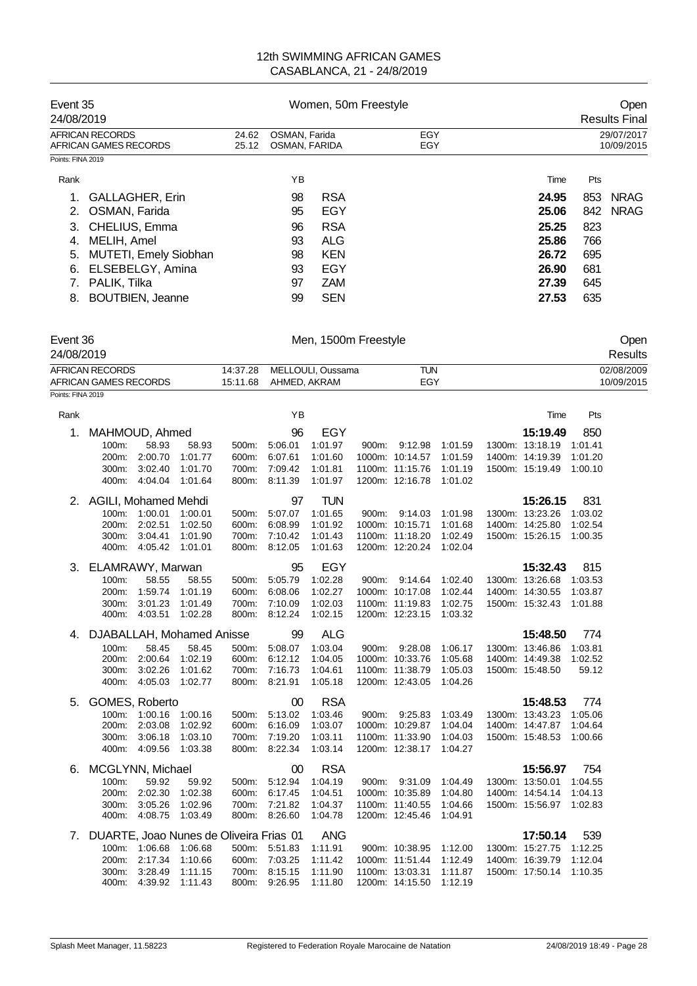| Event 35<br>24/08/2019                   |                |                                | Women, 50m Freestyle | Open<br><b>Results Final</b> |       |     |                          |
|------------------------------------------|----------------|--------------------------------|----------------------|------------------------------|-------|-----|--------------------------|
| AFRICAN RECORDS<br>AFRICAN GAMES RECORDS | 24.62<br>25.12 | OSMAN, Farida<br>OSMAN, FARIDA |                      | EGY<br>EGY                   |       |     | 29/07/2017<br>10/09/2015 |
| Points: FINA 2019                        |                |                                |                      |                              |       |     |                          |
| Rank                                     |                | ΥB                             |                      |                              | Time  | Pts |                          |
| <b>GALLAGHER, Erin</b>                   |                | 98                             | <b>RSA</b>           |                              | 24.95 | 853 | <b>NRAG</b>              |
| OSMAN, Farida                            |                | 95                             | EGY                  |                              | 25.06 |     | 842 NRAG                 |
| 3. CHELIUS, Emma                         |                | 96                             | <b>RSA</b>           |                              | 25.25 | 823 |                          |
| MELIH, Amel<br>4.                        |                | 93                             | ALG                  |                              | 25.86 | 766 |                          |
| <b>MUTETI, Emely Siobhan</b><br>5.       |                | 98                             | <b>KEN</b>           |                              | 26.72 | 695 |                          |
| ELSEBELGY, Amina<br>6.                   |                | 93                             | EGY                  |                              | 26.90 | 681 |                          |
| PALIK, Tilka                             |                | 97                             | <b>ZAM</b>           |                              | 27.39 | 645 |                          |
| <b>BOUTBIEN, Jeanne</b><br>8.            |                | 99                             | <b>SEN</b>           |                              | 27.53 | 635 |                          |

| Event 36<br>24/08/2019 |          | Men, 1500m Freestyle       |     | Open<br><b>Results</b> |
|------------------------|----------|----------------------------|-----|------------------------|
| AFRICAN RECORDS        |          | 14:37.28 MELLOULI, Oussama | TUN | 02/08/2009             |
| AFRICAN GAMES RECORDS  | 15:11.68 | AHMED. AKRAM               | EGY | 10/09/2015             |
| Points: FINA 2019      |          |                            |     |                        |

| Rank |                                         |               |         |       | YB            |            |       |                 |         | Time            | Pts     |
|------|-----------------------------------------|---------------|---------|-------|---------------|------------|-------|-----------------|---------|-----------------|---------|
| 1.   | MAHMOUD, Ahmed                          |               |         |       | 96            | EGY        |       |                 |         | 15:19.49        | 850     |
|      | 100m:                                   | 58.93         | 58.93   | 500m: | 5:06.01       | 1:01.97    |       | 900m: 9:12.98   | 1:01.59 | 1300m: 13:18.19 | 1:01.41 |
|      | 200m:                                   | 2:00.70       | 1:01.77 | 600m: | 6:07.61       | 1:01.60    |       | 1000m: 10:14.57 | 1:01.59 | 1400m: 14:19.39 | 1:01.20 |
|      | 300m:                                   | 3:02.40       | 1:01.70 | 700m: | 7:09.42       | 1:01.81    |       | 1100m: 11:15.76 | 1:01.19 | 1500m: 15:19.49 | 1:00.10 |
|      | 400m:                                   | 4:04.04       | 1:01.64 | 800m: | 8:11.39       | 1:01.97    |       | 1200m: 12:16.78 | 1:01.02 |                 |         |
|      | 2. AGILI, Mohamed Mehdi                 |               |         |       | 97            | <b>TUN</b> |       |                 |         | 15:26.15        | 831     |
|      |                                         | 100m: 1:00.01 | 1:00.01 | 500m: | 5:07.07       | 1:01.65    | 900m: | 9:14.03         | 1:01.98 | 1300m: 13:23.26 | 1:03.02 |
|      | 200m:                                   | 2:02.51       | 1:02.50 | 600m: | 6:08.99       | 1:01.92    |       | 1000m: 10:15.71 | 1:01.68 | 1400m: 14:25.80 | 1:02.54 |
|      | 300m:                                   | 3:04.41       | 1:01.90 | 700m: | 7:10.42       | 1:01.43    |       | 1100m: 11:18.20 | 1:02.49 | 1500m: 15:26.15 | 1:00.35 |
|      | 400m:                                   | 4:05.42       | 1:01.01 | 800m: | 8:12.05       | 1:01.63    |       | 1200m: 12:20.24 | 1:02.04 |                 |         |
| 3.   | ELAMRAWY, Marwan                        |               |         |       | 95            | EGY        |       |                 |         | 15:32.43        | 815     |
|      | 100m:                                   | 58.55         | 58.55   | 500m: | 5:05.79       | 1:02.28    | 900m: | 9:14.64         | 1:02.40 | 1300m: 13:26.68 | 1:03.53 |
|      | 200m:                                   | 1:59.74       | 1:01.19 | 600m: | 6:08.06       | 1:02.27    |       | 1000m: 10:17.08 | 1:02.44 | 1400m: 14:30.55 | 1:03.87 |
|      | 300m:                                   | 3:01.23       | 1:01.49 | 700m: | 7:10.09       | 1:02.03    |       | 1100m: 11:19.83 | 1:02.75 | 1500m: 15:32.43 | 1:01.88 |
|      | 400m:                                   | 4:03.51       | 1:02.28 | 800m: | 8:12.24       | 1:02.15    |       | 1200m: 12:23.15 | 1:03.32 |                 |         |
|      | 4. DJABALLAH, Mohamed Anisse            |               |         |       | 99            | <b>ALG</b> |       |                 |         | 15:48.50        | 774     |
|      | 100m:                                   | 58.45         | 58.45   | 500m: | 5:08.07       | 1:03.04    | 900m: | 9:28.08         | 1:06.17 | 1300m: 13:46.86 | 1:03.81 |
|      | 200m:                                   | 2:00.64       | 1:02.19 | 600m: | 6:12.12       | 1:04.05    |       | 1000m: 10:33.76 | 1:05.68 | 1400m: 14:49.38 | 1:02.52 |
|      | 300m:                                   | 3:02.26       | 1:01.62 | 700m: | 7:16.73       | 1:04.61    |       | 1100m: 11:38.79 | 1:05.03 | 1500m: 15:48.50 | 59.12   |
|      | 400m:                                   | 4:05.03       | 1:02.77 | 800m: | 8:21.91       | 1:05.18    |       | 1200m: 12:43.05 | 1:04.26 |                 |         |
| 5.   | GOMES, Roberto                          |               |         |       | 00            | <b>RSA</b> |       |                 |         | 15:48.53        | 774     |
|      |                                         | 100m: 1:00.16 | 1:00.16 | 500m: | 5:13.02       | 1:03.46    |       | 900m: 9:25.83   | 1:03.49 | 1300m: 13:43.23 | 1:05.06 |
|      | 200m:                                   | 2:03.08       | 1:02.92 | 600m: | 6:16.09       | 1:03.07    |       | 1000m: 10:29.87 | 1:04.04 | 1400m: 14:47.87 | 1:04.64 |
|      | 300m:                                   | 3:06.18       | 1:03.10 | 700m: | 7:19.20       | 1:03.11    |       | 1100m: 11:33.90 | 1:04.03 | 1500m: 15:48.53 | 1:00.66 |
|      | 400m:                                   | 4:09.56       | 1:03.38 | 800m: | 8:22.34       | 1:03.14    |       | 1200m: 12:38.17 | 1:04.27 |                 |         |
| 6.   | MCGLYNN, Michael                        |               |         |       | 00            | <b>RSA</b> |       |                 |         | 15:56.97        | 754     |
|      | 100m:                                   | 59.92         | 59.92   | 500m: | 5:12.94       | 1:04.19    | 900m: | 9:31.09         | 1:04.49 | 1300m: 13:50.01 | 1:04.55 |
|      | 200m:                                   | 2:02.30       | 1:02.38 | 600m: | 6:17.45       | 1:04.51    |       | 1000m: 10:35.89 | 1:04.80 | 1400m: 14:54.14 | 1:04.13 |
|      | 300m.                                   | 3:05.26       | 1:02.96 | 700m: | 7:21.82       | 1:04.37    |       | 1100m: 11:40.55 | 1:04.66 | 1500m: 15:56.97 | 1:02.83 |
|      | 400m:                                   | 4:08.75       | 1:03.49 | 800m: | 8:26.60       | 1:04.78    |       | 1200m: 12:45.46 | 1:04.91 |                 |         |
| 7.   | DUARTE, Joao Nunes de Oliveira Frias 01 |               |         |       |               | <b>ANG</b> |       |                 |         | 17:50.14        | 539     |
|      |                                         | 100m: 1:06.68 | 1:06.68 |       | 500m: 5:51.83 | 1:11.91    |       | 900m: 10:38.95  | 1:12.00 | 1300m: 15:27.75 | 1:12.25 |
|      | 200m:                                   | 2:17.34       | 1:10.66 | 600m: | 7:03.25       | 1:11.42    |       | 1000m: 11:51.44 | 1:12.49 | 1400m: 16:39.79 | 1:12.04 |
|      | 300m:                                   | 3:28.49       | 1:11.15 | 700m: | 8:15.15       | 1:11.90    |       | 1100m: 13:03.31 | 1:11.87 | 1500m: 17:50.14 | 1:10.35 |
|      | 400m:                                   | 4:39.92       | 1:11.43 | 800m: | 9:26.95       | 1:11.80    |       | 1200m: 14:15.50 | 1:12.19 |                 |         |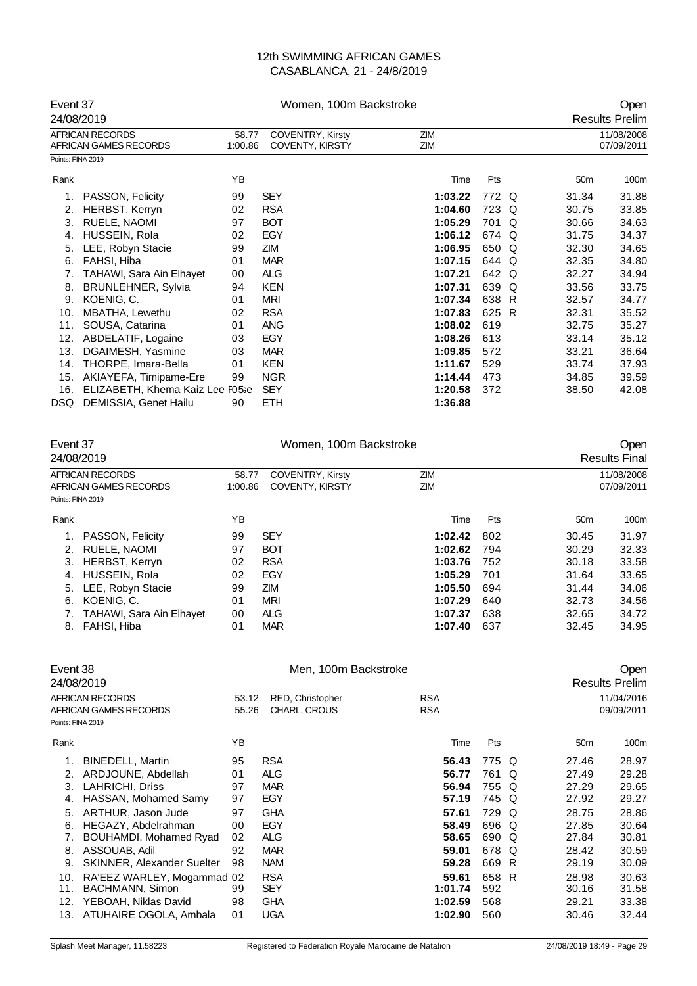|                   | Event 37                                 |                                                                       | Women, 100m Backstroke |            | Open  |          |                 |                          |
|-------------------|------------------------------------------|-----------------------------------------------------------------------|------------------------|------------|-------|----------|-----------------|--------------------------|
| 24/08/2019        |                                          |                                                                       |                        |            |       |          |                 | <b>Results Prelim</b>    |
|                   | AFRICAN RECORDS<br>AFRICAN GAMES RECORDS | <b>COVENTRY, Kirsty</b><br>58.77<br>1:00.86<br><b>COVENTY, KIRSTY</b> |                        | ZIM<br>ZIM |       |          |                 | 11/08/2008<br>07/09/2011 |
| Points: FINA 2019 |                                          |                                                                       |                        |            |       |          |                 |                          |
| Rank              |                                          | YB                                                                    |                        | Time       | Pts   |          | 50 <sub>m</sub> | 100m                     |
| 1.                | PASSON, Felicity                         | 99                                                                    | <b>SEY</b>             | 1:03.22    | 772 Q |          | 31.34           | 31.88                    |
| 2.                | <b>HERBST, Kerryn</b>                    | 02                                                                    | <b>RSA</b>             | 1:04.60    | 723 Q |          | 30.75           | 33.85                    |
| 3.                | RUELE, NAOMI                             | 97                                                                    | <b>BOT</b>             | 1:05.29    | 701   | $\Omega$ | 30.66           | 34.63                    |
| 4.                | HUSSEIN, Rola                            | 02                                                                    | EGY                    | 1:06.12    | 674 Q |          | 31.75           | 34.37                    |
| 5.                | LEE, Robyn Stacie                        | 99                                                                    | ZIM                    | 1:06.95    | 650 Q |          | 32.30           | 34.65                    |
| 6.                | FAHSI, Hiba                              | 01                                                                    | <b>MAR</b>             | 1:07.15    | 644 Q |          | 32.35           | 34.80                    |
| 7.                | TAHAWI, Sara Ain Elhayet                 | 00                                                                    | <b>ALG</b>             | 1:07.21    | 642   | $\Omega$ | 32.27           | 34.94                    |
| 8.                | <b>BRUNLEHNER, Sylvia</b>                | 94                                                                    | <b>KEN</b>             | 1:07.31    | 639   | $\Omega$ | 33.56           | 33.75                    |
| 9.                | KOENIG, C.                               | 01                                                                    | <b>MRI</b>             | 1:07.34    | 638 R |          | 32.57           | 34.77                    |
| 10.               | MBATHA, Lewethu                          | 02                                                                    | <b>RSA</b>             | 1:07.83    | 625 R |          | 32.31           | 35.52                    |
| 11.               | SOUSA, Catarina                          | 01                                                                    | <b>ANG</b>             | 1:08.02    | 619   |          | 32.75           | 35.27                    |
| 12.               | ABDELATIF, Logaine                       | 03                                                                    | <b>EGY</b>             | 1:08.26    | 613   |          | 33.14           | 35.12                    |
| 13.               | DGAIMESH, Yasmine                        | 03                                                                    | <b>MAR</b>             | 1:09.85    | 572   |          | 33.21           | 36.64                    |
| 14.               | THORPE, Imara-Bella                      | 01                                                                    | <b>KEN</b>             | 1:11.67    | 529   |          | 33.74           | 37.93                    |
| 15.               | AKIAYEFA, Timipame-Ere                   | 99                                                                    | <b>NGR</b>             | 1:14.44    | 473   |          | 34.85           | 39.59                    |
| 16.               | ELIZABETH, Khema Kaiz Lee F05se          |                                                                       | <b>SEY</b>             | 1:20.58    | 372   |          | 38.50           | 42.08                    |
| DSQ.              | DEMISSIA, Genet Hailu                    | 90                                                                    | <b>ETH</b>             | 1:36.88    |       |          |                 |                          |

|                   | Event 37<br>24/08/2019                   |                                                                       | Women, 100m Backstroke | Open<br><b>Results Final</b> |     |                 |                          |
|-------------------|------------------------------------------|-----------------------------------------------------------------------|------------------------|------------------------------|-----|-----------------|--------------------------|
|                   | AFRICAN RECORDS<br>AFRICAN GAMES RECORDS | <b>COVENTRY, Kirsty</b><br>58.77<br><b>COVENTY, KIRSTY</b><br>1:00.86 |                        | ZIM<br>ZIM                   |     |                 | 11/08/2008<br>07/09/2011 |
| Points: FINA 2019 |                                          |                                                                       |                        |                              |     |                 |                          |
| Rank              |                                          | ΥB                                                                    |                        | Time                         | Pts | 50 <sub>m</sub> | 100m                     |
|                   | PASSON, Felicity                         | 99                                                                    | <b>SEY</b>             | 1:02.42                      | 802 | 30.45           | 31.97                    |
| 2.                | RUELE, NAOMI                             | 97                                                                    | <b>BOT</b>             | 1:02.62                      | 794 | 30.29           | 32.33                    |
| 3.                | HERBST, Kerryn                           | 02                                                                    | <b>RSA</b>             | 1:03.76                      | 752 | 30.18           | 33.58                    |
| 4.                | HUSSEIN, Rola                            | 02                                                                    | EGY                    | 1:05.29                      | 701 | 31.64           | 33.65                    |
| 5.                | LEE, Robyn Stacie                        | 99                                                                    | ZIM                    | 1:05.50                      | 694 | 31.44           | 34.06                    |
| 6.                | KOENIG, C.                               | 01                                                                    | <b>MRI</b>             | 1:07.29                      | 640 | 32.73           | 34.56                    |
|                   | <b>TAHAWI, Sara Ain Elhayet</b>          | 00                                                                    | <b>ALG</b>             | 1:07.37                      | 638 | 32.65           | 34.72                    |
| 8.                | FAHSI, Hiba                              | 01                                                                    | <b>MAR</b>             | 1:07.40                      | 637 | 32.45           | 34.95                    |

|                                                                                                                                                                                                                                                 | Men, 100m Backstroke                                                                                            |                                                                                                                                   |                                                                                                   |            | Open<br><b>Results Prelim</b> |                                                                                                 |                                                                                                          |  |  |
|-------------------------------------------------------------------------------------------------------------------------------------------------------------------------------------------------------------------------------------------------|-----------------------------------------------------------------------------------------------------------------|-----------------------------------------------------------------------------------------------------------------------------------|---------------------------------------------------------------------------------------------------|------------|-------------------------------|-------------------------------------------------------------------------------------------------|----------------------------------------------------------------------------------------------------------|--|--|
|                                                                                                                                                                                                                                                 | RED, Christopher<br>53.12<br>CHARL, CROUS<br>55.26                                                              |                                                                                                                                   | <b>RSA</b><br><b>RSA</b>                                                                          |            |                               |                                                                                                 | 11/04/2016<br>09/09/2011                                                                                 |  |  |
|                                                                                                                                                                                                                                                 | ΥB                                                                                                              |                                                                                                                                   | Time                                                                                              | Pts        |                               | 50 <sub>m</sub>                                                                                 | 100m                                                                                                     |  |  |
| <b>BINEDELL, Martin</b><br>ARDJOUNE, Abdellah<br><b>LAHRICHI, Driss</b><br>HASSAN, Mohamed Samy<br>ARTHUR, Jason Jude<br>HEGAZY, Abdelrahman<br>BOUHAMDI, Mohamed Ryad<br>ASSOUAB, Adil<br><b>SKINNER, Alexander Suelter</b><br>BACHMANN, Simon | 95<br>01<br>97<br>97<br>97<br>00<br>02<br>92<br>98<br>99                                                        | <b>RSA</b><br><b>ALG</b><br><b>MAR</b><br>EGY<br><b>GHA</b><br>EGY<br>ALG<br><b>MAR</b><br><b>NAM</b><br><b>RSA</b><br><b>SEY</b> | 56.43<br>56.77<br>56.94<br>57.19<br>57.61<br>58.49<br>58.65<br>59.01<br>59.28<br>59.61<br>1:01.74 | 761<br>592 | O                             | 27.46<br>27.49<br>27.29<br>27.92<br>28.75<br>27.85<br>27.84<br>28.42<br>29.19<br>28.98<br>30.16 | 28.97<br>29.28<br>29.65<br>29.27<br>28.86<br>30.64<br>30.81<br>30.59<br>30.09<br>30.63<br>31.58<br>33.38 |  |  |
| ATUHAIRE OGOLA, Ambala                                                                                                                                                                                                                          | 01                                                                                                              | <b>UGA</b>                                                                                                                        | 1:02.90                                                                                           | 560        |                               | 30.46                                                                                           | 32.44                                                                                                    |  |  |
|                                                                                                                                                                                                                                                 | Event 38<br>24/08/2019<br>AFRICAN RECORDS<br>AFRICAN GAMES RECORDS<br>Points: FINA 2019<br>YEBOAH, Niklas David | RA'EEZ WARLEY, Mogammad 02<br>98                                                                                                  | <b>GHA</b>                                                                                        | 1:02.59    | 568                           | 775 Q<br>755 Q<br>745 Q<br>729 Q<br>696 Q<br>690 Q<br>678 Q<br>669 R<br>658 R                   | 29.21                                                                                                    |  |  |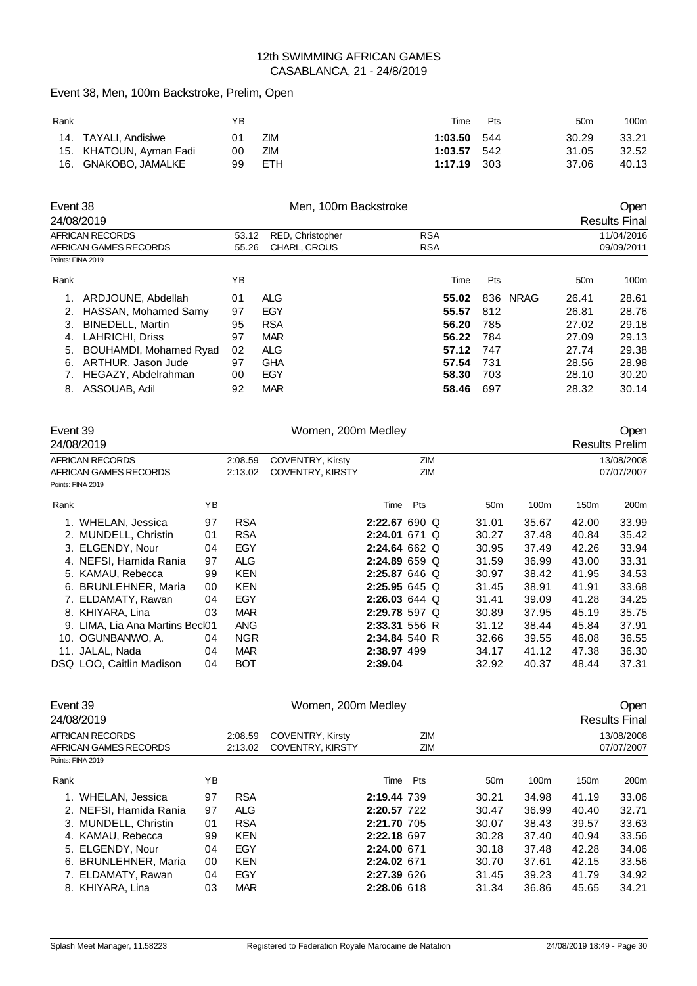|          | Event 38, Men, 100m Backstroke, Prelim, Open      |          |                          |                                             |                                |            |                |                 |                |                 |                                    |
|----------|---------------------------------------------------|----------|--------------------------|---------------------------------------------|--------------------------------|------------|----------------|-----------------|----------------|-----------------|------------------------------------|
| Rank     |                                                   |          | YB                       |                                             |                                |            | Time           | Pts             |                | 50 <sub>m</sub> | 100m                               |
| 14.      | <b>TAYALI, Andisiwe</b>                           |          | 01                       | ZIM                                         |                                |            | 1:03.50        | 544             |                | 30.29           | 33.21                              |
| 15.      | KHATOUN, Ayman Fadi                               |          | 00                       | <b>ZIM</b>                                  |                                |            | 1:03.57        | 542             |                | 31.05           | 32.52                              |
| 16.      | <b>GNAKOBO, JAMALKE</b>                           |          | 99                       | <b>ETH</b>                                  |                                |            | 1:17.19        | 303             |                | 37.06           | 40.13                              |
| Event 38 | 24/08/2019                                        |          |                          | Men, 100m Backstroke                        |                                |            |                |                 |                |                 | Open                               |
|          | <b>AFRICAN RECORDS</b>                            |          | 53.12                    | RED, Christopher                            |                                | <b>RSA</b> |                |                 |                |                 | <b>Results Final</b><br>11/04/2016 |
|          | AFRICAN GAMES RECORDS<br>Points: FINA 2019        |          | 55.26                    | CHARL, CROUS                                |                                | <b>RSA</b> |                |                 |                |                 | 09/09/2011                         |
|          |                                                   |          |                          |                                             |                                |            |                |                 |                |                 |                                    |
| Rank     |                                                   |          | ΥB                       |                                             |                                |            | Time           | Pts             |                | 50 <sub>m</sub> | 100m                               |
| 1.       | ARDJOUNE, Abdellah                                |          | 01                       | <b>ALG</b>                                  |                                |            | 55.02          |                 | 836 NRAG       | 26.41           | 28.61                              |
|          | 2. HASSAN, Mohamed Samy                           |          | 97                       | <b>EGY</b>                                  |                                |            | 55.57          | 812             |                | 26.81           | 28.76                              |
| 3.       | <b>BINEDELL, Martin</b><br><b>LAHRICHI, Driss</b> |          | 95<br>97                 | <b>RSA</b><br><b>MAR</b>                    |                                |            | 56.20<br>56.22 | 785<br>784      |                | 27.02<br>27.09  | 29.18<br>29.13                     |
| 4.<br>5. | BOUHAMDI, Mohamed Ryad                            |          | 02                       | <b>ALG</b>                                  |                                |            | 57.12          | 747             |                | 27.74           | 29.38                              |
| 6.       | ARTHUR, Jason Jude                                |          | 97                       | <b>GHA</b>                                  |                                |            | 57.54          | 731             |                | 28.56           | 28.98                              |
| 7.       | HEGAZY, Abdelrahman                               |          | 00                       | EGY                                         |                                |            | 58.30          | 703             |                | 28.10           | 30.20                              |
|          | 8. ASSOUAB, Adil                                  |          | 92                       | <b>MAR</b>                                  |                                |            | 58.46          | 697             |                | 28.32           | 30.14                              |
|          |                                                   |          |                          |                                             |                                |            |                |                 |                |                 |                                    |
| Event 39 |                                                   |          |                          | Women, 200m Medley                          |                                |            |                |                 |                |                 | Open                               |
|          | 24/08/2019                                        |          |                          |                                             |                                |            |                |                 |                |                 | <b>Results Prelim</b>              |
|          | <b>AFRICAN RECORDS</b>                            |          | 2:08.59                  | COVENTRY, Kirsty                            |                                | ZIM        |                |                 |                |                 | 13/08/2008                         |
|          | AFRICAN GAMES RECORDS<br>Points: FINA 2019        |          | 2:13.02                  | COVENTRY, KIRSTY                            |                                | ZIM        |                |                 |                |                 | 07/07/2007                         |
| Rank     |                                                   | ΥB       |                          |                                             | Time                           | Pts        |                | 50 <sub>m</sub> | 100m           | 150m            | 200m                               |
|          | 1. WHELAN, Jessica                                | 97       | <b>RSA</b>               |                                             | 2:22.67 690 Q                  |            |                | 31.01           | 35.67          | 42.00           | 33.99                              |
|          | 2. MUNDELL, Christin                              | 01       | <b>RSA</b>               |                                             | 2:24.01 671 Q                  |            |                | 30.27           | 37.48          | 40.84           | 35.42                              |
|          | 3. ELGENDY, Nour                                  | 04       | EGY                      |                                             | 2:24.64 662 Q                  |            |                | 30.95           | 37.49          | 42.26           | 33.94                              |
|          | 4. NEFSI, Hamida Rania                            | 97       | <b>ALG</b>               |                                             | 2:24.89 659 Q                  |            |                | 31.59           | 36.99          | 43.00           | 33.31                              |
|          | 5. KAMAU, Rebecca                                 | 99       | <b>KEN</b>               |                                             | 2:25.87 646 Q                  |            |                | 30.97           | 38.42          | 41.95           | 34.53                              |
|          | 6. BRUNLEHNER, Maria                              | 00       | <b>KEN</b>               |                                             | 2:25.95 645 Q                  |            |                | 31.45           | 38.91          | 41.91           | 33.68                              |
|          | 7. ELDAMATY, Rawan                                | 04       | EGY                      |                                             | 2:26.03 644 Q                  |            |                | 31.41           | 39.09          | 41.28           | 34.25                              |
|          | 8. KHIYARA, Lina                                  | 03       | <b>MAR</b>               |                                             | 2:29.78 597 Q                  |            |                | 30.89           | 37.95          | 45.19           | 35.75                              |
|          | 9. LIMA, Lia Ana Martins Becl01                   |          | ANG                      |                                             | 2:33.31 556 R<br>2:34.84 540 R |            |                | 31.12           | 38.44          | 45.84           | 37.91                              |
|          | 10. OGUNBANWO, A.<br>11. JALAL, Nada              | 04<br>04 | <b>NGR</b><br><b>MAR</b> |                                             | 2:38.97 499                    |            |                | 32.66<br>34.17  | 39.55<br>41.12 | 46.08<br>47.38  | 36.55<br>36.30                     |
|          | DSQ LOO, Caitlin Madison                          | 04       | <b>BOT</b>               |                                             | 2:39.04                        |            |                | 32.92           | 40.37          | 48.44           | 37.31                              |
| Event 39 |                                                   |          |                          | Women, 200m Medley                          |                                |            |                |                 |                |                 | Open                               |
|          | 24/08/2019                                        |          |                          |                                             |                                |            |                |                 |                |                 | <b>Results Final</b>               |
|          | AFRICAN RECORDS<br>AFRICAN GAMES RECORDS          |          | 2:08.59<br>2:13.02       | COVENTRY, Kirsty<br><b>COVENTRY, KIRSTY</b> |                                | ZIM<br>ZIM |                |                 |                |                 | 13/08/2008<br>07/07/2007           |
|          | Points: FINA 2019                                 |          |                          |                                             |                                |            |                |                 |                |                 |                                    |
| Rank     |                                                   | ΥB       |                          |                                             |                                | Time Pts   |                | 50 <sub>m</sub> | 100m           | 150m            | 200m                               |
|          | 1. WHELAN, Jessica                                | 97       | <b>RSA</b>               |                                             | 2:19.44 739                    |            |                | 30.21           | 34.98          | 41.19           | 33.06                              |
|          | 2. NEFSI, Hamida Rania                            | 97       | <b>ALG</b>               |                                             | 2:20.57 722                    |            |                | 30.47           | 36.99          | 40.40           | 32.71                              |
|          | 3. MUNDELL, Christin                              | 01       | <b>RSA</b>               |                                             | 2:21.70 705                    |            |                | 30.07           | 38.43          | 39.57           | 33.63                              |
|          | 4. KAMAU, Rebecca                                 | 99       | <b>KEN</b>               |                                             | 2:22.18 697                    |            |                | 30.28           | 37.40          | 40.94           | 33.56                              |
|          | 5. ELGENDY, Nour                                  | 04       | EGY                      |                                             | 2:24.00 671                    |            |                | 30.18           | 37.48          | 42.28           | 34.06                              |
|          | 6. BRUNLEHNER, Maria                              | 00       | <b>KEN</b>               |                                             | 2:24.02 671                    |            |                | 30.70           | 37.61          | 42.15           | 33.56                              |
|          | 7. ELDAMATY, Rawan                                | 04       | EGY                      |                                             | 2:27.39 626                    |            |                | 31.45           | 39.23          | 41.79           | 34.92                              |

8. KHIYARA, Lina 03 MAR **2:28.06** 618 31.34 36.86 45.65 34.21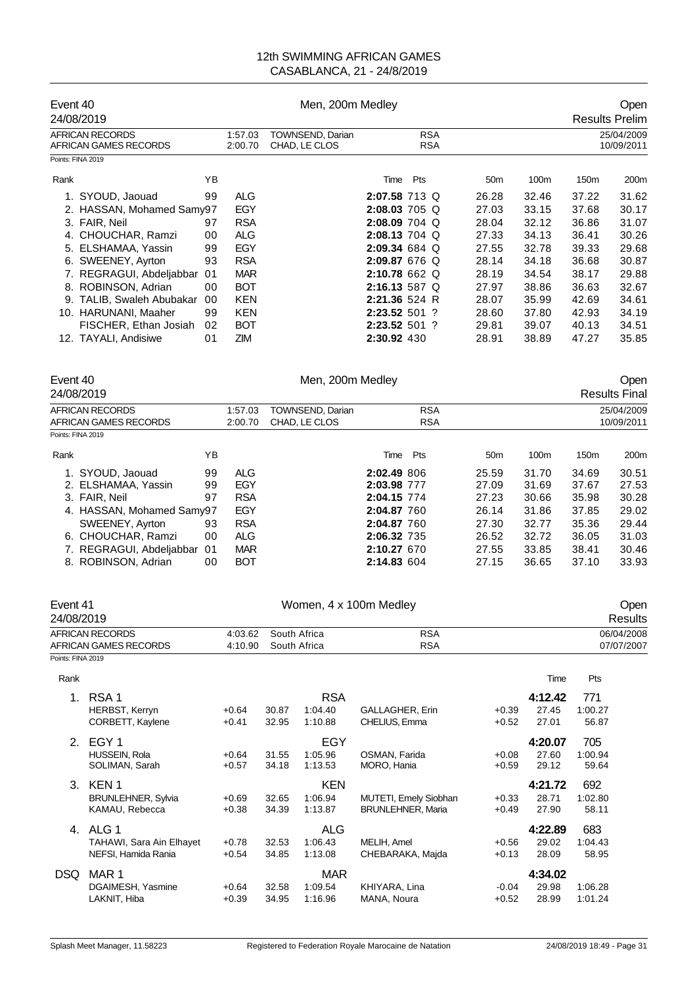| Event 40<br>24/08/2019                                                                                                                                                                                                                                                                                                                                                                       | Men, 200m Medley                                                                                                                                |                                   |                                                |                                                                                                                                                                                                                       |                                                                                                                             | Open<br><b>Results Prelim</b>                                                                                    |                                                                                                                  |                                                                                                                  |  |
|----------------------------------------------------------------------------------------------------------------------------------------------------------------------------------------------------------------------------------------------------------------------------------------------------------------------------------------------------------------------------------------------|-------------------------------------------------------------------------------------------------------------------------------------------------|-----------------------------------|------------------------------------------------|-----------------------------------------------------------------------------------------------------------------------------------------------------------------------------------------------------------------------|-----------------------------------------------------------------------------------------------------------------------------|------------------------------------------------------------------------------------------------------------------|------------------------------------------------------------------------------------------------------------------|------------------------------------------------------------------------------------------------------------------|--|
| <b>AFRICAN RECORDS</b><br>AFRICAN GAMES RECORDS                                                                                                                                                                                                                                                                                                                                              | 1:57.03<br>2:00.70                                                                                                                              | TOWNSEND, Darian<br>CHAD, LE CLOS |                                                | <b>RSA</b><br><b>RSA</b>                                                                                                                                                                                              |                                                                                                                             |                                                                                                                  | 25/04/2009<br>10/09/2011                                                                                         |                                                                                                                  |  |
| Points: FINA 2019<br>ΥB<br>Rank<br>99<br>1. SYOUD, Jaouad<br>2. HASSAN, Mohamed Samy97<br>3. FAIR, Neil<br>97<br>4. CHOUCHAR, Ramzi<br>00<br>5. ELSHAMAA, Yassin<br>99<br>6. SWEENEY, Ayrton<br>93<br>7. REGRAGUI, Abdeljabbar 01<br>8. ROBINSON, Adrian<br>00<br>9. TALIB, Swaleh Abubakar<br>00<br>99<br>10. HARUNANI, Maaher<br>FISCHER, Ethan Josiah<br>02<br>01<br>12. TAYALI, Andisiwe | <b>ALG</b><br>EGY<br><b>RSA</b><br><b>ALG</b><br>EGY<br><b>RSA</b><br><b>MAR</b><br><b>BOT</b><br><b>KEN</b><br><b>KEN</b><br><b>BOT</b><br>ZIM |                                   |                                                | Pts<br>Time<br>2:07.58 713 Q<br>2:08.03 705 Q<br>2:08.09 704 Q<br>2:08.13 704 Q<br>2:09.34 684 Q<br>2:09.87 676 Q<br>2:10.78 662 Q<br>2:16.13 587 Q<br>2:21.36 524 R<br>2:23.52 501 ?<br>2:23.52 501 ?<br>2:30.92 430 | 50 <sub>m</sub><br>26.28<br>27.03<br>28.04<br>27.33<br>27.55<br>28.14<br>28.19<br>27.97<br>28.07<br>28.60<br>29.81<br>28.91 | 100m<br>32.46<br>33.15<br>32.12<br>34.13<br>32.78<br>34.18<br>34.54<br>38.86<br>35.99<br>37.80<br>39.07<br>38.89 | 150m<br>37.22<br>37.68<br>36.86<br>36.41<br>39.33<br>36.68<br>38.17<br>36.63<br>42.69<br>42.93<br>40.13<br>47.27 | 200m<br>31.62<br>30.17<br>31.07<br>30.26<br>29.68<br>30.87<br>29.88<br>32.67<br>34.61<br>34.19<br>34.51<br>35.85 |  |
| Event 40<br>24/08/2019                                                                                                                                                                                                                                                                                                                                                                       | Men, 200m Medley                                                                                                                                |                                   |                                                |                                                                                                                                                                                                                       |                                                                                                                             |                                                                                                                  | <b>Results Final</b>                                                                                             | Open                                                                                                             |  |
| <b>AFRICAN RECORDS</b><br><b>AFRICAN GAMES RECORDS</b><br>Points: FINA 2019                                                                                                                                                                                                                                                                                                                  | 1:57.03<br>2:00.70                                                                                                                              |                                   | TOWNSEND, Darian<br>CHAD, LE CLOS              | <b>RSA</b><br><b>RSA</b>                                                                                                                                                                                              |                                                                                                                             |                                                                                                                  |                                                                                                                  | 25/04/2009<br>10/09/2011                                                                                         |  |
| YB<br>Rank<br>1. SYOUD, Jaouad<br>99<br>2. ELSHAMAA, Yassin<br>99<br>97<br>3. FAIR, Neil<br>4. HASSAN, Mohamed Samy97<br>SWEENEY, Ayrton<br>93<br>6. CHOUCHAR, Ramzi<br>00<br>7. REGRAGUI, Abdeljabbar<br>01<br>8. ROBINSON, Adrian<br>00                                                                                                                                                    | <b>ALG</b><br>EGY<br><b>RSA</b><br>EGY<br><b>RSA</b><br><b>ALG</b><br><b>MAR</b><br><b>BOT</b>                                                  |                                   |                                                | Pts<br>Time<br>2:02.49 806<br>2:03.98 777<br>2:04.15 774<br>2:04.87 760<br>2:04.87 760<br>2:06.32 735<br>2:10.27 670<br>2:14.83 604                                                                                   | 50 <sub>m</sub><br>25.59<br>27.09<br>27.23<br>26.14<br>27.30<br>26.52<br>27.55<br>27.15                                     | 100m<br>31.70<br>31.69<br>30.66<br>31.86<br>32.77<br>32.72<br>33.85<br>36.65                                     | 150m<br>34.69<br>37.67<br>35.98<br>37.85<br>35.36<br>36.05<br>38.41<br>37.10                                     | 200m<br>30.51<br>27.53<br>30.28<br>29.02<br>29.44<br>31.03<br>30.46<br>33.93                                     |  |
| Event 41<br>24/08/2019                                                                                                                                                                                                                                                                                                                                                                       |                                                                                                                                                 |                                   |                                                | Women, 4 x 100m Medley                                                                                                                                                                                                |                                                                                                                             |                                                                                                                  |                                                                                                                  | Open<br><b>Results</b>                                                                                           |  |
| AFRICAN RECORDS<br>AFRICAN GAMES RECORDS<br>Points: FINA 2019                                                                                                                                                                                                                                                                                                                                | 4:03.62<br>4:10.90                                                                                                                              |                                   | South Africa<br>South Africa                   | <b>RSA</b><br><b>RSA</b>                                                                                                                                                                                              |                                                                                                                             |                                                                                                                  |                                                                                                                  | 06/04/2008<br>07/07/2007                                                                                         |  |
| Rank<br>RSA <sub>1</sub><br>1.<br><b>HERBST, Kerryn</b><br>CORBETT, Kaylene<br>2. EGY 1                                                                                                                                                                                                                                                                                                      | $+0.64$<br>$+0.41$                                                                                                                              | 30.87<br>32.95                    | <b>RSA</b><br>1:04.40<br>1:10.88<br><b>EGY</b> | GALLAGHER, Erin<br>CHELIUS, Emma                                                                                                                                                                                      | $+0.39$<br>$+0.52$                                                                                                          | Time<br>4:12.42<br>27.45<br>27.01<br>4:20.07                                                                     | Pts<br>771<br>1:00.27<br>56.87<br>705                                                                            |                                                                                                                  |  |
| HUSSEIN, Rola<br>SOLIMAN, Sarah<br>3. KEN 1<br><b>BRUNLEHNER, Sylvia</b>                                                                                                                                                                                                                                                                                                                     | $+0.64$<br>$+0.57$<br>$+0.69$                                                                                                                   | 31.55<br>34.18<br>32.65           | 1:05.96<br>1:13.53<br><b>KEN</b><br>1:06.94    | OSMAN, Farida<br>MORO, Hania<br>MUTETI, Emely Siobhan                                                                                                                                                                 | $+0.08$<br>$+0.59$<br>$+0.33$                                                                                               | 27.60<br>29.12<br>4:21.72<br>28.71                                                                               | 1:00.94<br>59.64<br>692<br>1:02.80                                                                               |                                                                                                                  |  |
| KAMAU, Rebecca<br>4. ALG 1<br>TAHAWI, Sara Ain Elhayet<br>NEFSI, Hamida Rania                                                                                                                                                                                                                                                                                                                | $+0.38$<br>$+0.78$<br>$+0.54$                                                                                                                   | 34.39<br>32.53<br>34.85           | 1:13.87<br><b>ALG</b><br>1:06.43<br>1:13.08    | <b>BRUNLEHNER, Maria</b><br>MELIH, Amel<br>CHEBARAKA, Majda                                                                                                                                                           | $+0.49$<br>$+0.56$<br>$+0.13$                                                                                               | 27.90<br>4:22.89<br>29.02<br>28.09                                                                               | 58.11<br>683<br>1:04.43<br>58.95                                                                                 |                                                                                                                  |  |
| MAR <sub>1</sub><br><b>DSQ</b><br>DGAIMESH, Yasmine<br>LAKNIT, Hiba                                                                                                                                                                                                                                                                                                                          | $+0.64$<br>$+0.39$                                                                                                                              | 32.58<br>34.95                    | <b>MAR</b><br>1:09.54<br>1:16.96               | KHIYARA, Lina<br>MANA, Noura                                                                                                                                                                                          | $-0.04$<br>$+0.52$                                                                                                          | 4:34.02<br>29.98<br>28.99                                                                                        | 1:06.28<br>1:01.24                                                                                               |                                                                                                                  |  |